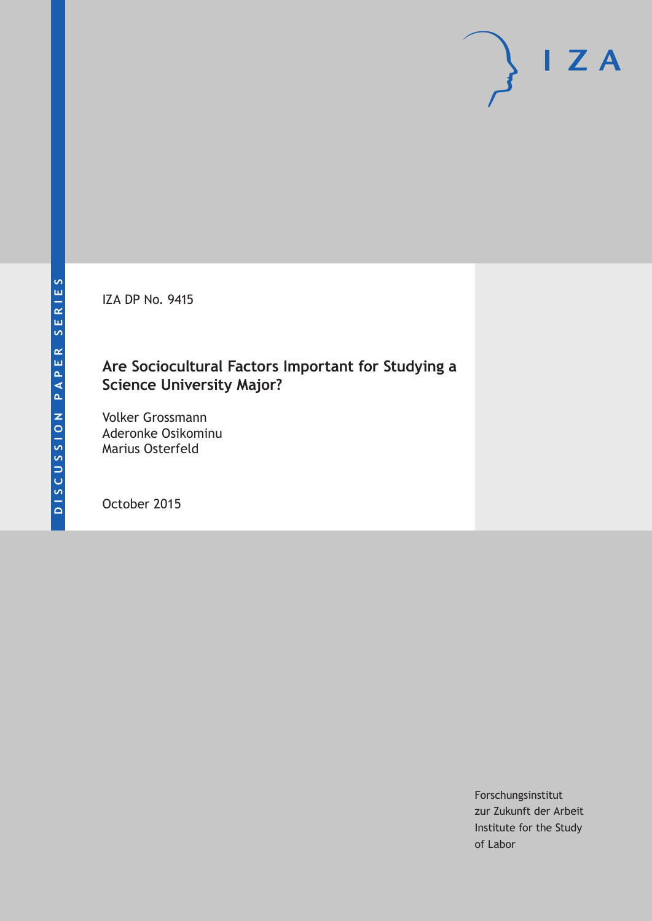IZA DP No. 9415

### **Are Sociocultural Factors Important for Studying a Science University Major?**

Volker Grossmann Aderonke Osikominu Marius Osterfeld

October 2015

Forschungsinstitut zur Zukunft der Arbeit Institute for the Study of Labor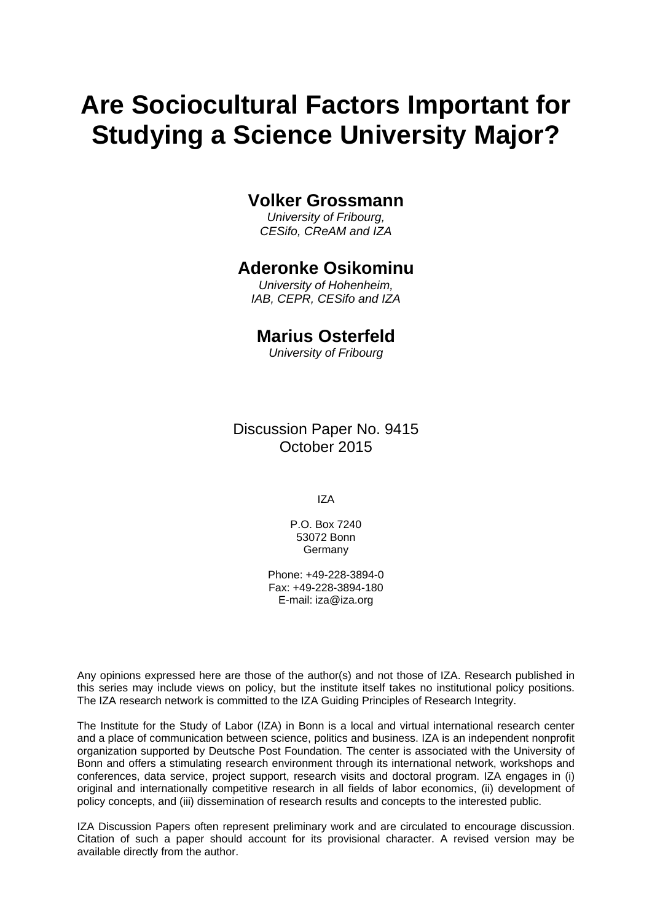# **Are Sociocultural Factors Important for Studying a Science University Major?**

### **Volker Grossmann**

*University of Fribourg, CESifo, CReAM and IZA* 

### **Aderonke Osikominu**

*University of Hohenheim, IAB, CEPR, CESifo and IZA* 

### **Marius Osterfeld**

*University of Fribourg*

Discussion Paper No. 9415 October 2015

IZA

P.O. Box 7240 53072 Bonn **Germany** 

Phone: +49-228-3894-0 Fax: +49-228-3894-180 E-mail: iza@iza.org

Any opinions expressed here are those of the author(s) and not those of IZA. Research published in this series may include views on policy, but the institute itself takes no institutional policy positions. The IZA research network is committed to the IZA Guiding Principles of Research Integrity.

The Institute for the Study of Labor (IZA) in Bonn is a local and virtual international research center and a place of communication between science, politics and business. IZA is an independent nonprofit organization supported by Deutsche Post Foundation. The center is associated with the University of Bonn and offers a stimulating research environment through its international network, workshops and conferences, data service, project support, research visits and doctoral program. IZA engages in (i) original and internationally competitive research in all fields of labor economics, (ii) development of policy concepts, and (iii) dissemination of research results and concepts to the interested public.

IZA Discussion Papers often represent preliminary work and are circulated to encourage discussion. Citation of such a paper should account for its provisional character. A revised version may be available directly from the author.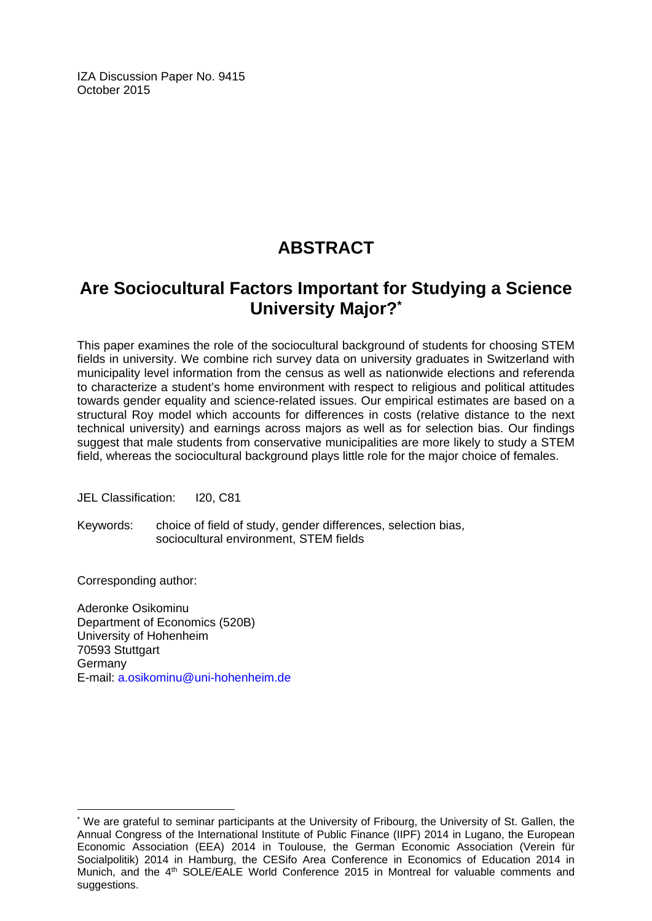IZA Discussion Paper No. 9415 October 2015

# **ABSTRACT**

## **Are Sociocultural Factors Important for Studying a Science University Major?\***

This paper examines the role of the sociocultural background of students for choosing STEM fields in university. We combine rich survey data on university graduates in Switzerland with municipality level information from the census as well as nationwide elections and referenda to characterize a student's home environment with respect to religious and political attitudes towards gender equality and science-related issues. Our empirical estimates are based on a structural Roy model which accounts for differences in costs (relative distance to the next technical university) and earnings across majors as well as for selection bias. Our findings suggest that male students from conservative municipalities are more likely to study a STEM field, whereas the sociocultural background plays little role for the major choice of females.

JEL Classification: I20, C81

Keywords: choice of field of study, gender differences, selection bias, sociocultural environment, STEM fields

Corresponding author:

 $\overline{a}$ 

Aderonke Osikominu Department of Economics (520B) University of Hohenheim 70593 Stuttgart Germany E-mail: a.osikominu@uni-hohenheim.de

<sup>\*</sup> We are grateful to seminar participants at the University of Fribourg, the University of St. Gallen, the Annual Congress of the International Institute of Public Finance (IIPF) 2014 in Lugano, the European Economic Association (EEA) 2014 in Toulouse, the German Economic Association (Verein für Socialpolitik) 2014 in Hamburg, the CESifo Area Conference in Economics of Education 2014 in Munich, and the 4<sup>th</sup> SOLE/EALE World Conference 2015 in Montreal for valuable comments and suggestions.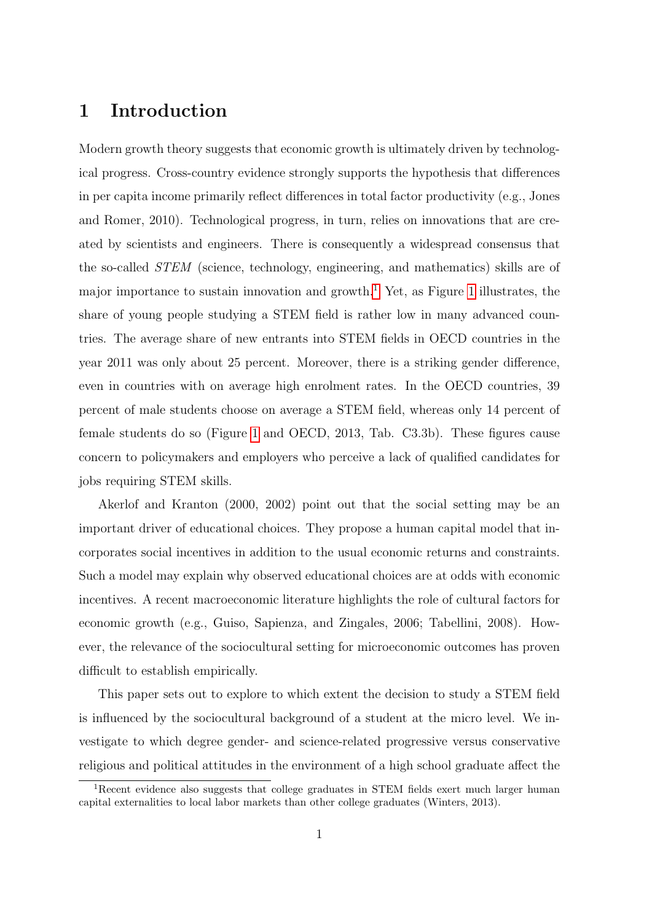### 1 Introduction

Modern growth theory suggests that economic growth is ultimately driven by technological progress. Cross-country evidence strongly supports the hypothesis that differences in per capita income primarily reflect differences in total factor productivity (e.g., Jones and Romer, 2010). Technological progress, in turn, relies on innovations that are created by scientists and engineers. There is consequently a widespread consensus that the so-called STEM (science, technology, engineering, and mathematics) skills are of major importance to sustain innovation and growth.<sup>[1](#page-3-0)</sup> Yet, as Figure [1](#page-4-0) illustrates, the share of young people studying a STEM field is rather low in many advanced countries. The average share of new entrants into STEM fields in OECD countries in the year 2011 was only about 25 percent. Moreover, there is a striking gender difference, even in countries with on average high enrolment rates. In the OECD countries, 39 percent of male students choose on average a STEM field, whereas only 14 percent of female students do so (Figure [1](#page-4-0) and OECD, 2013, Tab. C3.3b). These figures cause concern to policymakers and employers who perceive a lack of qualified candidates for jobs requiring STEM skills.

Akerlof and Kranton (2000, 2002) point out that the social setting may be an important driver of educational choices. They propose a human capital model that incorporates social incentives in addition to the usual economic returns and constraints. Such a model may explain why observed educational choices are at odds with economic incentives. A recent macroeconomic literature highlights the role of cultural factors for economic growth (e.g., Guiso, Sapienza, and Zingales, 2006; Tabellini, 2008). However, the relevance of the sociocultural setting for microeconomic outcomes has proven difficult to establish empirically.

This paper sets out to explore to which extent the decision to study a STEM field is influenced by the sociocultural background of a student at the micro level. We investigate to which degree gender- and science-related progressive versus conservative religious and political attitudes in the environment of a high school graduate affect the

<span id="page-3-0"></span><sup>&</sup>lt;sup>1</sup>Recent evidence also suggests that college graduates in STEM fields exert much larger human capital externalities to local labor markets than other college graduates (Winters, 2013).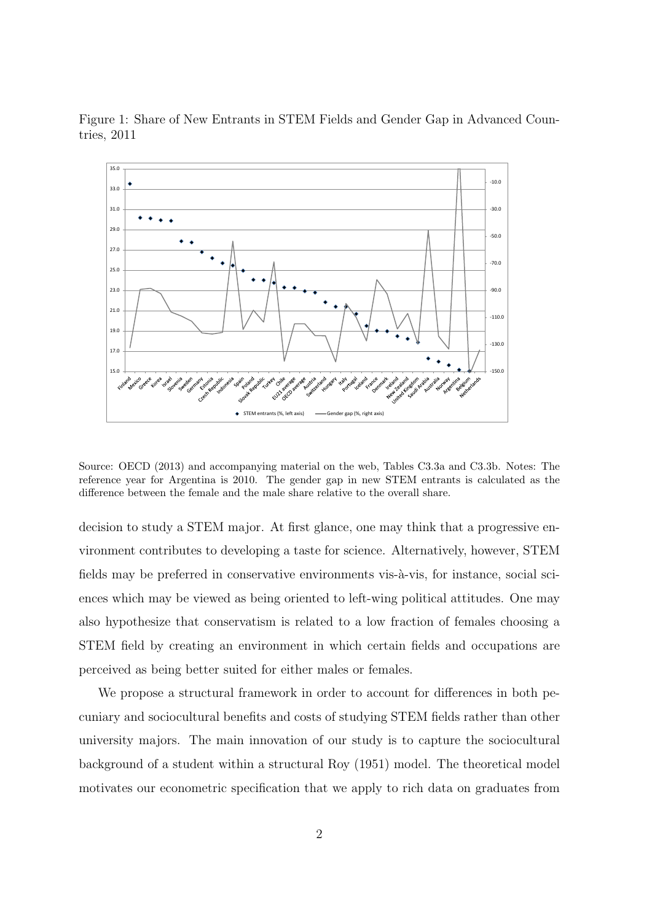

<span id="page-4-0"></span>Figure 1: Share of New Entrants in STEM Fields and Gender Gap in Advanced Countries, 2011

Source: OECD (2013) and accompanying material on the web, Tables C3.3a and C3.3b. Notes: The reference year for Argentina is 2010. The gender gap in new STEM entrants is calculated as the difference between the female and the male share relative to the overall share.

decision to study a STEM major. At first glance, one may think that a progressive environment contributes to developing a taste for science. Alternatively, however, STEM fields may be preferred in conservative environments vis- $\grave{a}$ -vis, for instance, social sciences which may be viewed as being oriented to left-wing political attitudes. One may also hypothesize that conservatism is related to a low fraction of females choosing a STEM field by creating an environment in which certain fields and occupations are perceived as being better suited for either males or females.

We propose a structural framework in order to account for differences in both pecuniary and sociocultural benefits and costs of studying STEM fields rather than other university majors. The main innovation of our study is to capture the sociocultural background of a student within a structural Roy (1951) model. The theoretical model motivates our econometric specification that we apply to rich data on graduates from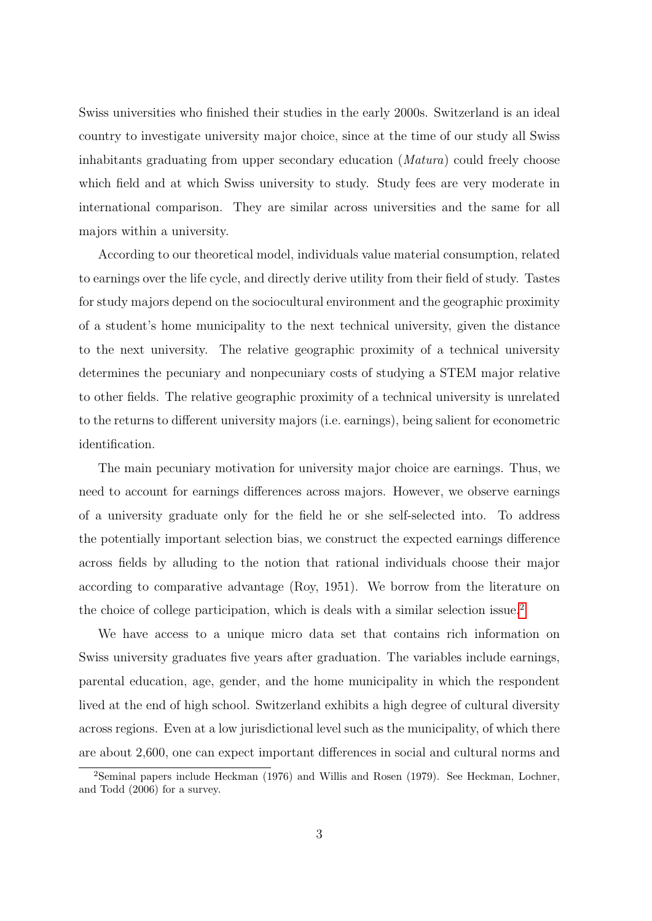Swiss universities who finished their studies in the early 2000s. Switzerland is an ideal country to investigate university major choice, since at the time of our study all Swiss inhabitants graduating from upper secondary education (Matura) could freely choose which field and at which Swiss university to study. Study fees are very moderate in international comparison. They are similar across universities and the same for all majors within a university.

According to our theoretical model, individuals value material consumption, related to earnings over the life cycle, and directly derive utility from their field of study. Tastes for study majors depend on the sociocultural environment and the geographic proximity of a student's home municipality to the next technical university, given the distance to the next university. The relative geographic proximity of a technical university determines the pecuniary and nonpecuniary costs of studying a STEM major relative to other fields. The relative geographic proximity of a technical university is unrelated to the returns to different university majors (i.e. earnings), being salient for econometric identification.

The main pecuniary motivation for university major choice are earnings. Thus, we need to account for earnings differences across majors. However, we observe earnings of a university graduate only for the field he or she self-selected into. To address the potentially important selection bias, we construct the expected earnings difference across fields by alluding to the notion that rational individuals choose their major according to comparative advantage (Roy, 1951). We borrow from the literature on the choice of college participation, which is deals with a similar selection issue.[2](#page-5-0)

We have access to a unique micro data set that contains rich information on Swiss university graduates five years after graduation. The variables include earnings, parental education, age, gender, and the home municipality in which the respondent lived at the end of high school. Switzerland exhibits a high degree of cultural diversity across regions. Even at a low jurisdictional level such as the municipality, of which there are about 2,600, one can expect important differences in social and cultural norms and

<span id="page-5-0"></span><sup>&</sup>lt;sup>2</sup>Seminal papers include Heckman (1976) and Willis and Rosen (1979). See Heckman, Lochner, and Todd (2006) for a survey.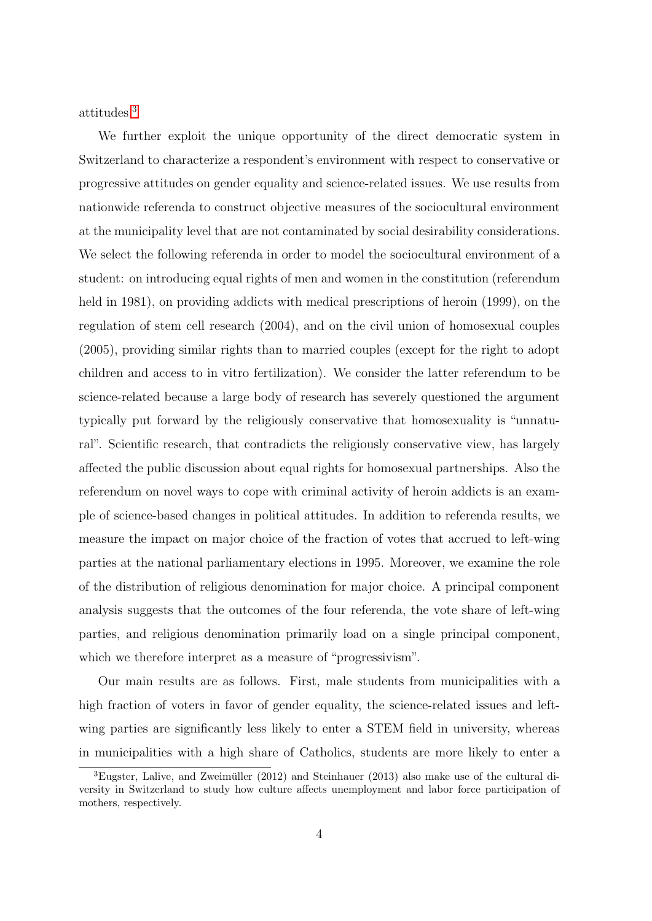attitudes.[3](#page-6-0)

We further exploit the unique opportunity of the direct democratic system in Switzerland to characterize a respondent's environment with respect to conservative or progressive attitudes on gender equality and science-related issues. We use results from nationwide referenda to construct objective measures of the sociocultural environment at the municipality level that are not contaminated by social desirability considerations. We select the following referenda in order to model the sociocultural environment of a student: on introducing equal rights of men and women in the constitution (referendum held in 1981), on providing addicts with medical prescriptions of heroin (1999), on the regulation of stem cell research (2004), and on the civil union of homosexual couples (2005), providing similar rights than to married couples (except for the right to adopt children and access to in vitro fertilization). We consider the latter referendum to be science-related because a large body of research has severely questioned the argument typically put forward by the religiously conservative that homosexuality is "unnatural". Scientific research, that contradicts the religiously conservative view, has largely affected the public discussion about equal rights for homosexual partnerships. Also the referendum on novel ways to cope with criminal activity of heroin addicts is an example of science-based changes in political attitudes. In addition to referenda results, we measure the impact on major choice of the fraction of votes that accrued to left-wing parties at the national parliamentary elections in 1995. Moreover, we examine the role of the distribution of religious denomination for major choice. A principal component analysis suggests that the outcomes of the four referenda, the vote share of left-wing parties, and religious denomination primarily load on a single principal component, which we therefore interpret as a measure of "progressivism".

Our main results are as follows. First, male students from municipalities with a high fraction of voters in favor of gender equality, the science-related issues and leftwing parties are significantly less likely to enter a STEM field in university, whereas in municipalities with a high share of Catholics, students are more likely to enter a

<span id="page-6-0"></span> ${}^{3}$ Eugster, Lalive, and Zweimüller (2012) and Steinhauer (2013) also make use of the cultural diversity in Switzerland to study how culture affects unemployment and labor force participation of mothers, respectively.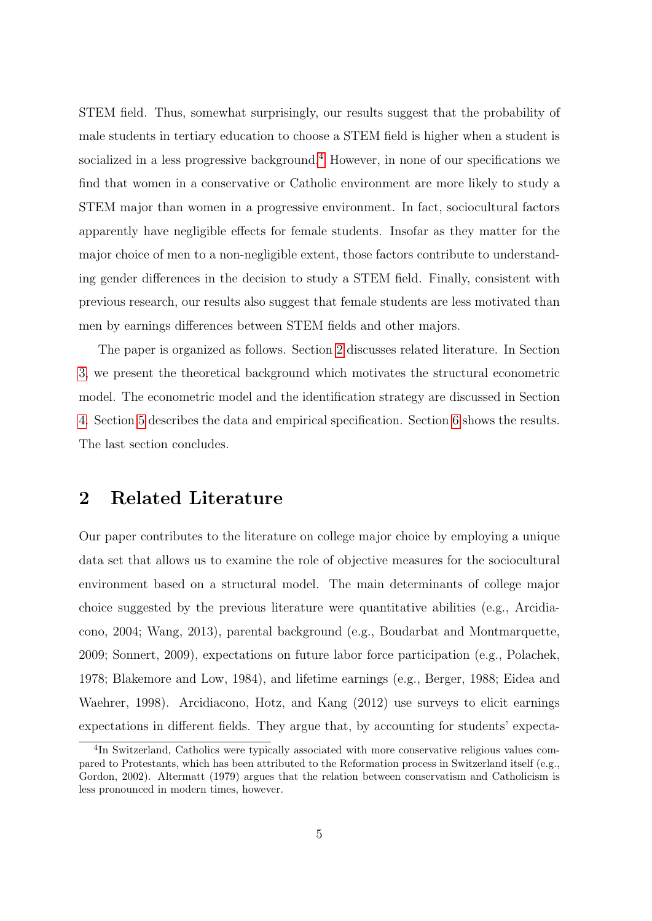STEM field. Thus, somewhat surprisingly, our results suggest that the probability of male students in tertiary education to choose a STEM field is higher when a student is socialized in a less progressive background.<sup>[4](#page-7-0)</sup> However, in none of our specifications we find that women in a conservative or Catholic environment are more likely to study a STEM major than women in a progressive environment. In fact, sociocultural factors apparently have negligible effects for female students. Insofar as they matter for the major choice of men to a non-negligible extent, those factors contribute to understanding gender differences in the decision to study a STEM field. Finally, consistent with previous research, our results also suggest that female students are less motivated than men by earnings differences between STEM fields and other majors.

The paper is organized as follows. Section [2](#page-7-1) discusses related literature. In Section [3,](#page-9-0) we present the theoretical background which motivates the structural econometric model. The econometric model and the identification strategy are discussed in Section [4.](#page-13-0) Section [5](#page-17-0) describes the data and empirical specification. Section [6](#page-26-0) shows the results. The last section concludes.

### <span id="page-7-1"></span>2 Related Literature

Our paper contributes to the literature on college major choice by employing a unique data set that allows us to examine the role of objective measures for the sociocultural environment based on a structural model. The main determinants of college major choice suggested by the previous literature were quantitative abilities (e.g., Arcidiacono, 2004; Wang, 2013), parental background (e.g., Boudarbat and Montmarquette, 2009; Sonnert, 2009), expectations on future labor force participation (e.g., Polachek, 1978; Blakemore and Low, 1984), and lifetime earnings (e.g., Berger, 1988; Eidea and Waehrer, 1998). Arcidiacono, Hotz, and Kang (2012) use surveys to elicit earnings expectations in different fields. They argue that, by accounting for students' expecta-

<span id="page-7-0"></span><sup>&</sup>lt;sup>4</sup>In Switzerland, Catholics were typically associated with more conservative religious values compared to Protestants, which has been attributed to the Reformation process in Switzerland itself (e.g., Gordon, 2002). Altermatt (1979) argues that the relation between conservatism and Catholicism is less pronounced in modern times, however.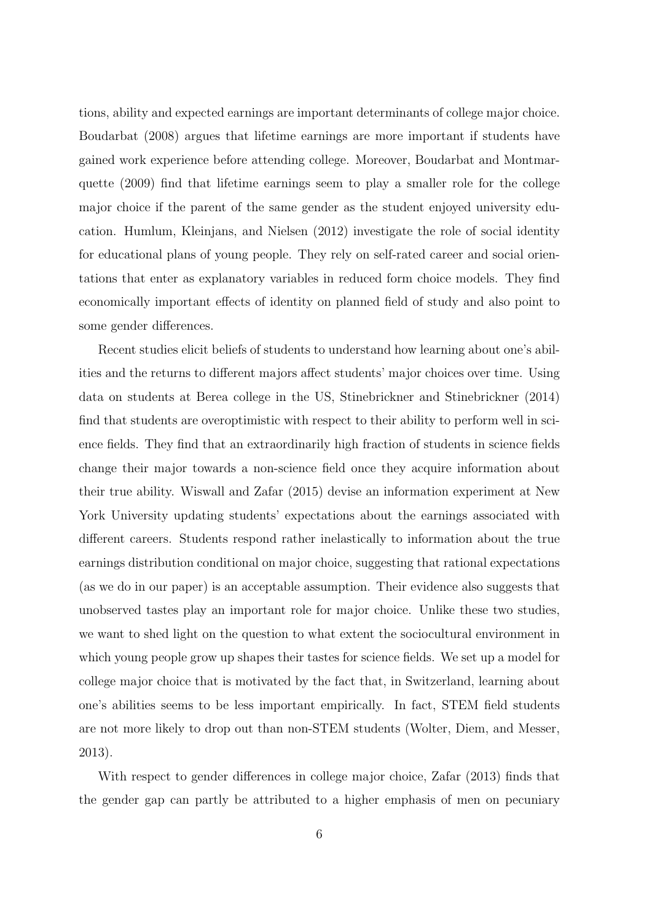tions, ability and expected earnings are important determinants of college major choice. Boudarbat (2008) argues that lifetime earnings are more important if students have gained work experience before attending college. Moreover, Boudarbat and Montmarquette (2009) find that lifetime earnings seem to play a smaller role for the college major choice if the parent of the same gender as the student enjoyed university education. Humlum, Kleinjans, and Nielsen (2012) investigate the role of social identity for educational plans of young people. They rely on self-rated career and social orientations that enter as explanatory variables in reduced form choice models. They find economically important effects of identity on planned field of study and also point to some gender differences.

Recent studies elicit beliefs of students to understand how learning about one's abilities and the returns to different majors affect students' major choices over time. Using data on students at Berea college in the US, Stinebrickner and Stinebrickner (2014) find that students are overoptimistic with respect to their ability to perform well in science fields. They find that an extraordinarily high fraction of students in science fields change their major towards a non-science field once they acquire information about their true ability. Wiswall and Zafar (2015) devise an information experiment at New York University updating students' expectations about the earnings associated with different careers. Students respond rather inelastically to information about the true earnings distribution conditional on major choice, suggesting that rational expectations (as we do in our paper) is an acceptable assumption. Their evidence also suggests that unobserved tastes play an important role for major choice. Unlike these two studies, we want to shed light on the question to what extent the sociocultural environment in which young people grow up shapes their tastes for science fields. We set up a model for college major choice that is motivated by the fact that, in Switzerland, learning about one's abilities seems to be less important empirically. In fact, STEM field students are not more likely to drop out than non-STEM students (Wolter, Diem, and Messer, 2013).

With respect to gender differences in college major choice, Zafar (2013) finds that the gender gap can partly be attributed to a higher emphasis of men on pecuniary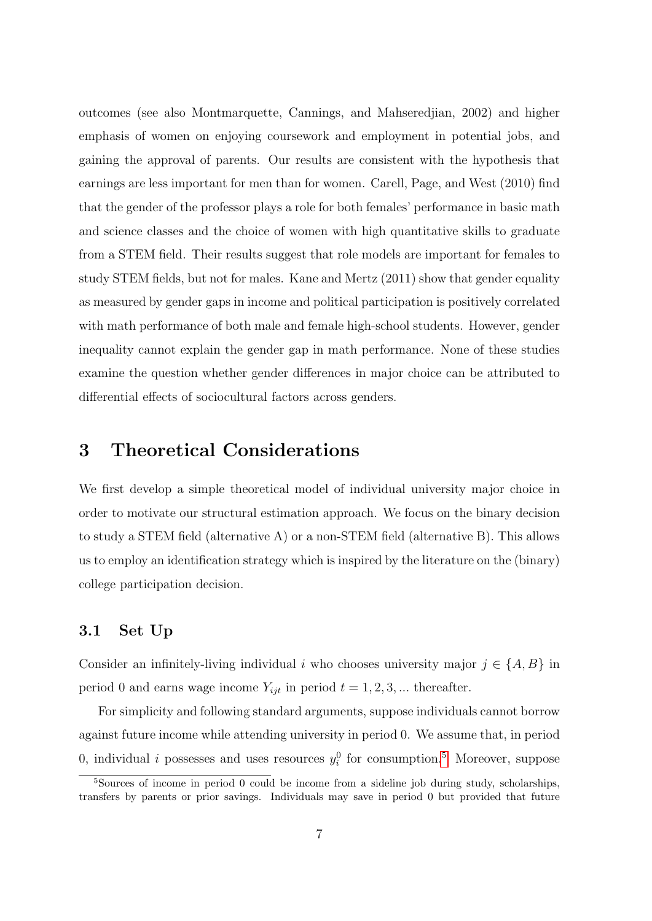outcomes (see also Montmarquette, Cannings, and Mahseredjian, 2002) and higher emphasis of women on enjoying coursework and employment in potential jobs, and gaining the approval of parents. Our results are consistent with the hypothesis that earnings are less important for men than for women. Carell, Page, and West (2010) find that the gender of the professor plays a role for both females' performance in basic math and science classes and the choice of women with high quantitative skills to graduate from a STEM field. Their results suggest that role models are important for females to study STEM fields, but not for males. Kane and Mertz (2011) show that gender equality as measured by gender gaps in income and political participation is positively correlated with math performance of both male and female high-school students. However, gender inequality cannot explain the gender gap in math performance. None of these studies examine the question whether gender differences in major choice can be attributed to differential effects of sociocultural factors across genders.

### <span id="page-9-0"></span>3 Theoretical Considerations

We first develop a simple theoretical model of individual university major choice in order to motivate our structural estimation approach. We focus on the binary decision to study a STEM field (alternative A) or a non-STEM field (alternative B). This allows us to employ an identification strategy which is inspired by the literature on the (binary) college participation decision.

### 3.1 Set Up

Consider an infinitely-living individual i who chooses university major  $j \in \{A, B\}$  in period 0 and earns wage income  $Y_{ijt}$  in period  $t = 1, 2, 3, ...$  thereafter.

For simplicity and following standard arguments, suppose individuals cannot borrow against future income while attending university in period 0. We assume that, in period 0, individual *i* possesses and uses resources  $y_i^0$  for consumption.<sup>[5](#page-9-1)</sup> Moreover, suppose

<span id="page-9-1"></span><sup>5</sup>Sources of income in period 0 could be income from a sideline job during study, scholarships, transfers by parents or prior savings. Individuals may save in period 0 but provided that future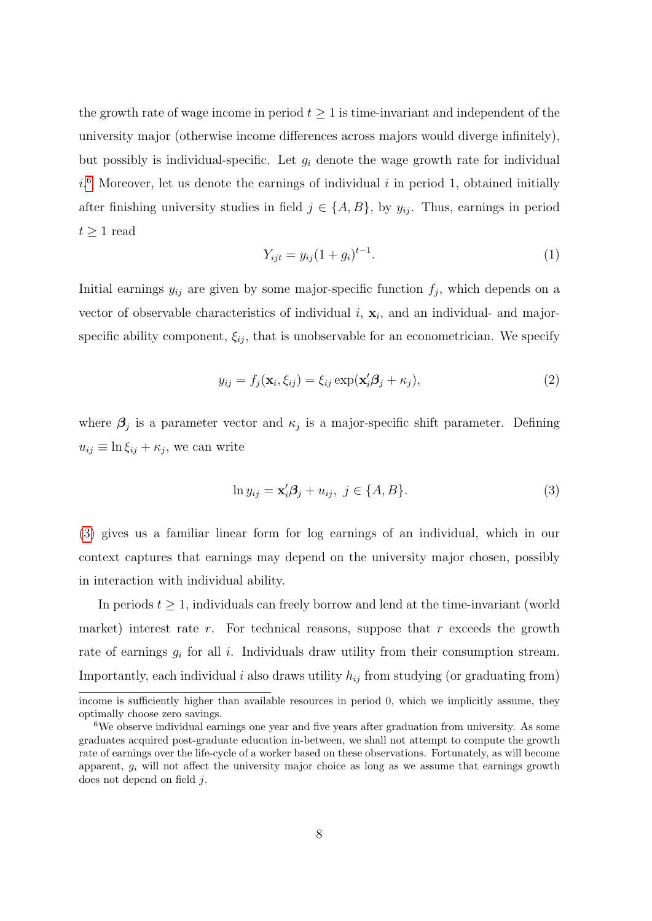the growth rate of wage income in period  $t \geq 1$  is time-invariant and independent of the university major (otherwise income differences across majors would diverge infinitely), but possibly is individual-specific. Let  $g_i$  denote the wage growth rate for individual  $i$ <sup>[6](#page-10-0)</sup> Moreover, let us denote the earnings of individual i in period 1, obtained initially after finishing university studies in field  $j \in \{A, B\}$ , by  $y_{ij}$ . Thus, earnings in period  $t \geq 1$  read

<span id="page-10-2"></span>
$$
Y_{ijt} = y_{ij}(1 + g_i)^{t-1}.
$$
\n(1)

Initial earnings  $y_{ij}$  are given by some major-specific function  $f_j$ , which depends on a vector of observable characteristics of individual  $i$ ,  $\mathbf{x}_i$ , and an individual- and majorspecific ability component,  $\xi_{ij}$ , that is unobservable for an econometrician. We specify

<span id="page-10-3"></span>
$$
y_{ij} = f_j(\mathbf{x}_i, \xi_{ij}) = \xi_{ij} \exp(\mathbf{x}_i'\boldsymbol{\beta}_j + \kappa_j),
$$
\n(2)

where  $\beta_j$  is a parameter vector and  $\kappa_j$  is a major-specific shift parameter. Defining  $u_{ij} \equiv \ln \xi_{ij} + \kappa_j$ , we can write

<span id="page-10-1"></span>
$$
\ln y_{ij} = \mathbf{x}'_i \mathbf{\beta}_j + u_{ij}, \ j \in \{A, B\}.
$$
\n<sup>(3)</sup>

[\(3\)](#page-10-1) gives us a familiar linear form for log earnings of an individual, which in our context captures that earnings may depend on the university major chosen, possibly in interaction with individual ability.

In periods  $t \geq 1$ , individuals can freely borrow and lend at the time-invariant (world market) interest rate r. For technical reasons, suppose that r exceeds the growth rate of earnings  $g_i$  for all i. Individuals draw utility from their consumption stream. Importantly, each individual i also draws utility  $h_{ij}$  from studying (or graduating from)

income is sufficiently higher than available resources in period 0, which we implicitly assume, they optimally choose zero savings.

<span id="page-10-0"></span><sup>6</sup>We observe individual earnings one year and five years after graduation from university. As some graduates acquired post-graduate education in-between, we shall not attempt to compute the growth rate of earnings over the life-cycle of a worker based on these observations. Fortunately, as will become apparent,  $g_i$  will not affect the university major choice as long as we assume that earnings growth does not depend on field j.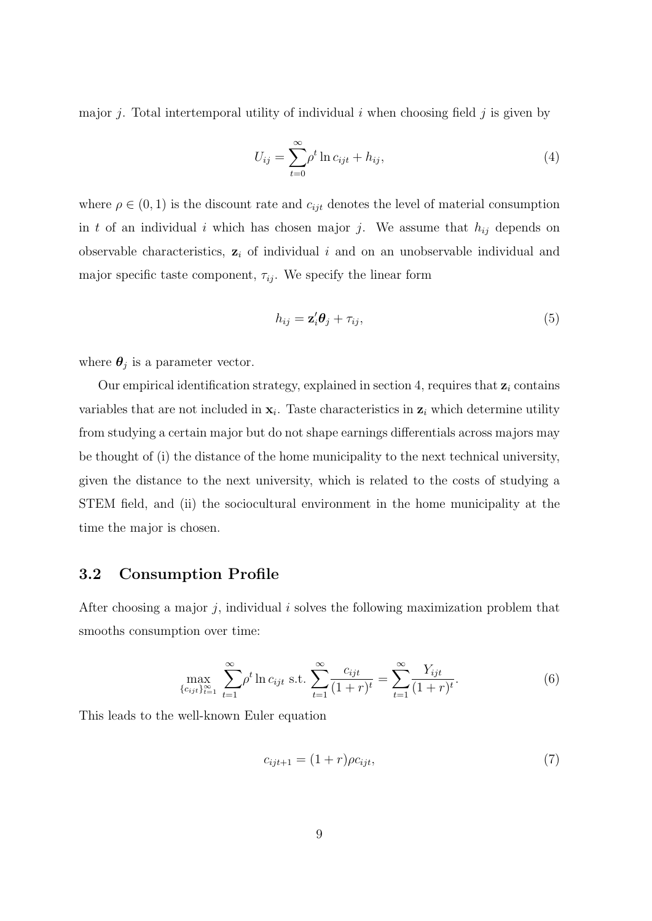major j. Total intertemporal utility of individual i when choosing field j is given by

<span id="page-11-1"></span>
$$
U_{ij} = \sum_{t=0}^{\infty} \rho^t \ln c_{ijt} + h_{ij},\tag{4}
$$

where  $\rho \in (0, 1)$  is the discount rate and  $c_{ijt}$  denotes the level of material consumption in t of an individual i which has chosen major j. We assume that  $h_{ij}$  depends on observable characteristics,  $z_i$  of individual i and on an unobservable individual and major specific taste component,  $\tau_{ij}$ . We specify the linear form

<span id="page-11-3"></span>
$$
h_{ij} = \mathbf{z}'_i \boldsymbol{\theta}_j + \tau_{ij},\tag{5}
$$

where  $\boldsymbol{\theta}_j$  is a parameter vector.

Our empirical identification strategy, explained in section 4, requires that  $z_i$  contains variables that are not included in  $x_i$ . Taste characteristics in  $z_i$  which determine utility from studying a certain major but do not shape earnings differentials across majors may be thought of (i) the distance of the home municipality to the next technical university, given the distance to the next university, which is related to the costs of studying a STEM field, and (ii) the sociocultural environment in the home municipality at the time the major is chosen.

### 3.2 Consumption Profile

After choosing a major  $j$ , individual  $i$  solves the following maximization problem that smooths consumption over time:

<span id="page-11-2"></span>
$$
\max_{\{c_{ijt}\}_{t=1}^{\infty}} \sum_{t=1}^{\infty} \rho^t \ln c_{ijt} \text{ s.t. } \sum_{t=1}^{\infty} \frac{c_{ijt}}{(1+r)^t} = \sum_{t=1}^{\infty} \frac{Y_{ijt}}{(1+r)^t}.
$$
 (6)

This leads to the well-known Euler equation

<span id="page-11-0"></span>
$$
c_{ijt+1} = (1+r)\rho c_{ijt},\tag{7}
$$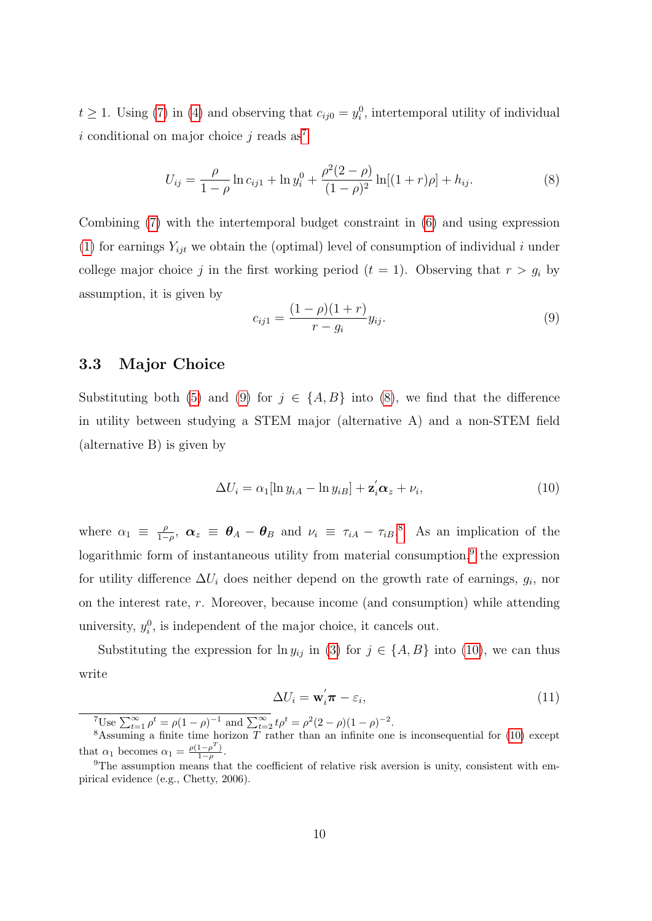$t \geq 1$ . Using [\(7\)](#page-11-0) in [\(4\)](#page-11-1) and observing that  $c_{ij0} = y_i^0$ , intertemporal utility of individual i conditional on major choice j reads  $as^7$  $as^7$ 

<span id="page-12-2"></span>
$$
U_{ij} = \frac{\rho}{1 - \rho} \ln c_{ij1} + \ln y_i^0 + \frac{\rho^2 (2 - \rho)}{(1 - \rho)^2} \ln[(1 + r)\rho] + h_{ij}.
$$
 (8)

Combining [\(7\)](#page-11-0) with the intertemporal budget constraint in [\(6\)](#page-11-2) and using expression [\(1\)](#page-10-2) for earnings  $Y_{ijt}$  we obtain the (optimal) level of consumption of individual i under college major choice j in the first working period  $(t = 1)$ . Observing that  $r > g_i$  by assumption, it is given by

<span id="page-12-1"></span>
$$
c_{ij1} = \frac{(1 - \rho)(1 + r)}{r - g_i} y_{ij}.
$$
\n(9)

#### 3.3 Major Choice

Substituting both [\(5\)](#page-11-3) and [\(9\)](#page-12-1) for  $j \in \{A, B\}$  into [\(8\)](#page-12-2), we find that the difference in utility between studying a STEM major (alternative A) and a non-STEM field (alternative B) is given by

<span id="page-12-5"></span>
$$
\Delta U_i = \alpha_1 [\ln y_{iA} - \ln y_{iB}] + \mathbf{z}_i' \mathbf{\alpha}_z + \nu_i, \qquad (10)
$$

where  $\alpha_1 \equiv \frac{\rho}{1-\rho}$  $\frac{\rho}{1-\rho}$ ,  $\alpha_z \equiv \theta_A - \theta_B$  and  $\nu_i \equiv \tau_{iA} - \tau_{iB}$ .<sup>[8](#page-12-3)</sup> As an implication of the logarithmic form of instantaneous utility from material consumption,<sup>[9](#page-12-4)</sup> the expression for utility difference  $\Delta U_i$  does neither depend on the growth rate of earnings,  $g_i$ , nor on the interest rate, r. Moreover, because income (and consumption) while attending university,  $y_i^0$ , is independent of the major choice, it cancels out.

Substituting the expression for  $\ln y_{ij}$  in [\(3\)](#page-10-1) for  $j \in \{A, B\}$  into [\(10\)](#page-12-5), we can thus write

<span id="page-12-6"></span>
$$
\Delta U_i = \mathbf{w}_i' \boldsymbol{\pi} - \varepsilon_i,\tag{11}
$$

<span id="page-12-3"></span><span id="page-12-0"></span><sup>7</sup>Use  $\sum_{t=1}^{\infty} \rho^t = \rho (1 - \rho)^{-1}$  and  $\sum_{t=2}^{\infty} t \rho^t = \rho^2 (2 - \rho) (1 - \rho)^{-2}$ .

<sup>&</sup>lt;sup>8</sup>Assuming a finite time horizon  $\overline{T}$  rather than an infinite one is inconsequential for [\(10\)](#page-12-5) except that  $\alpha_1$  becomes  $\alpha_1 = \frac{\rho(1-\rho^T)}{1-\rho}$  $\frac{1-\rho}{1-\rho}$ .

<span id="page-12-4"></span><sup>&</sup>lt;sup>9</sup>The assumption means that the coefficient of relative risk aversion is unity, consistent with empirical evidence (e.g., Chetty, 2006).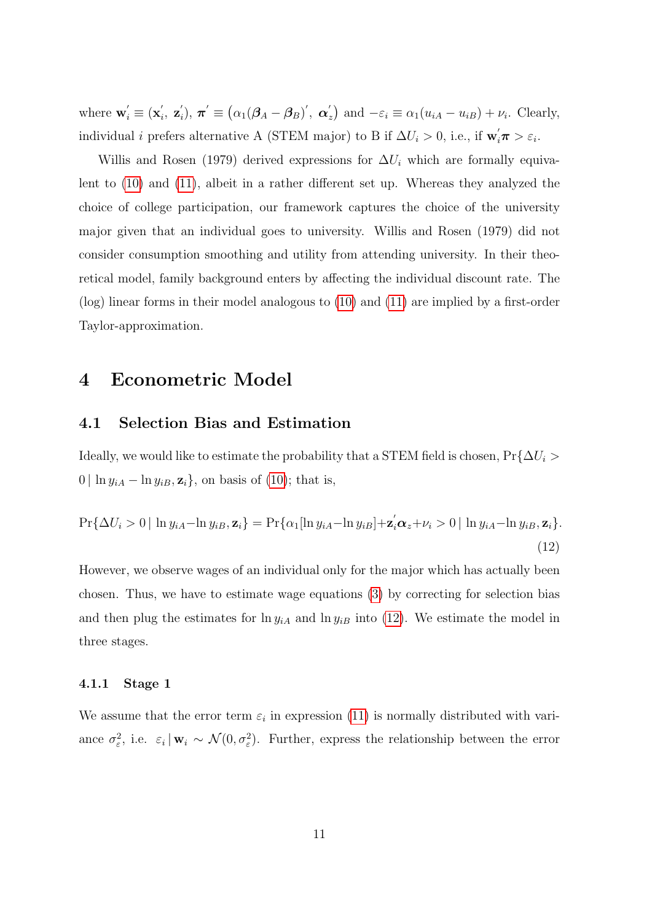where  $\mathbf{w}'_i \equiv (\mathbf{x}'_i)$  $i$ ,  $\mathbf{z}^{'}_i$  $\sigma^{'}_{i}),\, \boldsymbol{\pi}^{'}\equiv\bigl(\alpha_{1}(\boldsymbol{\beta}_{A}-\boldsymbol{\beta}_{B})^{'},\,\, \boldsymbol{\alpha}^{'}_{B}$  $\mathcal{L}_z$ ) and  $-\varepsilon_i \equiv \alpha_1 (u_{iA} - u_{iB}) + \nu_i$ . Clearly, individual *i* prefers alternative A (STEM major) to B if  $\Delta U_i > 0$ , i.e., if  $\mathbf{w}_i' \pi > \varepsilon_i$ .

Willis and Rosen (1979) derived expressions for  $\Delta U_i$  which are formally equivalent to [\(10\)](#page-12-5) and [\(11\)](#page-12-6), albeit in a rather different set up. Whereas they analyzed the choice of college participation, our framework captures the choice of the university major given that an individual goes to university. Willis and Rosen (1979) did not consider consumption smoothing and utility from attending university. In their theoretical model, family background enters by affecting the individual discount rate. The (log) linear forms in their model analogous to [\(10\)](#page-12-5) and [\(11\)](#page-12-6) are implied by a first-order Taylor-approximation.

### <span id="page-13-0"></span>4 Econometric Model

#### 4.1 Selection Bias and Estimation

Ideally, we would like to estimate the probability that a STEM field is chosen,  $Pr{\{\Delta U_i > \|\}}$ 0 | ln  $y_{iA}$  – ln  $y_{iB}, \mathbf{z}_i$ , on basis of [\(10\)](#page-12-5); that is,

<span id="page-13-1"></span>
$$
\Pr\{\Delta U_i > 0 \mid \ln y_{iA} - \ln y_{iB}, \mathbf{z}_i\} = \Pr\{\alpha_1[\ln y_{iA} - \ln y_{iB}] + \mathbf{z}_i' \alpha_z + \nu_i > 0 \mid \ln y_{iA} - \ln y_{iB}, \mathbf{z}_i\}.\tag{12}
$$

However, we observe wages of an individual only for the major which has actually been chosen. Thus, we have to estimate wage equations [\(3\)](#page-10-1) by correcting for selection bias and then plug the estimates for  $\ln y_{iA}$  and  $\ln y_{iB}$  into [\(12\)](#page-13-1). We estimate the model in three stages.

#### 4.1.1 Stage 1

We assume that the error term  $\varepsilon_i$  in expression [\(11\)](#page-12-6) is normally distributed with variance  $\sigma_{\varepsilon}^2$ , i.e.  $\varepsilon_i | \mathbf{w}_i \sim \mathcal{N}(0, \sigma_{\varepsilon}^2)$ . Further, express the relationship between the error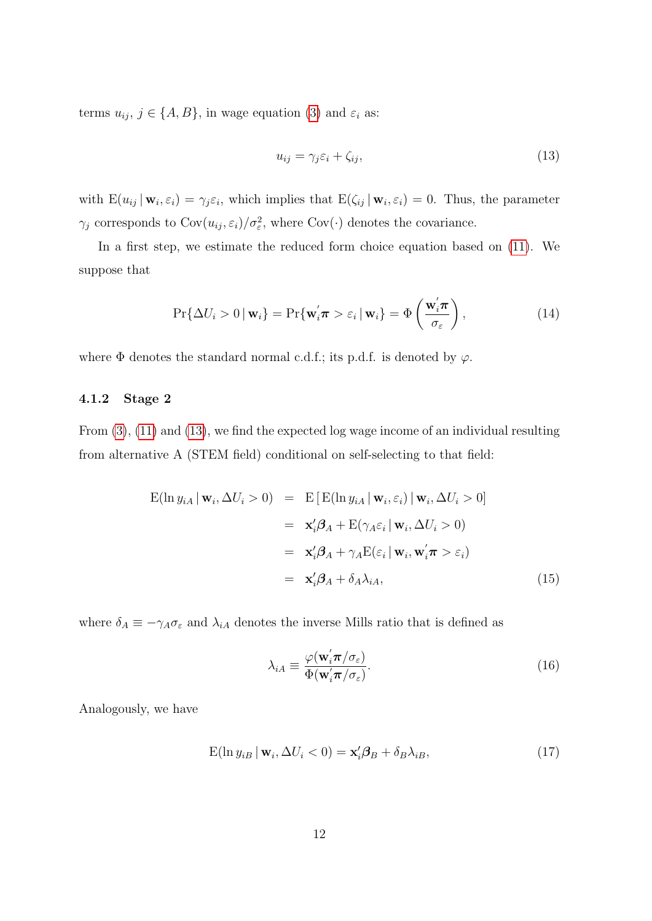terms  $u_{ij}$ ,  $j \in \{A, B\}$ , in wage equation [\(3\)](#page-10-1) and  $\varepsilon_i$  as:

<span id="page-14-0"></span>
$$
u_{ij} = \gamma_j \varepsilon_i + \zeta_{ij},\tag{13}
$$

with  $E(u_{ij} | w_i, \varepsilon_i) = \gamma_j \varepsilon_i$ , which implies that  $E(\zeta_{ij} | w_i, \varepsilon_i) = 0$ . Thus, the parameter  $\gamma_j$  corresponds to  $\text{Cov}(u_{ij}, \varepsilon_i)/\sigma_{\varepsilon}^2$ , where  $\text{Cov}(\cdot)$  denotes the covariance.

In a first step, we estimate the reduced form choice equation based on [\(11\)](#page-12-6). We suppose that

<span id="page-14-4"></span>
$$
\Pr\{\Delta U_i > 0 \,|\, \mathbf{w}_i\} = \Pr\{\mathbf{w}_i' \boldsymbol{\pi} > \varepsilon_i \,|\, \mathbf{w}_i\} = \Phi\left(\frac{\mathbf{w}_i' \boldsymbol{\pi}}{\sigma_{\varepsilon}}\right),\tag{14}
$$

where  $\Phi$  denotes the standard normal c.d.f.; its p.d.f. is denoted by  $\varphi$ .

#### 4.1.2 Stage 2

From [\(3\)](#page-10-1), [\(11\)](#page-12-6) and [\(13\)](#page-14-0), we find the expected log wage income of an individual resulting from alternative A (STEM field) conditional on self-selecting to that field:

<span id="page-14-1"></span>
$$
E(\ln y_{iA} | \mathbf{w}_i, \Delta U_i > 0) = E [E(\ln y_{iA} | \mathbf{w}_i, \varepsilon_i) | \mathbf{w}_i, \Delta U_i > 0]
$$
  
\n
$$
= \mathbf{x}'_i \boldsymbol{\beta}_A + E(\gamma_A \varepsilon_i | \mathbf{w}_i, \Delta U_i > 0)
$$
  
\n
$$
= \mathbf{x}'_i \boldsymbol{\beta}_A + \gamma_A E(\varepsilon_i | \mathbf{w}_i, \mathbf{w}'_i \boldsymbol{\pi} > \varepsilon_i)
$$
  
\n
$$
= \mathbf{x}'_i \boldsymbol{\beta}_A + \delta_A \lambda_{iA},
$$
\n(15)

where  $\delta_A \equiv -\gamma_A \sigma_{\varepsilon}$  and  $\lambda_{iA}$  denotes the inverse Mills ratio that is defined as

<span id="page-14-3"></span>
$$
\lambda_{iA} \equiv \frac{\varphi(\mathbf{w}_i' \pi/\sigma_{\varepsilon})}{\Phi(\mathbf{w}_i' \pi/\sigma_{\varepsilon})}.
$$
\n(16)

Analogously, we have

<span id="page-14-2"></span>
$$
E(\ln y_{iB} | \mathbf{w}_i, \Delta U_i < 0) = \mathbf{x}'_i \boldsymbol{\beta}_B + \delta_B \lambda_{iB},\tag{17}
$$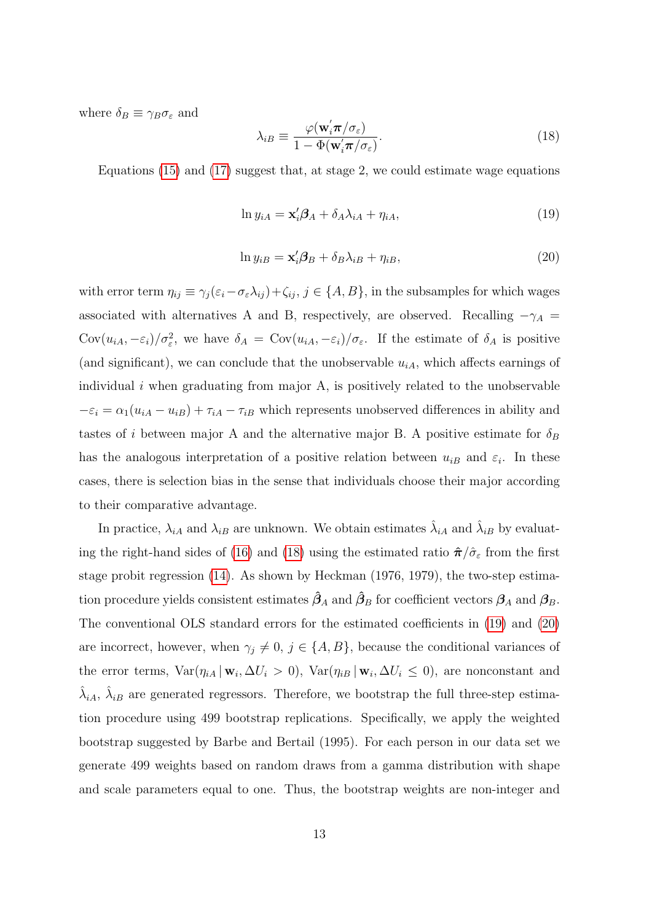where  $\delta_B \equiv \gamma_B \sigma_{\varepsilon}$  and

<span id="page-15-0"></span>
$$
\lambda_{iB} \equiv \frac{\varphi(\mathbf{w}'_i \pi/\sigma_{\varepsilon})}{1 - \Phi(\mathbf{w}'_i \pi/\sigma_{\varepsilon})}.
$$
\n(18)

Equations  $(15)$  and  $(17)$  suggest that, at stage 2, we could estimate wage equations

<span id="page-15-1"></span>
$$
\ln y_{iA} = \mathbf{x}'_i \mathbf{\beta}_A + \delta_A \lambda_{iA} + \eta_{iA},\tag{19}
$$

<span id="page-15-2"></span>
$$
\ln y_{iB} = \mathbf{x}'_i \mathbf{\beta}_B + \delta_B \lambda_{iB} + \eta_{iB},\tag{20}
$$

with error term  $\eta_{ij} \equiv \gamma_j(\varepsilon_i - \sigma_\varepsilon \lambda_{ij}) + \zeta_{ij}, j \in \{A, B\}$ , in the subsamples for which wages associated with alternatives A and B, respectively, are observed. Recalling  $-\gamma_A$  = Cov $(u_{iA}, -\varepsilon_i)/\sigma_{\varepsilon}^2$ , we have  $\delta_A = \text{Cov}(u_{iA}, -\varepsilon_i)/\sigma_{\varepsilon}$ . If the estimate of  $\delta_A$  is positive (and significant), we can conclude that the unobservable  $u_{iA}$ , which affects earnings of individual  $i$  when graduating from major A, is positively related to the unobservable  $-\varepsilon_i = \alpha_1(u_{iA} - u_{iB}) + \tau_{iA} - \tau_{iB}$  which represents unobserved differences in ability and tastes of i between major A and the alternative major B. A positive estimate for  $\delta_B$ has the analogous interpretation of a positive relation between  $u_{iB}$  and  $\varepsilon_i$ . In these cases, there is selection bias in the sense that individuals choose their major according to their comparative advantage.

In practice,  $\lambda_{iA}$  and  $\lambda_{iB}$  are unknown. We obtain estimates  $\hat{\lambda}_{iA}$  and  $\hat{\lambda}_{iB}$  by evaluat-ing the right-hand sides of [\(16\)](#page-14-3) and [\(18\)](#page-15-0) using the estimated ratio  $\hat{\pi}/\hat{\sigma}_{\varepsilon}$  from the first stage probit regression [\(14\)](#page-14-4). As shown by Heckman (1976, 1979), the two-step estimation procedure yields consistent estimates  $\hat{\beta}_A$  and  $\hat{\beta}_B$  for coefficient vectors  $\beta_A$  and  $\beta_B$ . The conventional OLS standard errors for the estimated coefficients in [\(19\)](#page-15-1) and [\(20\)](#page-15-2) are incorrect, however, when  $\gamma_j \neq 0, j \in \{A, B\}$ , because the conditional variances of the error terms,  $Var(\eta_{iA} | \mathbf{w}_i, \Delta U_i > 0)$ ,  $Var(\eta_{iB} | \mathbf{w}_i, \Delta U_i \le 0)$ , are nonconstant and  $\hat{\lambda}_{iA}, \hat{\lambda}_{iB}$  are generated regressors. Therefore, we bootstrap the full three-step estimation procedure using 499 bootstrap replications. Specifically, we apply the weighted bootstrap suggested by Barbe and Bertail (1995). For each person in our data set we generate 499 weights based on random draws from a gamma distribution with shape and scale parameters equal to one. Thus, the bootstrap weights are non-integer and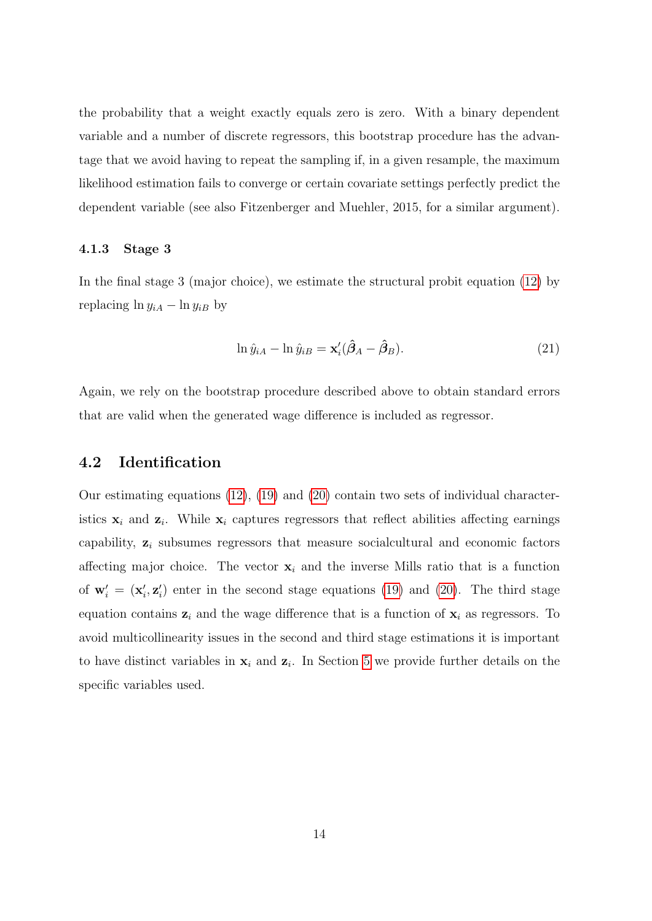the probability that a weight exactly equals zero is zero. With a binary dependent variable and a number of discrete regressors, this bootstrap procedure has the advantage that we avoid having to repeat the sampling if, in a given resample, the maximum likelihood estimation fails to converge or certain covariate settings perfectly predict the dependent variable (see also Fitzenberger and Muehler, 2015, for a similar argument).

#### 4.1.3 Stage 3

In the final stage 3 (major choice), we estimate the structural probit equation [\(12\)](#page-13-1) by replacing  $\ln y_{iA} - \ln y_{iB}$  by

<span id="page-16-0"></span>
$$
\ln \hat{y}_{iA} - \ln \hat{y}_{iB} = \mathbf{x}'_i(\hat{\beta}_A - \hat{\beta}_B). \tag{21}
$$

Again, we rely on the bootstrap procedure described above to obtain standard errors that are valid when the generated wage difference is included as regressor.

### 4.2 Identification

Our estimating equations [\(12\)](#page-13-1), [\(19\)](#page-15-1) and [\(20\)](#page-15-2) contain two sets of individual characteristics  $x_i$  and  $z_i$ . While  $x_i$  captures regressors that reflect abilities affecting earnings capability,  $z_i$  subsumes regressors that measure socialcultural and economic factors affecting major choice. The vector  $x_i$  and the inverse Mills ratio that is a function of  $\mathbf{w}'_i = (\mathbf{x}'_i, \mathbf{z}'_i)$  enter in the second stage equations [\(19\)](#page-15-1) and [\(20\)](#page-15-2). The third stage equation contains  $z_i$  and the wage difference that is a function of  $x_i$  as regressors. To avoid multicollinearity issues in the second and third stage estimations it is important to have distinct variables in  $x_i$  and  $z_i$ . In Section [5](#page-17-0) we provide further details on the specific variables used.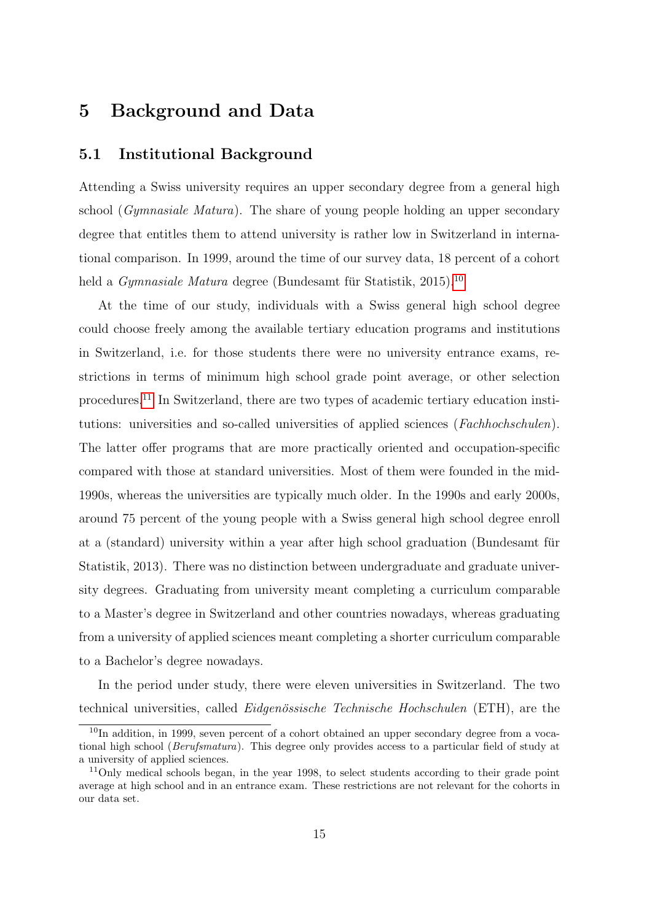# <span id="page-17-0"></span>5 Background and Data

### 5.1 Institutional Background

Attending a Swiss university requires an upper secondary degree from a general high school (Gymnasiale Matura). The share of young people holding an upper secondary degree that entitles them to attend university is rather low in Switzerland in international comparison. In 1999, around the time of our survey data, 18 percent of a cohort held a *Gymnasiale Matura* degree (Bundesamt für Statistik, 2015).<sup>[10](#page-17-1)</sup>

At the time of our study, individuals with a Swiss general high school degree could choose freely among the available tertiary education programs and institutions in Switzerland, i.e. for those students there were no university entrance exams, restrictions in terms of minimum high school grade point average, or other selection procedures.[11](#page-17-2) In Switzerland, there are two types of academic tertiary education institutions: universities and so-called universities of applied sciences (Fachhochschulen). The latter offer programs that are more practically oriented and occupation-specific compared with those at standard universities. Most of them were founded in the mid-1990s, whereas the universities are typically much older. In the 1990s and early 2000s, around 75 percent of the young people with a Swiss general high school degree enroll at a (standard) university within a year after high school graduation (Bundesamt für Statistik, 2013). There was no distinction between undergraduate and graduate university degrees. Graduating from university meant completing a curriculum comparable to a Master's degree in Switzerland and other countries nowadays, whereas graduating from a university of applied sciences meant completing a shorter curriculum comparable to a Bachelor's degree nowadays.

In the period under study, there were eleven universities in Switzerland. The two technical universities, called *Eidgenössische Technische Hochschulen* (ETH), are the

<span id="page-17-1"></span><sup>&</sup>lt;sup>10</sup>In addition, in 1999, seven percent of a cohort obtained an upper secondary degree from a vocational high school (Berufsmatura). This degree only provides access to a particular field of study at a university of applied sciences.

<span id="page-17-2"></span><sup>&</sup>lt;sup>11</sup>Only medical schools began, in the year 1998, to select students according to their grade point average at high school and in an entrance exam. These restrictions are not relevant for the cohorts in our data set.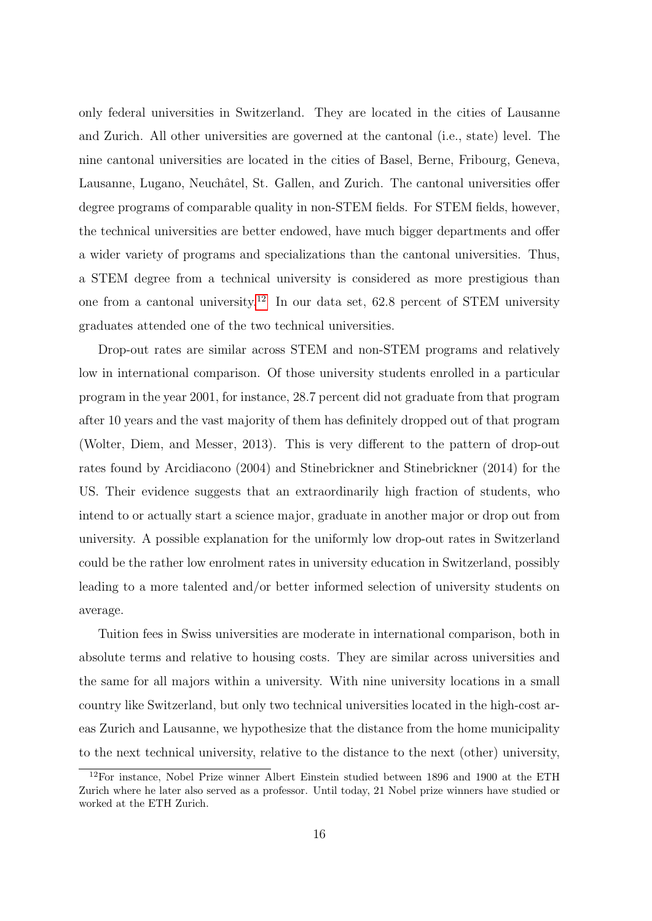only federal universities in Switzerland. They are located in the cities of Lausanne and Zurich. All other universities are governed at the cantonal (i.e., state) level. The nine cantonal universities are located in the cities of Basel, Berne, Fribourg, Geneva, Lausanne, Lugano, Neuchâtel, St. Gallen, and Zurich. The cantonal universities offer degree programs of comparable quality in non-STEM fields. For STEM fields, however, the technical universities are better endowed, have much bigger departments and offer a wider variety of programs and specializations than the cantonal universities. Thus, a STEM degree from a technical university is considered as more prestigious than one from a cantonal university.<sup>[12](#page-18-0)</sup> In our data set, 62.8 percent of STEM university graduates attended one of the two technical universities.

Drop-out rates are similar across STEM and non-STEM programs and relatively low in international comparison. Of those university students enrolled in a particular program in the year 2001, for instance, 28.7 percent did not graduate from that program after 10 years and the vast majority of them has definitely dropped out of that program (Wolter, Diem, and Messer, 2013). This is very different to the pattern of drop-out rates found by Arcidiacono (2004) and Stinebrickner and Stinebrickner (2014) for the US. Their evidence suggests that an extraordinarily high fraction of students, who intend to or actually start a science major, graduate in another major or drop out from university. A possible explanation for the uniformly low drop-out rates in Switzerland could be the rather low enrolment rates in university education in Switzerland, possibly leading to a more talented and/or better informed selection of university students on average.

Tuition fees in Swiss universities are moderate in international comparison, both in absolute terms and relative to housing costs. They are similar across universities and the same for all majors within a university. With nine university locations in a small country like Switzerland, but only two technical universities located in the high-cost areas Zurich and Lausanne, we hypothesize that the distance from the home municipality to the next technical university, relative to the distance to the next (other) university,

<span id="page-18-0"></span><sup>12</sup>For instance, Nobel Prize winner Albert Einstein studied between 1896 and 1900 at the ETH Zurich where he later also served as a professor. Until today, 21 Nobel prize winners have studied or worked at the ETH Zurich.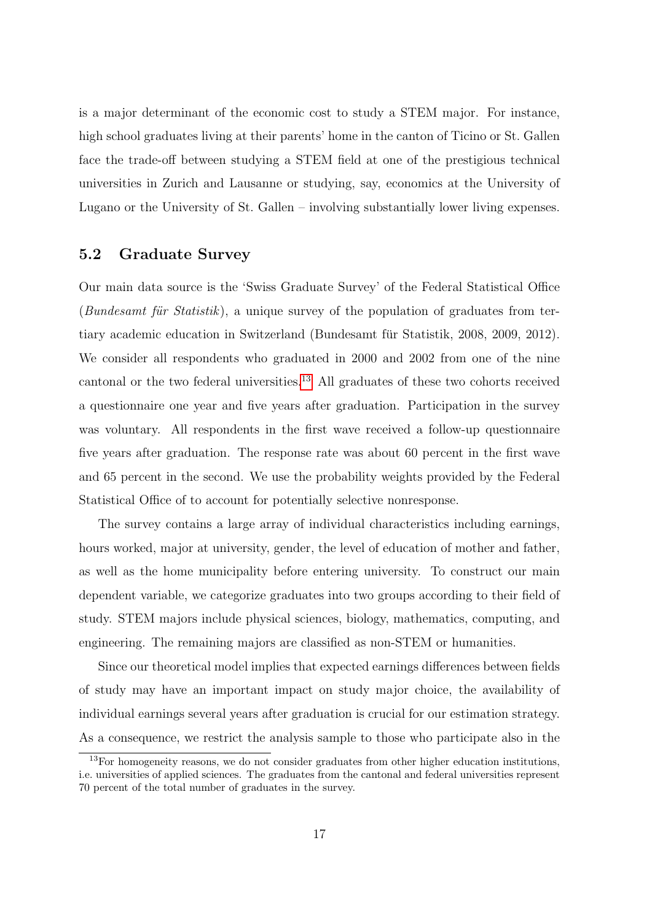is a major determinant of the economic cost to study a STEM major. For instance, high school graduates living at their parents' home in the canton of Ticino or St. Gallen face the trade-off between studying a STEM field at one of the prestigious technical universities in Zurich and Lausanne or studying, say, economics at the University of Lugano or the University of St. Gallen – involving substantially lower living expenses.

### 5.2 Graduate Survey

Our main data source is the 'Swiss Graduate Survey' of the Federal Statistical Office  $(Bundesamt für Statistik)$ , a unique survey of the population of graduates from tertiary academic education in Switzerland (Bundesamt für Statistik, 2008, 2009, 2012). We consider all respondents who graduated in 2000 and 2002 from one of the nine cantonal or the two federal universities.<sup>[13](#page-19-0)</sup> All graduates of these two cohorts received a questionnaire one year and five years after graduation. Participation in the survey was voluntary. All respondents in the first wave received a follow-up questionnaire five years after graduation. The response rate was about 60 percent in the first wave and 65 percent in the second. We use the probability weights provided by the Federal Statistical Office of to account for potentially selective nonresponse.

The survey contains a large array of individual characteristics including earnings, hours worked, major at university, gender, the level of education of mother and father, as well as the home municipality before entering university. To construct our main dependent variable, we categorize graduates into two groups according to their field of study. STEM majors include physical sciences, biology, mathematics, computing, and engineering. The remaining majors are classified as non-STEM or humanities.

Since our theoretical model implies that expected earnings differences between fields of study may have an important impact on study major choice, the availability of individual earnings several years after graduation is crucial for our estimation strategy. As a consequence, we restrict the analysis sample to those who participate also in the

<span id="page-19-0"></span> $13$ For homogeneity reasons, we do not consider graduates from other higher education institutions, i.e. universities of applied sciences. The graduates from the cantonal and federal universities represent 70 percent of the total number of graduates in the survey.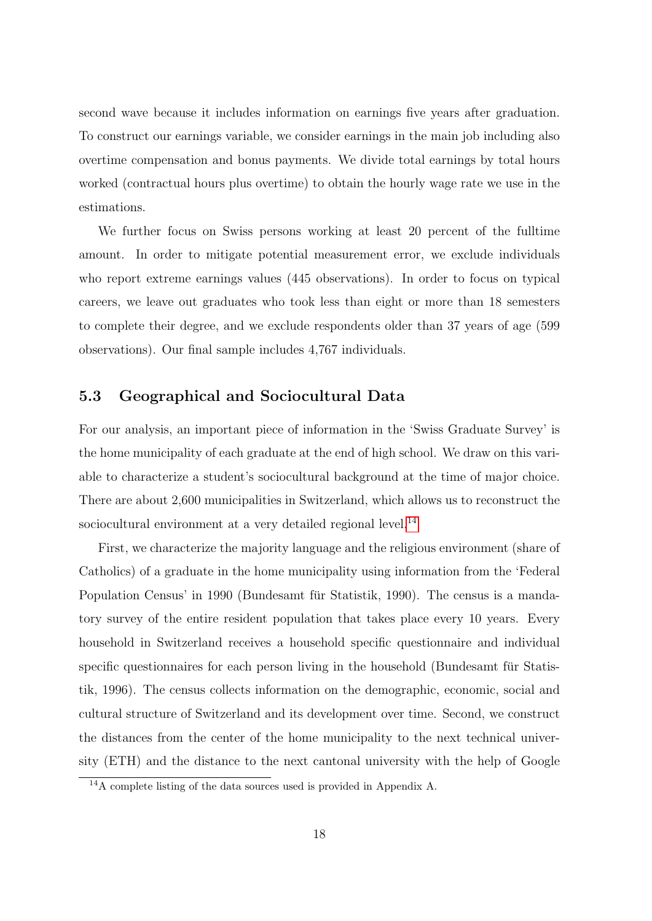second wave because it includes information on earnings five years after graduation. To construct our earnings variable, we consider earnings in the main job including also overtime compensation and bonus payments. We divide total earnings by total hours worked (contractual hours plus overtime) to obtain the hourly wage rate we use in the estimations.

We further focus on Swiss persons working at least 20 percent of the fulltime amount. In order to mitigate potential measurement error, we exclude individuals who report extreme earnings values (445 observations). In order to focus on typical careers, we leave out graduates who took less than eight or more than 18 semesters to complete their degree, and we exclude respondents older than 37 years of age (599 observations). Our final sample includes 4,767 individuals.

#### 5.3 Geographical and Sociocultural Data

For our analysis, an important piece of information in the 'Swiss Graduate Survey' is the home municipality of each graduate at the end of high school. We draw on this variable to characterize a student's sociocultural background at the time of major choice. There are about 2,600 municipalities in Switzerland, which allows us to reconstruct the sociocultural environment at a very detailed regional level.<sup>[14](#page-20-0)</sup>

First, we characterize the majority language and the religious environment (share of Catholics) of a graduate in the home municipality using information from the 'Federal Population Census' in 1990 (Bundesamt für Statistik, 1990). The census is a mandatory survey of the entire resident population that takes place every 10 years. Every household in Switzerland receives a household specific questionnaire and individual specific questionnaires for each person living in the household (Bundesamt für Statistik, 1996). The census collects information on the demographic, economic, social and cultural structure of Switzerland and its development over time. Second, we construct the distances from the center of the home municipality to the next technical university (ETH) and the distance to the next cantonal university with the help of Google

<span id="page-20-0"></span><sup>14</sup>A complete listing of the data sources used is provided in Appendix A.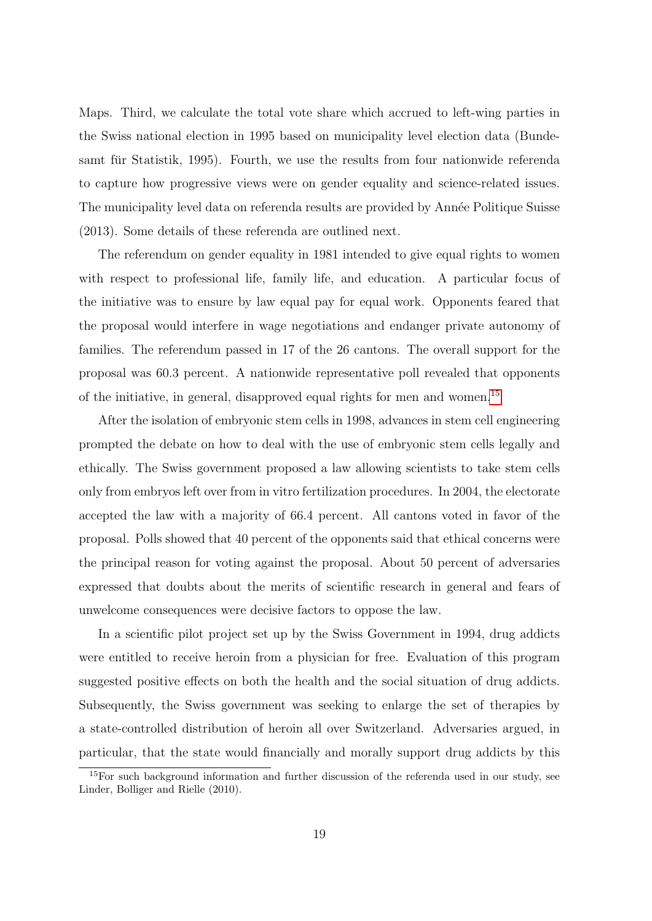Maps. Third, we calculate the total vote share which accrued to left-wing parties in the Swiss national election in 1995 based on municipality level election data (Bundesamt für Statistik, 1995). Fourth, we use the results from four nationwide referenda to capture how progressive views were on gender equality and science-related issues. The municipality level data on referenda results are provided by Année Politique Suisse (2013). Some details of these referenda are outlined next.

The referendum on gender equality in 1981 intended to give equal rights to women with respect to professional life, family life, and education. A particular focus of the initiative was to ensure by law equal pay for equal work. Opponents feared that the proposal would interfere in wage negotiations and endanger private autonomy of families. The referendum passed in 17 of the 26 cantons. The overall support for the proposal was 60.3 percent. A nationwide representative poll revealed that opponents of the initiative, in general, disapproved equal rights for men and women.[15](#page-21-0)

After the isolation of embryonic stem cells in 1998, advances in stem cell engineering prompted the debate on how to deal with the use of embryonic stem cells legally and ethically. The Swiss government proposed a law allowing scientists to take stem cells only from embryos left over from in vitro fertilization procedures. In 2004, the electorate accepted the law with a majority of 66.4 percent. All cantons voted in favor of the proposal. Polls showed that 40 percent of the opponents said that ethical concerns were the principal reason for voting against the proposal. About 50 percent of adversaries expressed that doubts about the merits of scientific research in general and fears of unwelcome consequences were decisive factors to oppose the law.

In a scientific pilot project set up by the Swiss Government in 1994, drug addicts were entitled to receive heroin from a physician for free. Evaluation of this program suggested positive effects on both the health and the social situation of drug addicts. Subsequently, the Swiss government was seeking to enlarge the set of therapies by a state-controlled distribution of heroin all over Switzerland. Adversaries argued, in particular, that the state would financially and morally support drug addicts by this

<span id="page-21-0"></span><sup>&</sup>lt;sup>15</sup>For such background information and further discussion of the referenda used in our study, see Linder, Bolliger and Rielle (2010).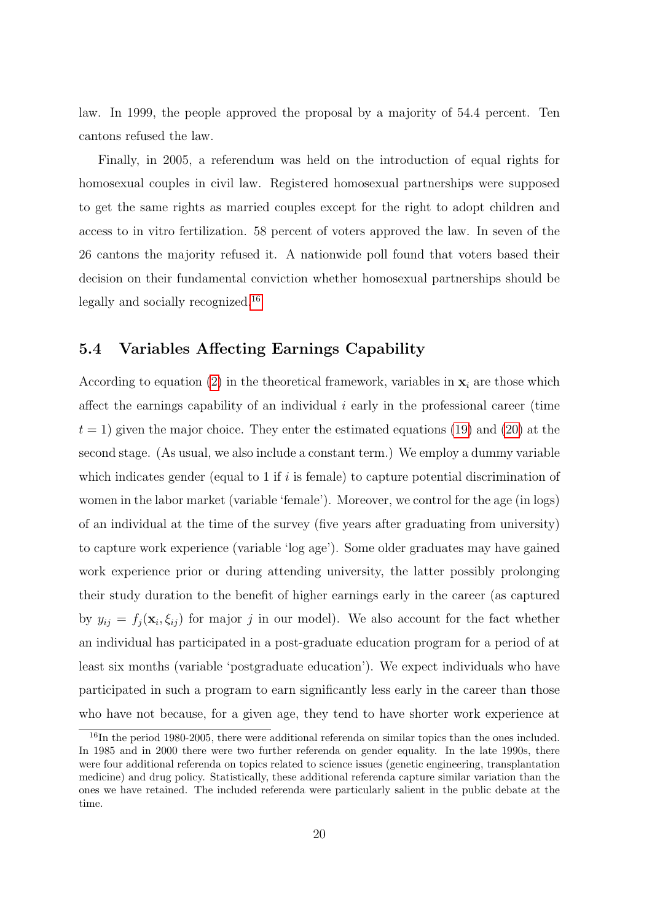law. In 1999, the people approved the proposal by a majority of 54.4 percent. Ten cantons refused the law.

Finally, in 2005, a referendum was held on the introduction of equal rights for homosexual couples in civil law. Registered homosexual partnerships were supposed to get the same rights as married couples except for the right to adopt children and access to in vitro fertilization. 58 percent of voters approved the law. In seven of the 26 cantons the majority refused it. A nationwide poll found that voters based their decision on their fundamental conviction whether homosexual partnerships should be legally and socially recognized.<sup>[16](#page-22-0)</sup>

### 5.4 Variables Affecting Earnings Capability

According to equation [\(2\)](#page-10-3) in the theoretical framework, variables in  $x_i$  are those which affect the earnings capability of an individual  $i$  early in the professional career (time  $t = 1$ ) given the major choice. They enter the estimated equations [\(19\)](#page-15-1) and [\(20\)](#page-15-2) at the second stage. (As usual, we also include a constant term.) We employ a dummy variable which indicates gender (equal to 1 if  $i$  is female) to capture potential discrimination of women in the labor market (variable 'female'). Moreover, we control for the age (in logs) of an individual at the time of the survey (five years after graduating from university) to capture work experience (variable 'log age'). Some older graduates may have gained work experience prior or during attending university, the latter possibly prolonging their study duration to the benefit of higher earnings early in the career (as captured by  $y_{ij} = f_j(\mathbf{x}_i, \xi_{ij})$  for major j in our model). We also account for the fact whether an individual has participated in a post-graduate education program for a period of at least six months (variable 'postgraduate education'). We expect individuals who have participated in such a program to earn significantly less early in the career than those who have not because, for a given age, they tend to have shorter work experience at

<span id="page-22-0"></span><sup>16</sup>In the period 1980-2005, there were additional referenda on similar topics than the ones included. In 1985 and in 2000 there were two further referenda on gender equality. In the late 1990s, there were four additional referenda on topics related to science issues (genetic engineering, transplantation medicine) and drug policy. Statistically, these additional referenda capture similar variation than the ones we have retained. The included referenda were particularly salient in the public debate at the time.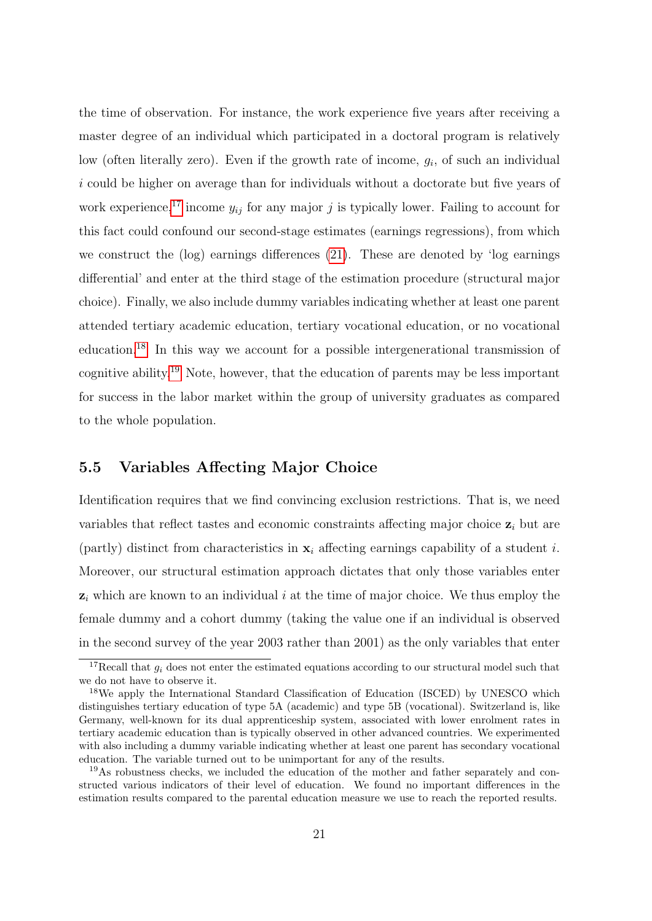the time of observation. For instance, the work experience five years after receiving a master degree of an individual which participated in a doctoral program is relatively low (often literally zero). Even if the growth rate of income,  $g_i$ , of such an individual i could be higher on average than for individuals without a doctorate but five years of work experience,<sup>[17](#page-23-0)</sup> income  $y_{ij}$  for any major j is typically lower. Failing to account for this fact could confound our second-stage estimates (earnings regressions), from which we construct the (log) earnings differences [\(21\)](#page-16-0). These are denoted by 'log earnings differential' and enter at the third stage of the estimation procedure (structural major choice). Finally, we also include dummy variables indicating whether at least one parent attended tertiary academic education, tertiary vocational education, or no vocational education.[18](#page-23-1) In this way we account for a possible intergenerational transmission of cognitive ability.[19](#page-23-2) Note, however, that the education of parents may be less important for success in the labor market within the group of university graduates as compared to the whole population.

### 5.5 Variables Affecting Major Choice

Identification requires that we find convincing exclusion restrictions. That is, we need variables that reflect tastes and economic constraints affecting major choice  $z_i$  but are (partly) distinct from characteristics in  $x_i$  affecting earnings capability of a student i. Moreover, our structural estimation approach dictates that only those variables enter  $z_i$  which are known to an individual i at the time of major choice. We thus employ the female dummy and a cohort dummy (taking the value one if an individual is observed in the second survey of the year 2003 rather than 2001) as the only variables that enter

<span id="page-23-0"></span><sup>&</sup>lt;sup>17</sup>Recall that  $q_i$  does not enter the estimated equations according to our structural model such that we do not have to observe it.

<span id="page-23-1"></span><sup>18</sup>We apply the International Standard Classification of Education (ISCED) by UNESCO which distinguishes tertiary education of type 5A (academic) and type 5B (vocational). Switzerland is, like Germany, well-known for its dual apprenticeship system, associated with lower enrolment rates in tertiary academic education than is typically observed in other advanced countries. We experimented with also including a dummy variable indicating whether at least one parent has secondary vocational education. The variable turned out to be unimportant for any of the results.

<span id="page-23-2"></span><sup>&</sup>lt;sup>19</sup>As robustness checks, we included the education of the mother and father separately and constructed various indicators of their level of education. We found no important differences in the estimation results compared to the parental education measure we use to reach the reported results.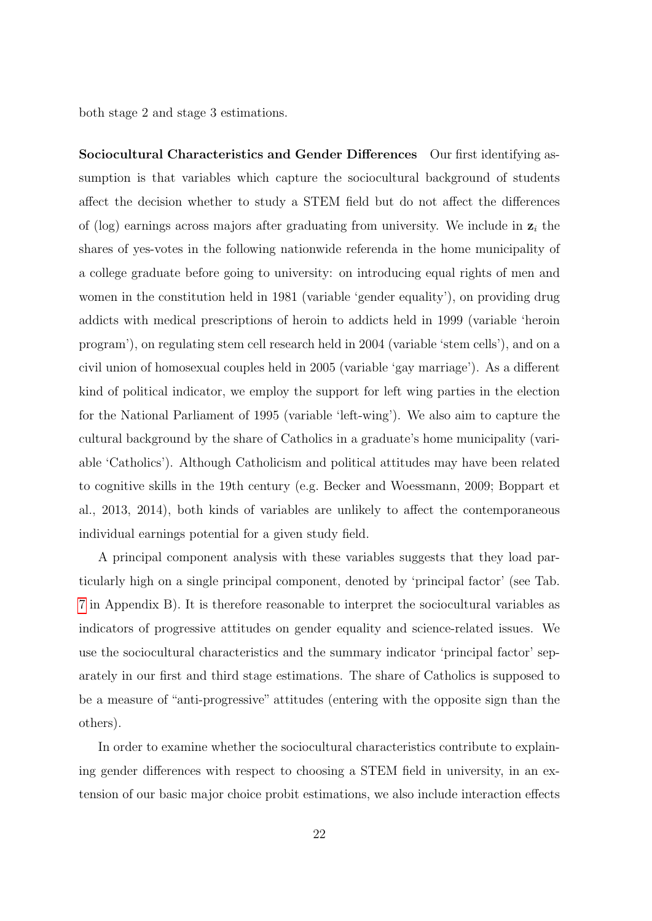both stage 2 and stage 3 estimations.

Sociocultural Characteristics and Gender Differences Our first identifying assumption is that variables which capture the sociocultural background of students affect the decision whether to study a STEM field but do not affect the differences of (log) earnings across majors after graduating from university. We include in  $z_i$  the shares of yes-votes in the following nationwide referenda in the home municipality of a college graduate before going to university: on introducing equal rights of men and women in the constitution held in 1981 (variable 'gender equality'), on providing drug addicts with medical prescriptions of heroin to addicts held in 1999 (variable 'heroin program'), on regulating stem cell research held in 2004 (variable 'stem cells'), and on a civil union of homosexual couples held in 2005 (variable 'gay marriage'). As a different kind of political indicator, we employ the support for left wing parties in the election for the National Parliament of 1995 (variable 'left-wing'). We also aim to capture the cultural background by the share of Catholics in a graduate's home municipality (variable 'Catholics'). Although Catholicism and political attitudes may have been related to cognitive skills in the 19th century (e.g. Becker and Woessmann, 2009; Boppart et al., 2013, 2014), both kinds of variables are unlikely to affect the contemporaneous individual earnings potential for a given study field.

A principal component analysis with these variables suggests that they load particularly high on a single principal component, denoted by 'principal factor' (see Tab. [7](#page-45-0) in Appendix B). It is therefore reasonable to interpret the sociocultural variables as indicators of progressive attitudes on gender equality and science-related issues. We use the sociocultural characteristics and the summary indicator 'principal factor' separately in our first and third stage estimations. The share of Catholics is supposed to be a measure of "anti-progressive" attitudes (entering with the opposite sign than the others).

In order to examine whether the sociocultural characteristics contribute to explaining gender differences with respect to choosing a STEM field in university, in an extension of our basic major choice probit estimations, we also include interaction effects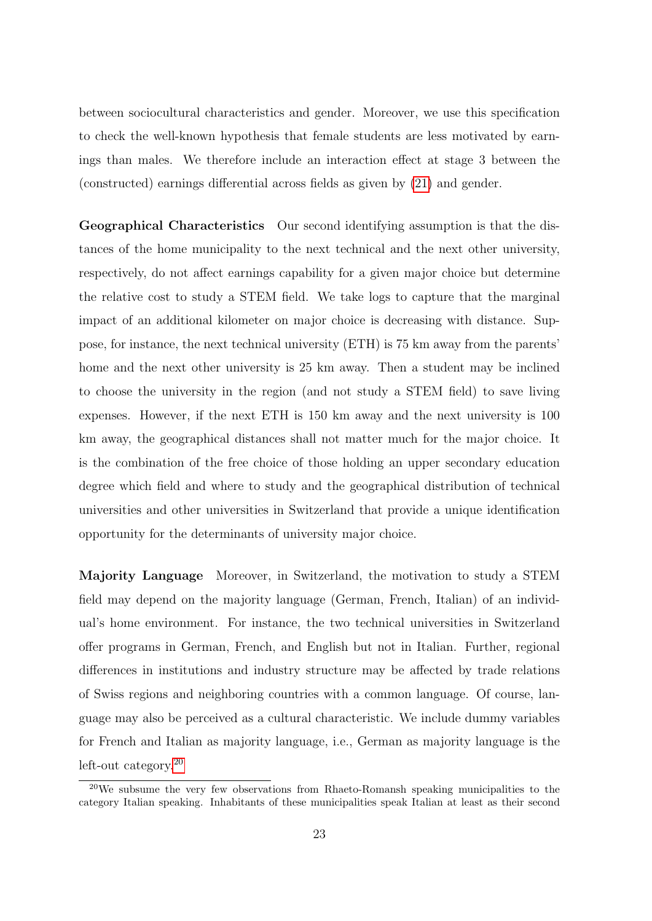between sociocultural characteristics and gender. Moreover, we use this specification to check the well-known hypothesis that female students are less motivated by earnings than males. We therefore include an interaction effect at stage 3 between the (constructed) earnings differential across fields as given by [\(21\)](#page-16-0) and gender.

Geographical Characteristics Our second identifying assumption is that the distances of the home municipality to the next technical and the next other university, respectively, do not affect earnings capability for a given major choice but determine the relative cost to study a STEM field. We take logs to capture that the marginal impact of an additional kilometer on major choice is decreasing with distance. Suppose, for instance, the next technical university (ETH) is 75 km away from the parents' home and the next other university is 25 km away. Then a student may be inclined to choose the university in the region (and not study a STEM field) to save living expenses. However, if the next ETH is 150 km away and the next university is 100 km away, the geographical distances shall not matter much for the major choice. It is the combination of the free choice of those holding an upper secondary education degree which field and where to study and the geographical distribution of technical universities and other universities in Switzerland that provide a unique identification opportunity for the determinants of university major choice.

Majority Language Moreover, in Switzerland, the motivation to study a STEM field may depend on the majority language (German, French, Italian) of an individual's home environment. For instance, the two technical universities in Switzerland offer programs in German, French, and English but not in Italian. Further, regional differences in institutions and industry structure may be affected by trade relations of Swiss regions and neighboring countries with a common language. Of course, language may also be perceived as a cultural characteristic. We include dummy variables for French and Italian as majority language, i.e., German as majority language is the left-out category.[20](#page-25-0)

<span id="page-25-0"></span> $20$ We subsume the very few observations from Rhaeto-Romansh speaking municipalities to the category Italian speaking. Inhabitants of these municipalities speak Italian at least as their second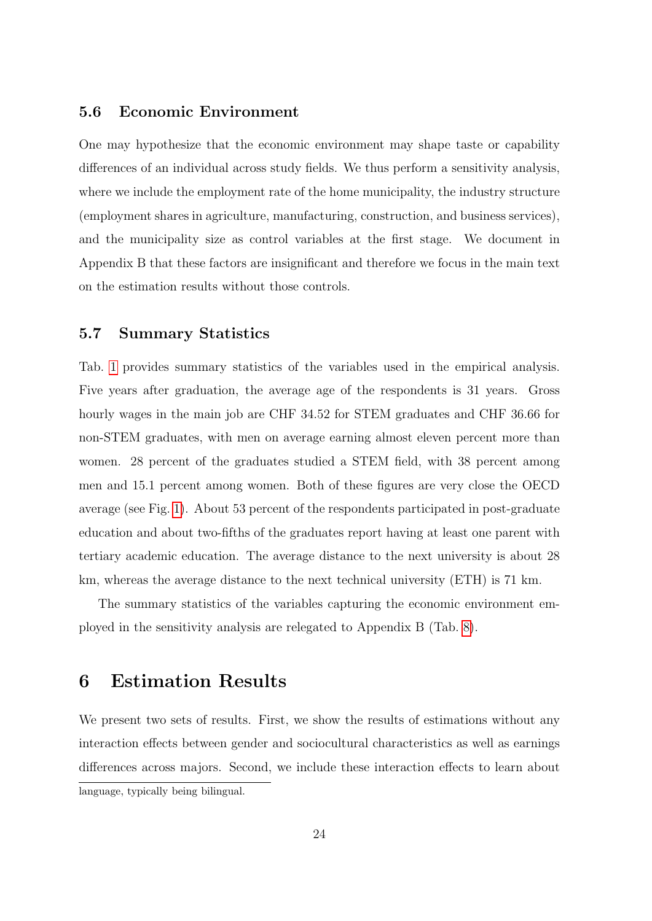#### 5.6 Economic Environment

One may hypothesize that the economic environment may shape taste or capability differences of an individual across study fields. We thus perform a sensitivity analysis, where we include the employment rate of the home municipality, the industry structure (employment shares in agriculture, manufacturing, construction, and business services), and the municipality size as control variables at the first stage. We document in Appendix B that these factors are insignificant and therefore we focus in the main text on the estimation results without those controls.

### 5.7 Summary Statistics

Tab. [1](#page-27-0) provides summary statistics of the variables used in the empirical analysis. Five years after graduation, the average age of the respondents is 31 years. Gross hourly wages in the main job are CHF 34.52 for STEM graduates and CHF 36.66 for non-STEM graduates, with men on average earning almost eleven percent more than women. 28 percent of the graduates studied a STEM field, with 38 percent among men and 15.1 percent among women. Both of these figures are very close the OECD average (see Fig. [1\)](#page-4-0). About 53 percent of the respondents participated in post-graduate education and about two-fifths of the graduates report having at least one parent with tertiary academic education. The average distance to the next university is about 28 km, whereas the average distance to the next technical university (ETH) is 71 km.

The summary statistics of the variables capturing the economic environment employed in the sensitivity analysis are relegated to Appendix B (Tab. [8\)](#page-45-1).

### <span id="page-26-0"></span>6 Estimation Results

We present two sets of results. First, we show the results of estimations without any interaction effects between gender and sociocultural characteristics as well as earnings differences across majors. Second, we include these interaction effects to learn about language, typically being bilingual.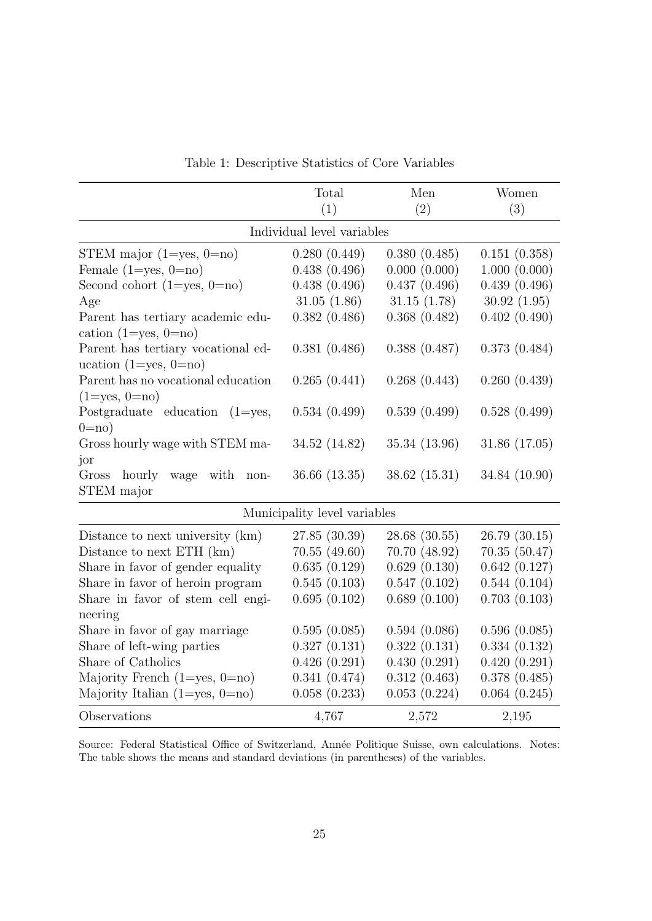|                                                                   | Total                        | Men           | Women         |
|-------------------------------------------------------------------|------------------------------|---------------|---------------|
|                                                                   | (1)                          | (2)           | (3)           |
|                                                                   | Individual level variables   |               |               |
| STEM major $(1 = yes, 0 = no)$                                    | 0.280(0.449)                 | 0.380(0.485)  | 0.151(0.358)  |
| Female $(1 = yes, 0 = no)$                                        | 0.438(0.496)                 | 0.000(0.000)  | 1.000(0.000)  |
| Second cohort $(1 = yes, 0 = no)$                                 | 0.438(0.496)                 | 0.437(0.496)  | 0.439(0.496)  |
| Age                                                               | 31.05(1.86)                  | 31.15(1.78)   | 30.92(1.95)   |
| Parent has tertiary academic edu-<br>cation $(1 = yes, 0 = no)$   | 0.382(0.486)                 | 0.368(0.482)  | 0.402(0.490)  |
| Parent has tertiary vocational ed-<br>ucation $(1 = yes, 0 = no)$ | 0.381(0.486)                 | 0.388(0.487)  | 0.373(0.484)  |
| Parent has no vocational education<br>$(1 = yes, 0 = no)$         | 0.265(0.441)                 | 0.268(0.443)  | 0.260(0.439)  |
| Postgraduate education<br>$(1 = yes,$<br>$0=$ no)                 | 0.534(0.499)                 | 0.539(0.499)  | 0.528(0.499)  |
| Gross hourly wage with STEM ma-                                   | 34.52 (14.82)                | 35.34 (13.96) | 31.86 (17.05) |
| jor<br>Gross<br>hourly<br>wage<br>with<br>non-<br>STEM major      | 36.66 (13.35)                | 38.62 (15.31) | 34.84 (10.90) |
|                                                                   | Municipality level variables |               |               |
| Distance to next university (km)                                  | 27.85 (30.39)                | 28.68(30.55)  | 26.79(30.15)  |
| Distance to next ETH (km)                                         | 70.55(49.60)                 | 70.70 (48.92) | 70.35(50.47)  |
| Share in favor of gender equality                                 | 0.635(0.129)                 | 0.629(0.130)  | 0.642(0.127)  |
| Share in favor of heroin program                                  | 0.545(0.103)                 | 0.547(0.102)  | 0.544(0.104)  |
| Share in favor of stem cell engi-<br>neering                      | 0.695(0.102)                 | 0.689(0.100)  | 0.703(0.103)  |
| Share in favor of gay marriage                                    | 0.595(0.085)                 | 0.594(0.086)  | 0.596(0.085)  |
| Share of left-wing parties                                        | 0.327(0.131)                 | 0.322(0.131)  | 0.334(0.132)  |
| Share of Catholics                                                | 0.426(0.291)                 | 0.430(0.291)  | 0.420(0.291)  |
| Majority French $(1 = yes, 0 = no)$                               | 0.341(0.474)                 | 0.312(0.463)  | 0.378(0.485)  |
| Majority Italian $(1 = yes, 0 = no)$                              | 0.058(0.233)                 | 0.053(0.224)  | 0.064(0.245)  |
| Observations                                                      | 4,767                        | 2,572         | 2,195         |

<span id="page-27-0"></span>Table 1: Descriptive Statistics of Core Variables

Source: Federal Statistical Office of Switzerland, Année Politique Suisse, own calculations. Notes: The table shows the means and standard deviations (in parentheses) of the variables.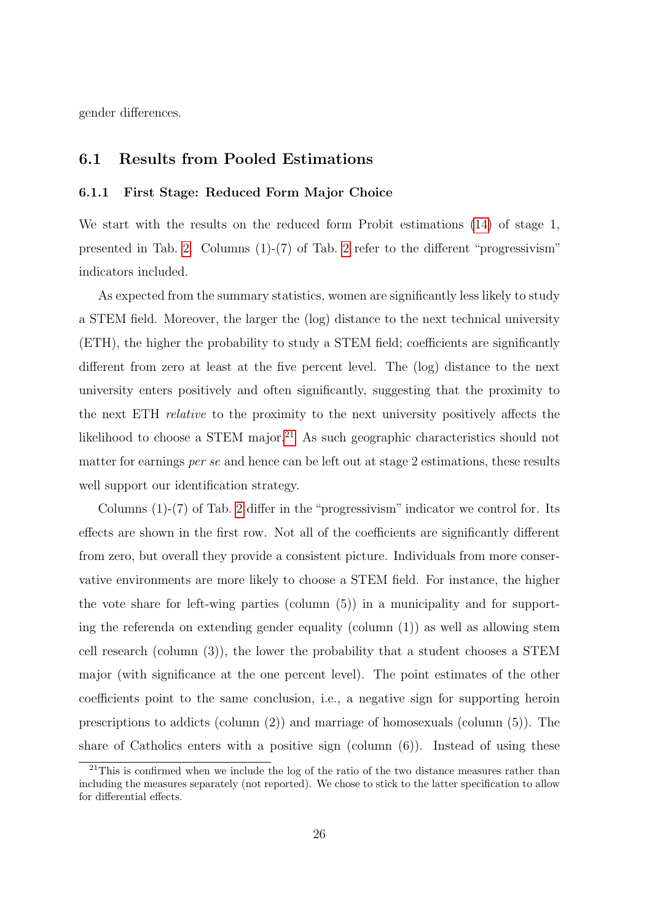gender differences.

#### 6.1 Results from Pooled Estimations

#### 6.1.1 First Stage: Reduced Form Major Choice

We start with the results on the reduced form Probit estimations [\(14\)](#page-14-4) of stage 1, presented in Tab. [2.](#page-29-0) Columns (1)-(7) of Tab. [2](#page-29-0) refer to the different "progressivism" indicators included.

As expected from the summary statistics, women are significantly less likely to study a STEM field. Moreover, the larger the (log) distance to the next technical university (ETH), the higher the probability to study a STEM field; coefficients are significantly different from zero at least at the five percent level. The (log) distance to the next university enters positively and often significantly, suggesting that the proximity to the next ETH relative to the proximity to the next university positively affects the likelihood to choose a STEM major.<sup>[21](#page-28-0)</sup> As such geographic characteristics should not matter for earnings per se and hence can be left out at stage 2 estimations, these results well support our identification strategy.

Columns (1)-(7) of Tab. [2](#page-29-0) differ in the "progressivism" indicator we control for. Its effects are shown in the first row. Not all of the coefficients are significantly different from zero, but overall they provide a consistent picture. Individuals from more conservative environments are more likely to choose a STEM field. For instance, the higher the vote share for left-wing parties (column (5)) in a municipality and for supporting the referenda on extending gender equality (column (1)) as well as allowing stem cell research (column (3)), the lower the probability that a student chooses a STEM major (with significance at the one percent level). The point estimates of the other coefficients point to the same conclusion, i.e., a negative sign for supporting heroin prescriptions to addicts (column (2)) and marriage of homosexuals (column (5)). The share of Catholics enters with a positive sign (column  $(6)$ ). Instead of using these

<span id="page-28-0"></span><sup>&</sup>lt;sup>21</sup>This is confirmed when we include the log of the ratio of the two distance measures rather than including the measures separately (not reported). We chose to stick to the latter specification to allow for differential effects.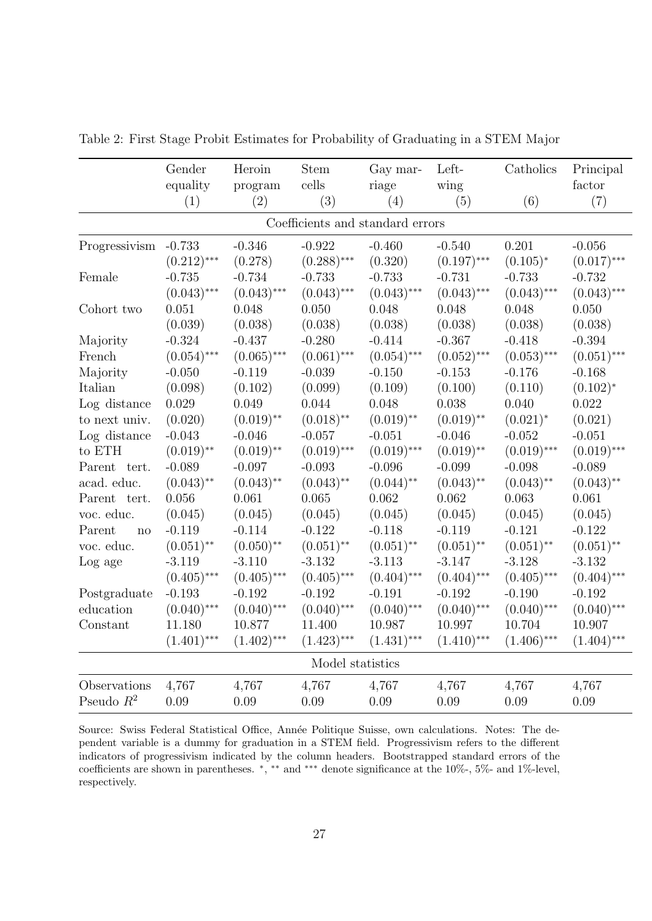|               | Gender<br>equality | Heroin<br>program | <b>Stem</b><br>cells | Gay mar-<br>riage                | Left-<br>wing | Catholics     | Principal<br>factor |
|---------------|--------------------|-------------------|----------------------|----------------------------------|---------------|---------------|---------------------|
|               | (1)                | (2)               | (3)                  | (4)                              | (5)           | (6)           | (7)                 |
|               |                    |                   |                      | Coefficients and standard errors |               |               |                     |
| Progressivism | $-0.733$           | $-0.346$          | $-0.922$             | $-0.460$                         | $-0.540$      | 0.201         | $-0.056$            |
|               | $(0.212)$ ***      | (0.278)           | $(0.288)$ ***        | (0.320)                          | $(0.197)$ *** | $(0.105)^*$   | $(0.017)$ ***       |
| Female        | $-0.735$           | $-0.734$          | $-0.733$             | $-0.733$                         | $-0.731$      | $-0.733$      | $-0.732$            |
|               | $(0.043)$ ***      | $(0.043)$ ***     | $(0.043)$ ***        | $(0.043)$ ***                    | $(0.043)$ *** | $(0.043)$ *** | $(0.043)$ ***       |
| Cohort two    | 0.051              | 0.048             | 0.050                | 0.048                            | 0.048         | 0.048         | 0.050               |
|               | (0.039)            | (0.038)           | (0.038)              | (0.038)                          | (0.038)       | (0.038)       | (0.038)             |
| Majority      | $-0.324$           | $-0.437$          | $-0.280$             | $-0.414$                         | $-0.367$      | $-0.418$      | $-0.394$            |
| French        | $(0.054)$ ***      | $(0.065)$ ***     | $(0.061)$ ***        | $(0.054)$ ***                    | $(0.052)$ *** | $(0.053)$ *** | $(0.051)$ ***       |
| Majority      | $-0.050$           | $-0.119$          | $-0.039$             | $-0.150$                         | $-0.153$      | $-0.176$      | $-0.168$            |
| Italian       | (0.098)            | (0.102)           | (0.099)              | (0.109)                          | (0.100)       | (0.110)       | $(0.102)^*$         |
| Log distance  | 0.029              | 0.049             | 0.044                | 0.048                            | 0.038         | 0.040         | 0.022               |
| to next univ. | (0.020)            | $(0.019)$ **      | $(0.018)$ **         | $(0.019)$ **                     | $(0.019)$ **  | $(0.021)^*$   | (0.021)             |
| Log distance  | $-0.043$           | $-0.046$          | $-0.057$             | $-0.051$                         | $-0.046$      | $-0.052$      | $-0.051$            |
| to ETH        | $(0.019)$ **       | $(0.019)$ **      | $(0.019)$ ***        | $(0.019)$ ***                    | $(0.019)$ **  | $(0.019)$ *** | $(0.019)$ ***       |
| Parent tert.  | $-0.089$           | $-0.097$          | $-0.093$             | $-0.096$                         | $-0.099$      | $-0.098$      | $-0.089$            |
| acad. educ.   | $(0.043)$ **       | $(0.043)$ **      | $(0.043)$ **         | $(0.044)$ **                     | $(0.043)$ **  | $(0.043)$ **  | $(0.043)$ **        |
| Parent tert.  | 0.056              | 0.061             | 0.065                | 0.062                            | 0.062         | 0.063         | 0.061               |
| voc. educ.    | (0.045)            | (0.045)           | (0.045)              | (0.045)                          | (0.045)       | (0.045)       | (0.045)             |
| Parent<br>no  | $-0.119$           | $-0.114$          | $-0.122$             | $-0.118$                         | $-0.119$      | $-0.121$      | $-0.122$            |
| voc. educ.    | $(0.051)$ **       | $(0.050)$ **      | $(0.051)$ **         | $(0.051)$ **                     | $(0.051)$ **  | $(0.051)$ **  | $(0.051)$ **        |
| Log age       | $-3.119$           | $-3.110$          | $-3.132$             | $-3.113$                         | $-3.147$      | $-3.128$      | $-3.132$            |
|               | $(0.405)$ ***      | $(0.405)$ ***     | $(0.405)$ ***        | $(0.404)$ ***                    | $(0.404)$ *** | $(0.405)$ *** | $(0.404)$ ***       |
| Postgraduate  | $-0.193$           | $-0.192$          | $-0.192$             | $-0.191$                         | $-0.192$      | $-0.190$      | $-0.192$            |
| education     | $(0.040)$ ***      | $(0.040)$ ***     | $(0.040)$ ***        | $(0.040)$ ***                    | $(0.040)$ *** | $(0.040)$ *** | $(0.040)$ ***       |
| Constant      | 11.180             | 10.877            | 11.400               | 10.987                           | 10.997        | 10.704        | 10.907              |
|               | $(1.401)$ ***      | $(1.402)$ ***     | $(1.423)$ ***        | $(1.431)$ ***                    | $(1.410)$ *** | $(1.406)$ *** | $(1.404)$ ***       |
|               |                    |                   | Model statistics     |                                  |               |               |                     |
| Observations  | 4,767              | 4,767             | 4,767                | 4,767                            | 4,767         | 4,767         | 4,767               |
| Pseudo $R^2$  | 0.09               | 0.09              | 0.09                 | 0.09                             | 0.09          | 0.09          | 0.09                |

<span id="page-29-0"></span>Table 2: First Stage Probit Estimates for Probability of Graduating in a STEM Major

Source: Swiss Federal Statistical Office, Année Politique Suisse, own calculations. Notes: The dependent variable is a dummy for graduation in a STEM field. Progressivism refers to the different indicators of progressivism indicated by the column headers. Bootstrapped standard errors of the coefficients are shown in parentheses. <sup>∗</sup> , ∗∗ and ∗∗∗ denote significance at the 10%-, 5%- and 1%-level, respectively.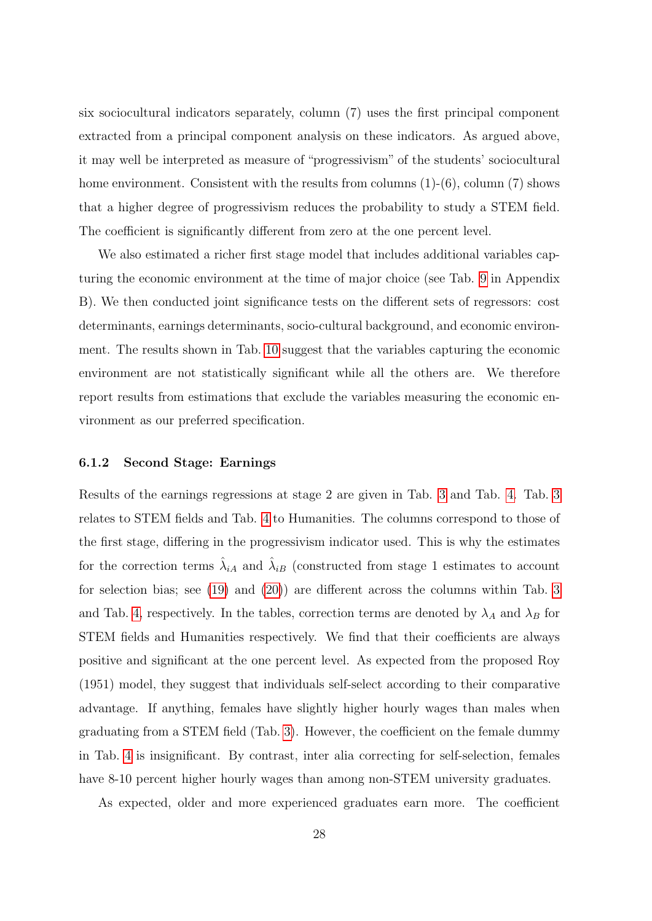six sociocultural indicators separately, column (7) uses the first principal component extracted from a principal component analysis on these indicators. As argued above, it may well be interpreted as measure of "progressivism" of the students' sociocultural home environment. Consistent with the results from columns  $(1)-(6)$ , column  $(7)$  shows that a higher degree of progressivism reduces the probability to study a STEM field. The coefficient is significantly different from zero at the one percent level.

We also estimated a richer first stage model that includes additional variables capturing the economic environment at the time of major choice (see Tab. [9](#page-46-0) in Appendix B). We then conducted joint significance tests on the different sets of regressors: cost determinants, earnings determinants, socio-cultural background, and economic environment. The results shown in Tab. [10](#page-48-0) suggest that the variables capturing the economic environment are not statistically significant while all the others are. We therefore report results from estimations that exclude the variables measuring the economic environment as our preferred specification.

#### 6.1.2 Second Stage: Earnings

Results of the earnings regressions at stage 2 are given in Tab. [3](#page-31-0) and Tab. [4.](#page-32-0) Tab. [3](#page-31-0) relates to STEM fields and Tab. [4](#page-32-0) to Humanities. The columns correspond to those of the first stage, differing in the progressivism indicator used. This is why the estimates for the correction terms  $\hat{\lambda}_{iA}$  and  $\hat{\lambda}_{iB}$  (constructed from stage 1 estimates to account for selection bias; see [\(19\)](#page-15-1) and [\(20\)](#page-15-2)) are different across the columns within Tab. [3](#page-31-0) and Tab. [4,](#page-32-0) respectively. In the tables, correction terms are denoted by  $\lambda_A$  and  $\lambda_B$  for STEM fields and Humanities respectively. We find that their coefficients are always positive and significant at the one percent level. As expected from the proposed Roy (1951) model, they suggest that individuals self-select according to their comparative advantage. If anything, females have slightly higher hourly wages than males when graduating from a STEM field (Tab. [3\)](#page-31-0). However, the coefficient on the female dummy in Tab. [4](#page-32-0) is insignificant. By contrast, inter alia correcting for self-selection, females have 8-10 percent higher hourly wages than among non-STEM university graduates.

As expected, older and more experienced graduates earn more. The coefficient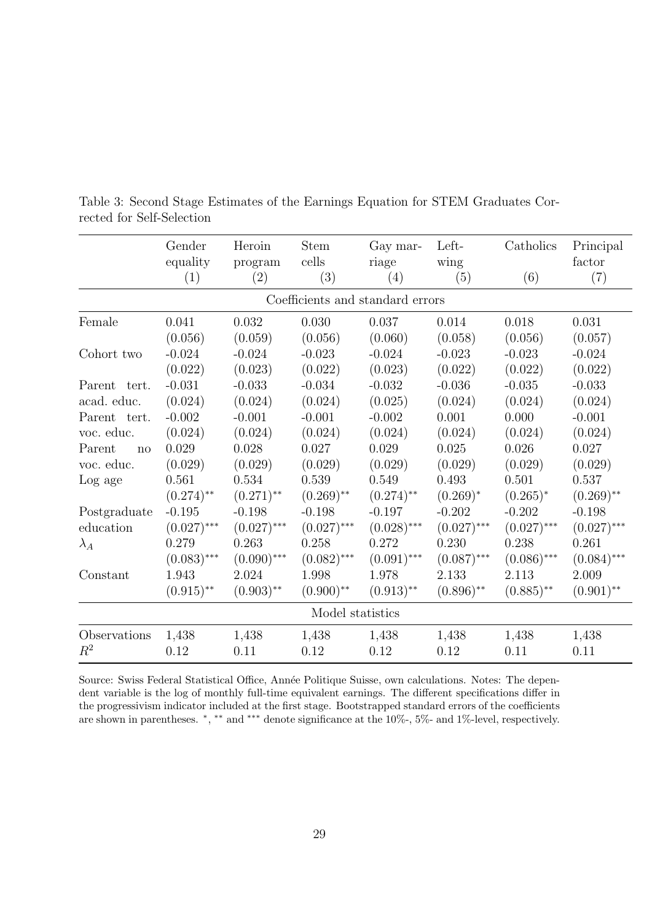|                 | Gender        | Heroin        | <b>Stem</b>      | Gay mar-                         | Left-         | Catholics     | Principal     |
|-----------------|---------------|---------------|------------------|----------------------------------|---------------|---------------|---------------|
|                 | equality      | program       | cells            | riage                            | wing          |               | factor        |
|                 | (1)           | (2)           | (3)              | (4)                              | (5)           | (6)           | (7)           |
|                 |               |               |                  | Coefficients and standard errors |               |               |               |
| Female          | 0.041         | 0.032         | 0.030            | 0.037                            | 0.014         | 0.018         | 0.031         |
|                 | (0.056)       | (0.059)       | (0.056)          | (0.060)                          | (0.058)       | (0.056)       | (0.057)       |
| Cohort two      | $-0.024$      | $-0.024$      | $-0.023$         | $-0.024$                         | $-0.023$      | $-0.023$      | $-0.024$      |
|                 | (0.022)       | (0.023)       | (0.022)          | (0.023)                          | (0.022)       | (0.022)       | (0.022)       |
| Parent<br>tert. | $-0.031$      | $-0.033$      | $-0.034$         | $-0.032$                         | $-0.036$      | $-0.035$      | $-0.033$      |
| acad. educ.     | (0.024)       | (0.024)       | (0.024)          | (0.025)                          | (0.024)       | (0.024)       | (0.024)       |
| Parent tert.    | $-0.002$      | $-0.001$      | $-0.001$         | $-0.002$                         | 0.001         | 0.000         | $-0.001$      |
| voc. educ.      | (0.024)       | (0.024)       | (0.024)          | (0.024)                          | (0.024)       | (0.024)       | (0.024)       |
| Parent<br>no    | 0.029         | 0.028         | 0.027            | 0.029                            | 0.025         | 0.026         | 0.027         |
| voc. educ.      | (0.029)       | (0.029)       | (0.029)          | (0.029)                          | (0.029)       | (0.029)       | (0.029)       |
| Log age         | 0.561         | 0.534         | 0.539            | 0.549                            | 0.493         | 0.501         | 0.537         |
|                 | $(0.274)$ **  | $(0.271)$ **  | $(0.269)$ **     | $(0.274)$ **                     | $(0.269)^*$   | $(0.265)^*$   | $(0.269)$ **  |
| Postgraduate    | $-0.195$      | $-0.198$      | $-0.198$         | $-0.197$                         | $-0.202$      | $-0.202$      | $-0.198$      |
| education       | $(0.027)$ *** | $(0.027)$ *** | $(0.027)$ ***    | $(0.028)$ ***                    | $(0.027)$ *** | $(0.027)$ *** | $(0.027)$ *** |
| $\lambda_A$     | 0.279         | 0.263         | 0.258            | 0.272                            | 0.230         | 0.238         | 0.261         |
|                 | $(0.083)$ *** | $(0.090)$ *** | $(0.082)$ ***    | $(0.091)$ ***                    | $(0.087)$ *** | $(0.086)$ *** | $(0.084)$ *** |
| Constant        | 1.943         | 2.024         | 1.998            | 1.978                            | 2.133         | 2.113         | 2.009         |
|                 | $(0.915)$ **  | $(0.903)$ **  | $(0.900)$ **     | $(0.913)$ **                     | $(0.896)$ **  | $(0.885)$ **  | $(0.901)$ **  |
|                 |               |               | Model statistics |                                  |               |               |               |
| Observations    | 1,438         | 1,438         | 1,438            | 1,438                            | 1,438         | 1,438         | 1,438         |
| $R^2$           | 0.12          | 0.11          | 0.12             | 0.12                             | 0.12          | 0.11          | 0.11          |

<span id="page-31-0"></span>Table 3: Second Stage Estimates of the Earnings Equation for STEM Graduates Corrected for Self-Selection

Source: Swiss Federal Statistical Office, Année Politique Suisse, own calculations. Notes: The dependent variable is the log of monthly full-time equivalent earnings. The different specifications differ in the progressivism indicator included at the first stage. Bootstrapped standard errors of the coefficients are shown in parentheses. \*,\*\* and \*\*\* denote significance at the 10%-, 5%- and 1%-level, respectively.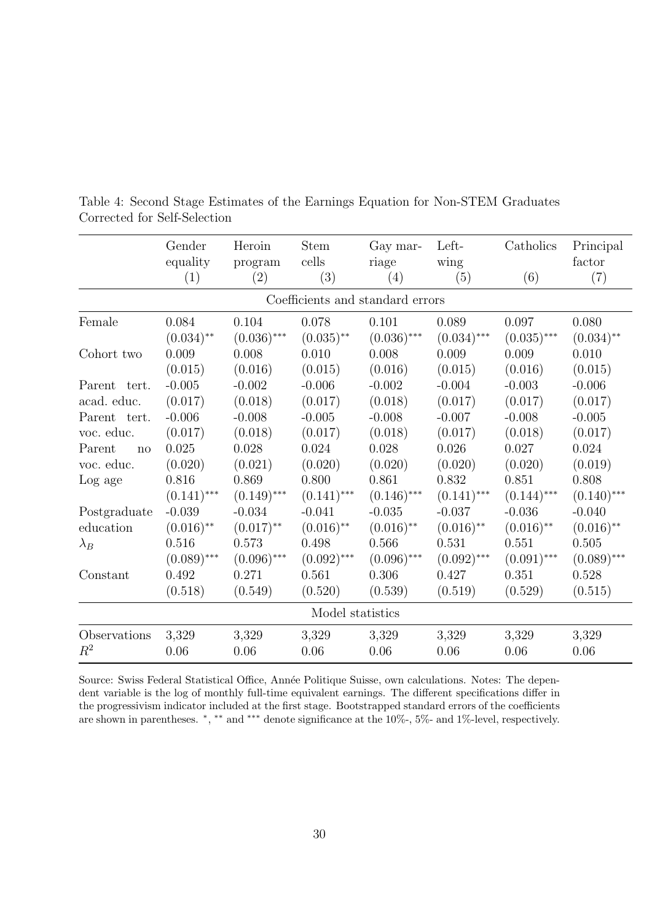|              | Gender           | Heroin        | <b>Stem</b>   | Gay mar-                         | Left-         | Catholics     | Principal     |  |  |  |
|--------------|------------------|---------------|---------------|----------------------------------|---------------|---------------|---------------|--|--|--|
|              | equality         | program       | cells         | riage                            | wing          |               | factor        |  |  |  |
|              | (1)              | (2)           | (3)           | (4)                              | (5)           | (6)           | (7)           |  |  |  |
|              |                  |               |               | Coefficients and standard errors |               |               |               |  |  |  |
| Female       | 0.084            | 0.104         | 0.078         | 0.101                            | 0.089         | 0.097         | 0.080         |  |  |  |
|              | $(0.034)$ **     | $(0.036)$ *** | $(0.035)$ **  | $(0.036)$ ***                    | $(0.034)$ *** | $(0.035)$ *** | $(0.034)$ **  |  |  |  |
| Cohort two   | 0.009            | 0.008         | 0.010         | 0.008                            | 0.009         | 0.009         | 0.010         |  |  |  |
|              | (0.015)          | (0.016)       | (0.015)       | (0.016)                          | (0.015)       | (0.016)       | (0.015)       |  |  |  |
| Parent tert. | $-0.005$         | $-0.002$      | $-0.006$      | $-0.002$                         | $-0.004$      | $-0.003$      | $-0.006$      |  |  |  |
| acad. educ.  | (0.017)          | (0.018)       | (0.017)       | (0.018)                          | (0.017)       | (0.017)       | (0.017)       |  |  |  |
| Parent tert. | $-0.006$         | $-0.008$      | $-0.005$      | $-0.008$                         | $-0.007$      | $-0.008$      | $-0.005$      |  |  |  |
| voc. educ.   | (0.017)          | (0.018)       | (0.017)       | (0.018)                          | (0.017)       | (0.018)       | (0.017)       |  |  |  |
| Parent<br>no | 0.025            | 0.028         | 0.024         | 0.028                            | 0.026         | 0.027         | 0.024         |  |  |  |
| voc. educ.   | (0.020)          | (0.021)       | (0.020)       | (0.020)                          | (0.020)       | (0.020)       | (0.019)       |  |  |  |
| Log age      | 0.816            | 0.869         | 0.800         | 0.861                            | 0.832         | 0.851         | 0.808         |  |  |  |
|              | $(0.141)$ ***    | $(0.149)$ *** | $(0.141)$ *** | $(0.146)$ ***                    | $(0.141)$ *** | $(0.144)$ *** | $(0.140)$ *** |  |  |  |
| Postgraduate | $-0.039$         | $-0.034$      | $-0.041$      | $-0.035$                         | $-0.037$      | $-0.036$      | $-0.040$      |  |  |  |
| education    | $(0.016)$ **     | $(0.017)$ **  | $(0.016)$ **  | $(0.016)$ **                     | $(0.016)$ **  | $(0.016)$ **  | $(0.016)$ **  |  |  |  |
| $\lambda_B$  | 0.516            | 0.573         | 0.498         | 0.566                            | 0.531         | 0.551         | 0.505         |  |  |  |
|              | $(0.089)$ ***    | $(0.096)$ *** | $(0.092)$ *** | $(0.096)$ ***                    | $(0.092)$ *** | $(0.091)$ *** | $(0.089)$ *** |  |  |  |
| Constant     | 0.492            | 0.271         | 0.561         | 0.306                            | 0.427         | 0.351         | 0.528         |  |  |  |
|              | (0.518)          | (0.549)       | (0.520)       | (0.539)                          | (0.519)       | (0.529)       | (0.515)       |  |  |  |
|              | Model statistics |               |               |                                  |               |               |               |  |  |  |
| Observations | 3,329            | 3,329         | 3,329         | 3,329                            | 3,329         | 3,329         | 3,329         |  |  |  |
| $R^2$        | 0.06             | 0.06          | 0.06          | 0.06                             | 0.06          | 0.06          | $0.06\,$      |  |  |  |

<span id="page-32-0"></span>Table 4: Second Stage Estimates of the Earnings Equation for Non-STEM Graduates Corrected for Self-Selection

Source: Swiss Federal Statistical Office, Année Politique Suisse, own calculations. Notes: The dependent variable is the log of monthly full-time equivalent earnings. The different specifications differ in the progressivism indicator included at the first stage. Bootstrapped standard errors of the coefficients are shown in parentheses. \*,\*\* and \*\*\* denote significance at the 10%-, 5%- and 1%-level, respectively.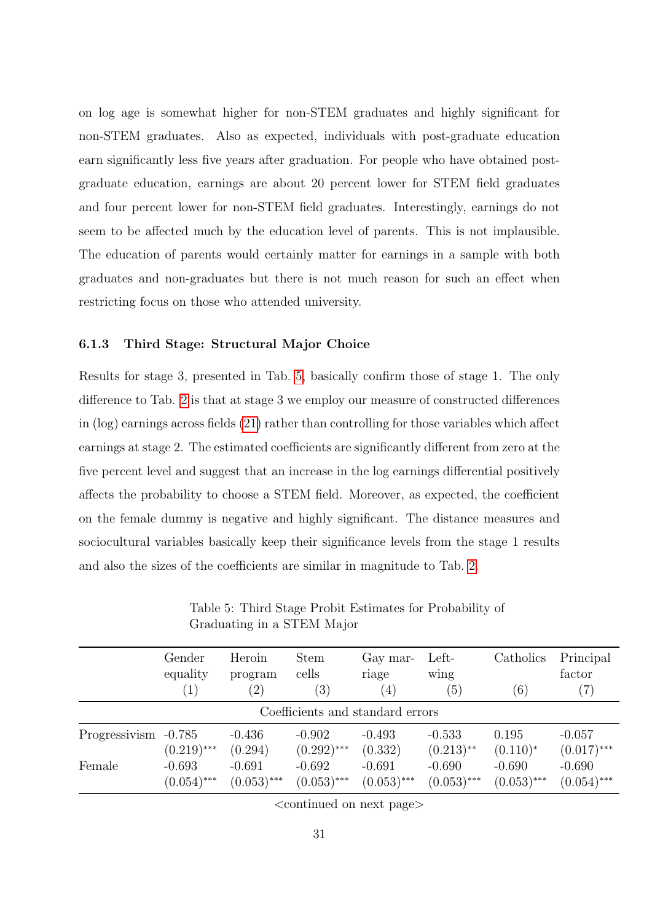on log age is somewhat higher for non-STEM graduates and highly significant for non-STEM graduates. Also as expected, individuals with post-graduate education earn significantly less five years after graduation. For people who have obtained postgraduate education, earnings are about 20 percent lower for STEM field graduates and four percent lower for non-STEM field graduates. Interestingly, earnings do not seem to be affected much by the education level of parents. This is not implausible. The education of parents would certainly matter for earnings in a sample with both graduates and non-graduates but there is not much reason for such an effect when restricting focus on those who attended university.

#### 6.1.3 Third Stage: Structural Major Choice

Results for stage 3, presented in Tab. [5,](#page-33-0) basically confirm those of stage 1. The only difference to Tab. [2](#page-29-0) is that at stage 3 we employ our measure of constructed differences in (log) earnings across fields [\(21\)](#page-16-0) rather than controlling for those variables which affect earnings at stage 2. The estimated coefficients are significantly different from zero at the five percent level and suggest that an increase in the log earnings differential positively affects the probability to choose a STEM field. Moreover, as expected, the coefficient on the female dummy is negative and highly significant. The distance measures and sociocultural variables basically keep their significance levels from the stage 1 results and also the sizes of the coefficients are similar in magnitude to Tab. [2.](#page-29-0)

<span id="page-33-0"></span>

|                                  | Gender        | Heroin            | <b>Stem</b>       | Gay mar-      | Left-         | Catholics     | Principal     |  |  |
|----------------------------------|---------------|-------------------|-------------------|---------------|---------------|---------------|---------------|--|--|
|                                  | equality      | program           | cells             | riage         | wing          |               | factor        |  |  |
|                                  | (1)           | $\left( 2\right)$ | $\left( 3\right)$ | (4)           | (5)           | (6)           | (7)           |  |  |
| Coefficients and standard errors |               |                   |                   |               |               |               |               |  |  |
| Progressivism                    | $-0.785$      | $-0.436$          | $-0.902$          | $-0.493$      | $-0.533$      | 0.195         | $-0.057$      |  |  |
|                                  | $(0.219)$ *** | (0.294)           | $(0.292)$ ***     | (0.332)       | $(0.213)$ **  | $(0.110)^*$   | $(0.017)$ *** |  |  |
| Female                           | $-0.693$      | $-0.691$          | $-0.692$          | $-0.691$      | $-0.690$      | $-0.690$      | $-0.690$      |  |  |
|                                  | $(0.054)$ *** | $(0.053)$ ***     | $(0.053)$ ***     | $(0.053)$ *** | $(0.053)$ *** | $(0.053)$ *** | $(0.054)$ *** |  |  |

Table 5: Third Stage Probit Estimates for Probability of Graduating in a STEM Major

<continued on next page>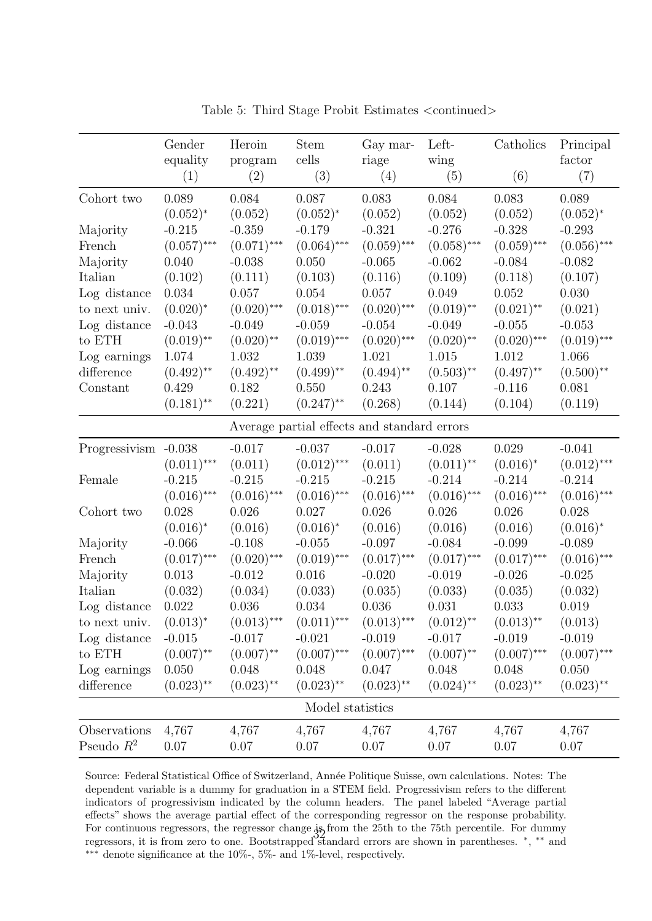|                      | Gender          | Heroin         | <b>Stem</b>                                 | Gay mar-      | Left-                   | Catholics     | Principal     |
|----------------------|-----------------|----------------|---------------------------------------------|---------------|-------------------------|---------------|---------------|
|                      | equality<br>(1) | program<br>(2) | cells<br>(3)                                | riage<br>(4)  | wing<br>(5)             | (6)           | factor<br>(7) |
| Cohort two           | 0.089           | 0.084          | 0.087                                       | 0.083         | 0.084                   | 0.083         | 0.089         |
|                      | $(0.052)^*$     | (0.052)        | $(0.052)^{*}$                               | (0.052)       | (0.052)                 | (0.052)       | $(0.052)^{*}$ |
| Majority             | $-0.215$        | $-0.359$       | $-0.179$                                    | $-0.321$      | $-0.276$                | $-0.328$      | $-0.293$      |
| French               | $(0.057)$ ***   | $(0.071)$ ***  | $(0.064)$ ***                               | $(0.059)$ *** | $(0.058)$ ***           | $(0.059)$ *** | $(0.056)$ *** |
| Majority             | 0.040           | $-0.038$       | 0.050                                       | $-0.065$      | $-0.062$                | $-0.084$      | $-0.082$      |
| Italian              | (0.102)         | (0.111)        | (0.103)                                     | (0.116)       | (0.109)                 | (0.118)       | (0.107)       |
| Log distance         | 0.034           | 0.057          | 0.054                                       | 0.057         | 0.049                   | 0.052         | 0.030         |
| to next univ.        | $(0.020)^*$     | $(0.020)$ ***  | $(0.018)$ ***                               | $(0.020)$ *** | $(0.019)$ **            | $(0.021)$ **  | (0.021)       |
| Log distance         | $-0.043$        | $-0.049$       | $-0.059$                                    | $-0.054$      | $-0.049$                | $-0.055$      | $-0.053$      |
| to ETH               | $(0.019)$ **    | $(0.020)$ **   | $(0.019)$ ***                               | $(0.020)$ *** | $(0.020)$ **            | $(0.020)$ *** | $(0.019)$ *** |
| Log earnings         | 1.074           | 1.032          | 1.039                                       | 1.021         | 1.015                   | 1.012         | 1.066         |
| difference           | $(0.492)$ **    | $(0.492)$ **   | $(0.499)$ **                                | $(0.494)$ **  | $(0.503)$ **            | $(0.497)$ **  | $(0.500)$ **  |
| Constant             | 0.429           | 0.182          | 0.550                                       | 0.243         | 0.107                   | $-0.116$      | 0.081         |
|                      | $(0.181)$ **    | (0.221)        | $(0.247)$ **                                | (0.268)       | (0.144)                 | (0.104)       | (0.119)       |
|                      |                 |                | Average partial effects and standard errors |               |                         |               |               |
| Progressivism -0.038 |                 | $-0.017$       | $-0.037$                                    | $-0.017$      | $-0.028$                | 0.029         | $-0.041$      |
|                      | $(0.011)$ ***   | (0.011)        | $(0.012)$ ***                               | (0.011)       | $(0.011)$ <sup>**</sup> | $(0.016)^*$   | $(0.012)$ *** |
| Female               | $-0.215$        | $-0.215$       | $-0.215$                                    | $-0.215$      | $-0.214$                | $-0.214$      | $-0.214$      |
|                      | $(0.016)$ ***   | $(0.016)$ ***  | $(0.016)$ ***                               | $(0.016)$ *** | $(0.016)$ ***           | $(0.016)$ *** | $(0.016)$ *** |
| Cohort two           | 0.028           | 0.026          | 0.027                                       | 0.026         | 0.026                   | 0.026         | 0.028         |
|                      | $(0.016)^*$     | (0.016)        | $(0.016)^*$                                 | (0.016)       | (0.016)                 | (0.016)       | $(0.016)^*$   |
| Majority             | $-0.066$        | $-0.108$       | $-0.055$                                    | $-0.097$      | $-0.084$                | $-0.099$      | $-0.089$      |
| French               | $(0.017)$ ***   | $(0.020)$ ***  | $(0.019)$ ***                               | $(0.017)$ *** | $(0.017)$ ***           | $(0.017)$ *** | $(0.016)$ *** |
| Majority             | 0.013           | $-0.012$       | 0.016                                       | $-0.020$      | $-0.019$                | $-0.026$      | $-0.025$      |
| Italian              | (0.032)         | (0.034)        | (0.033)                                     | (0.035)       | (0.033)                 | (0.035)       | (0.032)       |
| Log distance         | 0.022           | 0.036          | 0.034                                       | 0.036         | 0.031                   | 0.033         | 0.019         |
| to next univ. $\,$   | $(0.013)^*$     | $(0.013)$ ***  | $(0.011)$ ***                               | $(0.013)$ *** | $(0.012)$ **            | $(0.013)$ **  | (0.013)       |
| Log distance         | $-0.015$        | $-0.017$       | $-0.021$                                    | $-0.019$      | $-0.017$                | $-0.019$      | $-0.019$      |
| to ETH               | $(0.007)$ **    | $(0.007)$ **   | $(0.007)$ ***                               | $(0.007)$ *** | $(0.007)$ **            | $(0.007)$ *** | $(0.007)$ *** |
| Log earnings         | 0.050           | 0.048          | 0.048                                       | 0.047         | 0.048                   | 0.048         | $0.050\,$     |
| difference           | $(0.023)$ **    | $(0.023)$ **   | $(0.023)$ **                                | $(0.023)$ **  | $(0.024)$ **            | $(0.023)$ **  | $(0.023)$ **  |
|                      |                 |                | Model statistics                            |               |                         |               |               |
| Observations         | 4,767           | 4,767          | 4,767                                       | 4,767         | 4,767                   | 4,767         | 4,767         |
| Pseudo $R^2$         | 0.07            | $0.07\,$       | 0.07                                        | $0.07\,$      | 0.07                    | 0.07          | 0.07          |

Table 5: Third Stage Probit Estimates  $\langle$  continued $\rangle$ 

Source: Federal Statistical Office of Switzerland, Année Politique Suisse, own calculations. Notes: The dependent variable is a dummy for graduation in a STEM field. Progressivism refers to the different indicators of progressivism indicated by the column headers. The panel labeled "Average partial effects" shows the average partial effect of the corresponding regressor on the response probability. For continuous regressors, the regressor change is from the 25th to the 75th percentile. For dummy ror continuous regressors, the regressor change Aprom the 25th to the 75th percentile. For duminy<br>regressors, it is from zero to one. Bootstrapped standard errors are shown in parentheses. \*, \*\* and ∗∗∗ denote significance at the 10%-, 5%- and 1%-level, respectively.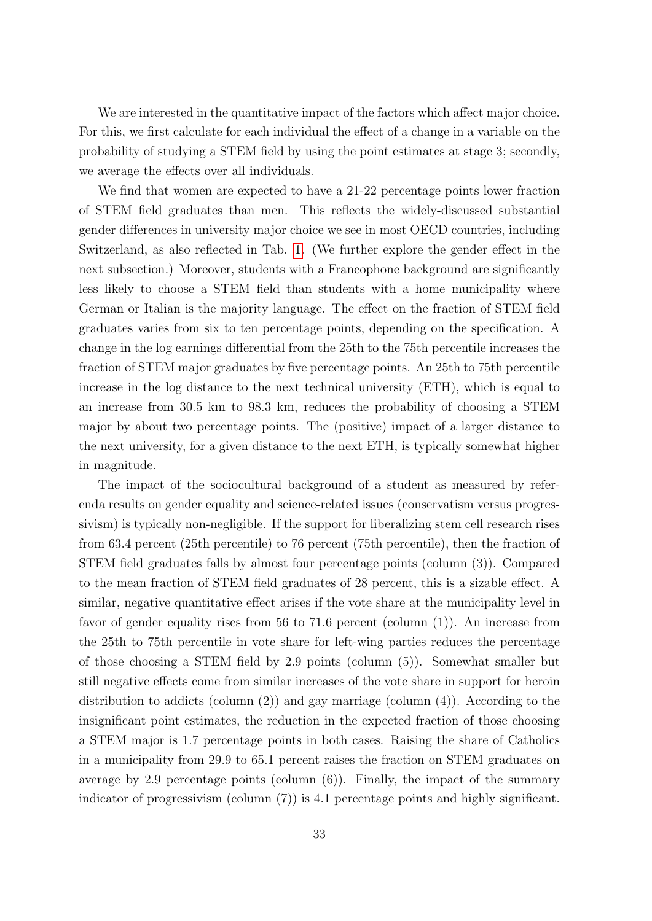We are interested in the quantitative impact of the factors which affect major choice. For this, we first calculate for each individual the effect of a change in a variable on the probability of studying a STEM field by using the point estimates at stage 3; secondly, we average the effects over all individuals.

We find that women are expected to have a 21-22 percentage points lower fraction of STEM field graduates than men. This reflects the widely-discussed substantial gender differences in university major choice we see in most OECD countries, including Switzerland, as also reflected in Tab. [1.](#page-27-0) (We further explore the gender effect in the next subsection.) Moreover, students with a Francophone background are significantly less likely to choose a STEM field than students with a home municipality where German or Italian is the majority language. The effect on the fraction of STEM field graduates varies from six to ten percentage points, depending on the specification. A change in the log earnings differential from the 25th to the 75th percentile increases the fraction of STEM major graduates by five percentage points. An 25th to 75th percentile increase in the log distance to the next technical university (ETH), which is equal to an increase from 30.5 km to 98.3 km, reduces the probability of choosing a STEM major by about two percentage points. The (positive) impact of a larger distance to the next university, for a given distance to the next ETH, is typically somewhat higher in magnitude.

The impact of the sociocultural background of a student as measured by referenda results on gender equality and science-related issues (conservatism versus progressivism) is typically non-negligible. If the support for liberalizing stem cell research rises from 63.4 percent (25th percentile) to 76 percent (75th percentile), then the fraction of STEM field graduates falls by almost four percentage points (column (3)). Compared to the mean fraction of STEM field graduates of 28 percent, this is a sizable effect. A similar, negative quantitative effect arises if the vote share at the municipality level in favor of gender equality rises from 56 to 71.6 percent (column (1)). An increase from the 25th to 75th percentile in vote share for left-wing parties reduces the percentage of those choosing a STEM field by 2.9 points (column (5)). Somewhat smaller but still negative effects come from similar increases of the vote share in support for heroin distribution to addicts (column (2)) and gay marriage (column (4)). According to the insignificant point estimates, the reduction in the expected fraction of those choosing a STEM major is 1.7 percentage points in both cases. Raising the share of Catholics in a municipality from 29.9 to 65.1 percent raises the fraction on STEM graduates on average by 2.9 percentage points (column  $(6)$ ). Finally, the impact of the summary indicator of progressivism (column (7)) is 4.1 percentage points and highly significant.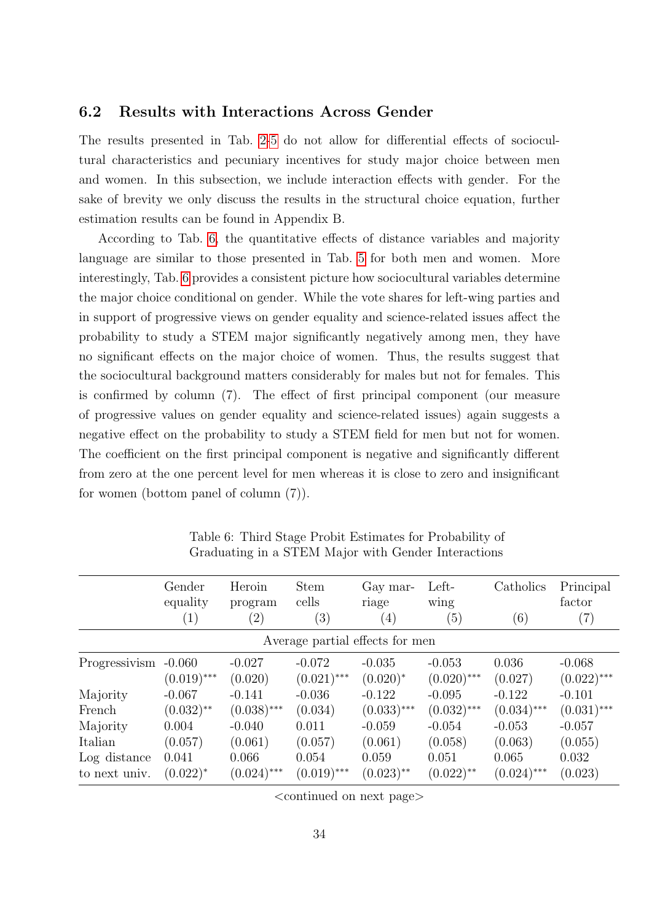#### 6.2 Results with Interactions Across Gender

The results presented in Tab. [2](#page-29-0)[-5](#page-33-0) do not allow for differential effects of sociocultural characteristics and pecuniary incentives for study major choice between men and women. In this subsection, we include interaction effects with gender. For the sake of brevity we only discuss the results in the structural choice equation, further estimation results can be found in Appendix B.

According to Tab. [6,](#page-36-0) the quantitative effects of distance variables and majority language are similar to those presented in Tab. [5](#page-33-0) for both men and women. More interestingly, Tab. [6](#page-36-0) provides a consistent picture how sociocultural variables determine the major choice conditional on gender. While the vote shares for left-wing parties and in support of progressive views on gender equality and science-related issues affect the probability to study a STEM major significantly negatively among men, they have no significant effects on the major choice of women. Thus, the results suggest that the sociocultural background matters considerably for males but not for females. This is confirmed by column (7). The effect of first principal component (our measure of progressive values on gender equality and science-related issues) again suggests a negative effect on the probability to study a STEM field for men but not for women. The coefficient on the first principal component is negative and significantly different from zero at the one percent level for men whereas it is close to zero and insignificant for women (bottom panel of column (7)).

<span id="page-36-0"></span>

|                                 | Gender<br>equality<br>$\left( 1\right)$ | Heroin<br>program<br>$\left( 2\right)$ | <b>Stem</b><br>cells<br>(3) | Gay mar-<br>riage<br>$\left(4\right)$ | Left-<br>wing<br>(5)    | Catholics<br>(6) | Principal<br>factor<br>(7) |  |  |
|---------------------------------|-----------------------------------------|----------------------------------------|-----------------------------|---------------------------------------|-------------------------|------------------|----------------------------|--|--|
| Average partial effects for men |                                         |                                        |                             |                                       |                         |                  |                            |  |  |
| Progressivism                   | $-0.060$                                | $-0.027$                               | $-0.072$                    | $-0.035$                              | $-0.053$                | 0.036            | $-0.068$                   |  |  |
|                                 | $(0.019)$ ***                           | (0.020)                                | $(0.021)$ ***               | $(0.020)^*$                           | $(0.020)$ ***           | (0.027)          | $(0.022)$ ***              |  |  |
| Majority                        | $-0.067$                                | $-0.141$                               | $-0.036$                    | $-0.122$                              | $-0.095$                | $-0.122$         | $-0.101$                   |  |  |
| French                          | $(0.032)$ **                            | $(0.038)$ ***                          | (0.034)                     | $(0.033)$ ***                         | $(0.032)$ ***           | $(0.034)$ ***    | $(0.031)$ ***              |  |  |
| Majority                        | 0.004                                   | $-0.040$                               | 0.011                       | $-0.059$                              | $-0.054$                | $-0.053$         | $-0.057$                   |  |  |
| Italian                         | (0.057)                                 | (0.061)                                | (0.057)                     | (0.061)                               | (0.058)                 | (0.063)          | (0.055)                    |  |  |
| Log distance                    | 0.041                                   | 0.066                                  | 0.054                       | 0.059                                 | 0.051                   | 0.065            | 0.032                      |  |  |
| to next univ.                   | $(0.022)^{*}$                           | $(0.024)$ ***                          | $(0.019)$ ***               | $(0.023)$ **                          | $(0.022)$ <sup>**</sup> | $(0.024)$ ***    | (0.023)                    |  |  |

Table 6: Third Stage Probit Estimates for Probability of Graduating in a STEM Major with Gender Interactions

<continued on next page>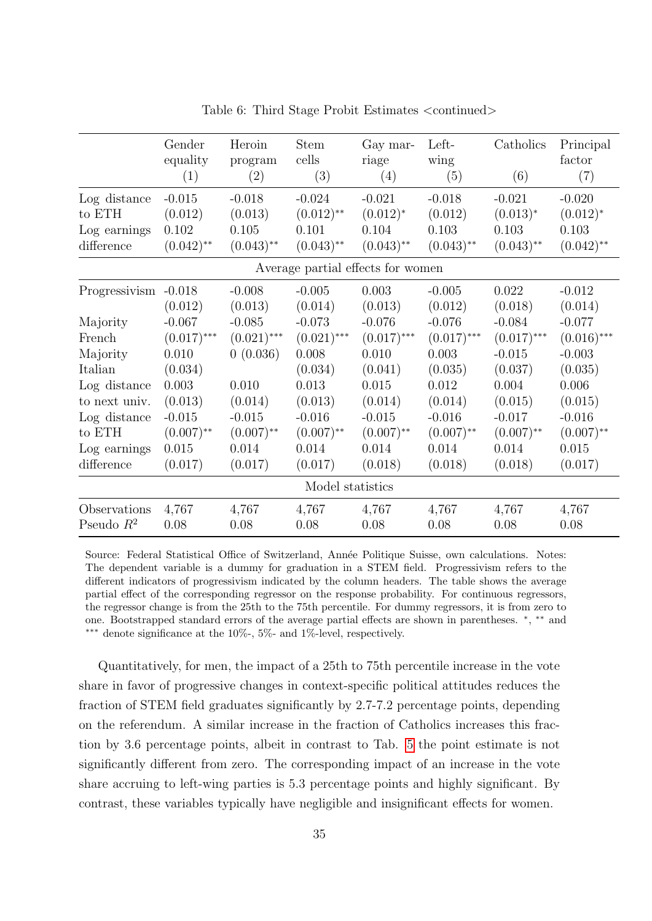|                                   | Gender<br>equality<br>(1) | Heroin<br>program<br>(2) | <b>Stem</b><br>cells<br>(3) | Gay mar-<br>riage<br>(4) | Left-<br>wing<br>(5) | Catholics<br>(6) | Principal<br>factor<br>(7) |  |  |
|-----------------------------------|---------------------------|--------------------------|-----------------------------|--------------------------|----------------------|------------------|----------------------------|--|--|
|                                   |                           |                          |                             |                          |                      |                  |                            |  |  |
| Log distance                      | $-0.015$                  | $-0.018$                 | $-0.024$                    | $-0.021$                 | $-0.018$             | $-0.021$         | $-0.020$                   |  |  |
| to ETH                            | (0.012)                   | (0.013)                  | $(0.012)$ **                | $(0.012)^*$              | (0.012)              | $(0.013)^*$      | $(0.012)^{*}$              |  |  |
| Log earnings                      | 0.102                     | 0.105                    | 0.101                       | 0.104                    | 0.103                | 0.103            | 0.103                      |  |  |
| difference                        | $(0.042)$ **              | $(0.043)$ **             | $(0.043)$ **                | $(0.043)$ **             | $(0.043)$ **         | $(0.043)$ **     | $(0.042)$ **               |  |  |
| Average partial effects for women |                           |                          |                             |                          |                      |                  |                            |  |  |
| Progressivism -0.018              |                           | $-0.008$                 | $-0.005$                    | 0.003                    | $-0.005$             | 0.022            | $-0.012$                   |  |  |
|                                   | (0.012)                   | (0.013)                  | (0.014)                     | (0.013)                  | (0.012)              | (0.018)          | (0.014)                    |  |  |
| Majority                          | $-0.067$                  | $-0.085$                 | $-0.073$                    | $-0.076$                 | $-0.076$             | $-0.084$         | $-0.077$                   |  |  |
| French                            | $(0.017)$ ***             | $(0.021)$ ***            | $(0.021)$ ***               | $(0.017)$ ***            | $(0.017)$ ***        | $(0.017)$ ***    | $(0.016)$ ***              |  |  |
| Majority                          | 0.010                     | 0(0.036)                 | 0.008                       | 0.010                    | 0.003                | $-0.015$         | $-0.003$                   |  |  |
| Italian                           | (0.034)                   |                          | (0.034)                     | (0.041)                  | (0.035)              | (0.037)          | (0.035)                    |  |  |
| Log distance                      | 0.003                     | 0.010                    | 0.013                       | 0.015                    | 0.012                | 0.004            | 0.006                      |  |  |
| to next univ.                     | (0.013)                   | (0.014)                  | (0.013)                     | (0.014)                  | (0.014)              | (0.015)          | (0.015)                    |  |  |
| Log distance                      | $-0.015$                  | $-0.015$                 | $-0.016$                    | $-0.015$                 | $-0.016$             | $-0.017$         | $-0.016$                   |  |  |
| to ETH                            | $(0.007)$ **              | $(0.007)$ **             | $(0.007)$ **                | $(0.007)$ **             | $(0.007)$ **         | $(0.007)$ **     | $(0.007)$ **               |  |  |
| Log earnings                      | 0.015                     | 0.014                    | 0.014                       | 0.014                    | 0.014                | 0.014            | 0.015                      |  |  |
| difference                        | (0.017)                   | (0.017)                  | (0.017)                     | (0.018)                  | (0.018)              | (0.018)          | (0.017)                    |  |  |
|                                   |                           |                          | Model statistics            |                          |                      |                  |                            |  |  |
| Observations                      | 4,767                     | 4,767                    | 4,767                       | 4,767                    | 4,767                | 4,767            | 4,767                      |  |  |
| Pseudo $R^2$                      | 0.08                      | 0.08                     | 0.08                        | 0.08                     | 0.08                 | 0.08             | 0.08                       |  |  |

Table 6: Third Stage Probit Estimates <continued>

Source: Federal Statistical Office of Switzerland, Année Politique Suisse, own calculations. Notes: The dependent variable is a dummy for graduation in a STEM field. Progressivism refers to the different indicators of progressivism indicated by the column headers. The table shows the average partial effect of the corresponding regressor on the response probability. For continuous regressors, the regressor change is from the 25th to the 75th percentile. For dummy regressors, it is from zero to one. Bootstrapped standard errors of the average partial effects are shown in parentheses. <sup>∗</sup> , ∗∗ and ∗∗∗ denote significance at the 10%-, 5%- and 1%-level, respectively.

Quantitatively, for men, the impact of a 25th to 75th percentile increase in the vote share in favor of progressive changes in context-specific political attitudes reduces the fraction of STEM field graduates significantly by 2.7-7.2 percentage points, depending on the referendum. A similar increase in the fraction of Catholics increases this fraction by 3.6 percentage points, albeit in contrast to Tab. [5](#page-33-0) the point estimate is not significantly different from zero. The corresponding impact of an increase in the vote share accruing to left-wing parties is 5.3 percentage points and highly significant. By contrast, these variables typically have negligible and insignificant effects for women.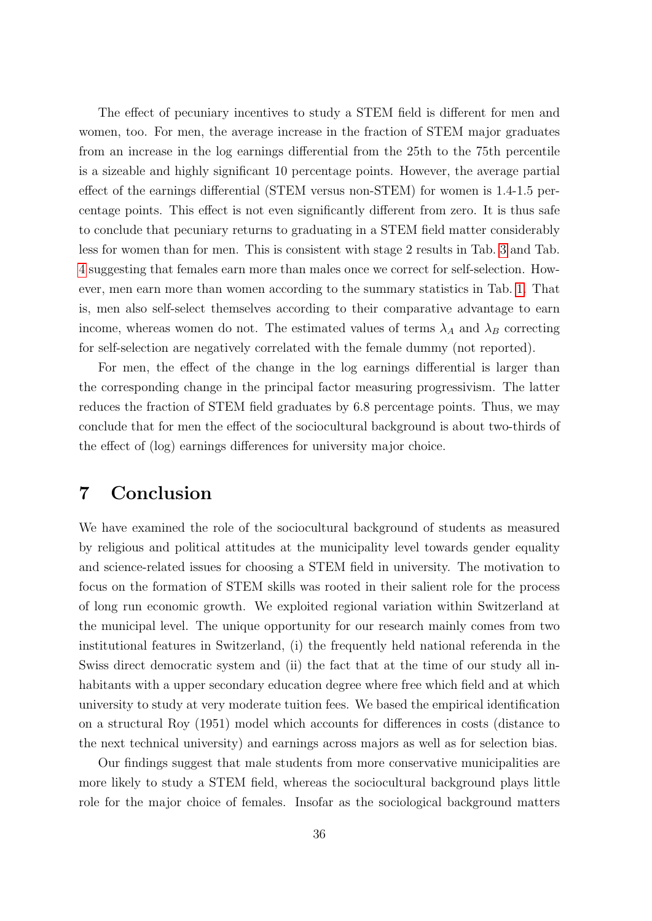The effect of pecuniary incentives to study a STEM field is different for men and women, too. For men, the average increase in the fraction of STEM major graduates from an increase in the log earnings differential from the 25th to the 75th percentile is a sizeable and highly significant 10 percentage points. However, the average partial effect of the earnings differential (STEM versus non-STEM) for women is 1.4-1.5 percentage points. This effect is not even significantly different from zero. It is thus safe to conclude that pecuniary returns to graduating in a STEM field matter considerably less for women than for men. This is consistent with stage 2 results in Tab. [3](#page-31-0) and Tab. [4](#page-32-0) suggesting that females earn more than males once we correct for self-selection. However, men earn more than women according to the summary statistics in Tab. [1.](#page-27-0) That is, men also self-select themselves according to their comparative advantage to earn income, whereas women do not. The estimated values of terms  $\lambda_A$  and  $\lambda_B$  correcting for self-selection are negatively correlated with the female dummy (not reported).

For men, the effect of the change in the log earnings differential is larger than the corresponding change in the principal factor measuring progressivism. The latter reduces the fraction of STEM field graduates by 6.8 percentage points. Thus, we may conclude that for men the effect of the sociocultural background is about two-thirds of the effect of (log) earnings differences for university major choice.

### 7 Conclusion

We have examined the role of the sociocultural background of students as measured by religious and political attitudes at the municipality level towards gender equality and science-related issues for choosing a STEM field in university. The motivation to focus on the formation of STEM skills was rooted in their salient role for the process of long run economic growth. We exploited regional variation within Switzerland at the municipal level. The unique opportunity for our research mainly comes from two institutional features in Switzerland, (i) the frequently held national referenda in the Swiss direct democratic system and (ii) the fact that at the time of our study all inhabitants with a upper secondary education degree where free which field and at which university to study at very moderate tuition fees. We based the empirical identification on a structural Roy (1951) model which accounts for differences in costs (distance to the next technical university) and earnings across majors as well as for selection bias.

Our findings suggest that male students from more conservative municipalities are more likely to study a STEM field, whereas the sociocultural background plays little role for the major choice of females. Insofar as the sociological background matters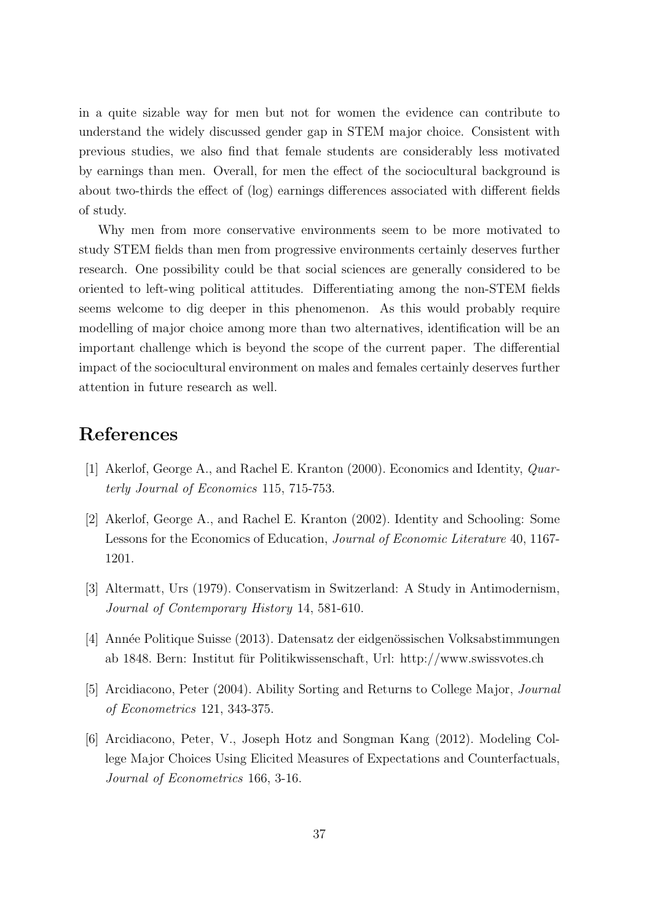in a quite sizable way for men but not for women the evidence can contribute to understand the widely discussed gender gap in STEM major choice. Consistent with previous studies, we also find that female students are considerably less motivated by earnings than men. Overall, for men the effect of the sociocultural background is about two-thirds the effect of (log) earnings differences associated with different fields of study.

Why men from more conservative environments seem to be more motivated to study STEM fields than men from progressive environments certainly deserves further research. One possibility could be that social sciences are generally considered to be oriented to left-wing political attitudes. Differentiating among the non-STEM fields seems welcome to dig deeper in this phenomenon. As this would probably require modelling of major choice among more than two alternatives, identification will be an important challenge which is beyond the scope of the current paper. The differential impact of the sociocultural environment on males and females certainly deserves further attention in future research as well.

### References

- [1] Akerlof, George A., and Rachel E. Kranton (2000). Economics and Identity, Quarterly Journal of Economics 115, 715-753.
- [2] Akerlof, George A., and Rachel E. Kranton (2002). Identity and Schooling: Some Lessons for the Economics of Education, Journal of Economic Literature 40, 1167- 1201.
- [3] Altermatt, Urs (1979). Conservatism in Switzerland: A Study in Antimodernism, Journal of Contemporary History 14, 581-610.
- [4] Année Politique Suisse (2013). Datensatz der eidgenössischen Volksabstimmungen ab 1848. Bern: Institut fur Politikwissenschaft, Url: http://www.swissvotes.ch ¨
- [5] Arcidiacono, Peter (2004). Ability Sorting and Returns to College Major, Journal of Econometrics 121, 343-375.
- [6] Arcidiacono, Peter, V., Joseph Hotz and Songman Kang (2012). Modeling College Major Choices Using Elicited Measures of Expectations and Counterfactuals, Journal of Econometrics 166, 3-16.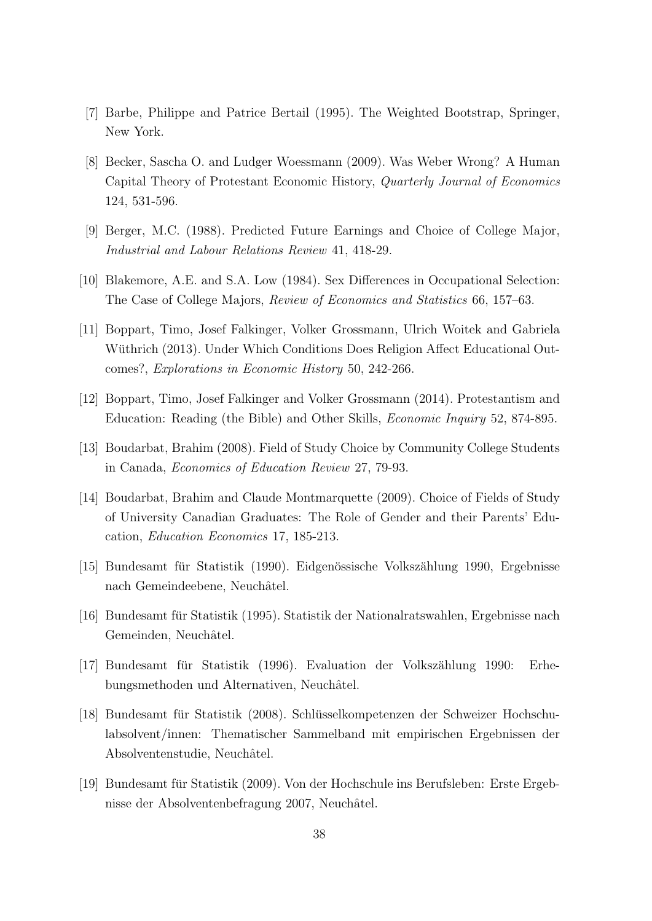- [7] Barbe, Philippe and Patrice Bertail (1995). The Weighted Bootstrap, Springer, New York.
- [8] Becker, Sascha O. and Ludger Woessmann (2009). Was Weber Wrong? A Human Capital Theory of Protestant Economic History, Quarterly Journal of Economics 124, 531-596.
- [9] Berger, M.C. (1988). Predicted Future Earnings and Choice of College Major, Industrial and Labour Relations Review 41, 418-29.
- [10] Blakemore, A.E. and S.A. Low (1984). Sex Differences in Occupational Selection: The Case of College Majors, Review of Economics and Statistics 66, 157–63.
- [11] Boppart, Timo, Josef Falkinger, Volker Grossmann, Ulrich Woitek and Gabriela Wüthrich (2013). Under Which Conditions Does Religion Affect Educational Outcomes?, Explorations in Economic History 50, 242-266.
- [12] Boppart, Timo, Josef Falkinger and Volker Grossmann (2014). Protestantism and Education: Reading (the Bible) and Other Skills, Economic Inquiry 52, 874-895.
- [13] Boudarbat, Brahim (2008). Field of Study Choice by Community College Students in Canada, Economics of Education Review 27, 79-93.
- [14] Boudarbat, Brahim and Claude Montmarquette (2009). Choice of Fields of Study of University Canadian Graduates: The Role of Gender and their Parents' Education, Education Economics 17, 185-213.
- [15] Bundesamt für Statistik (1990). Eidgenössische Volkszählung 1990, Ergebnisse nach Gemeindeebene, Neuchâtel.
- [16] Bundesamt fur Statistik (1995). Statistik der Nationalratswahlen, Ergebnisse nach ¨ Gemeinden, Neuchâtel.
- $[17]$  Bundesamt für Statistik (1996). Evaluation der Volkszählung 1990: Erhebungsmethoden und Alternativen, Neuchâtel.
- [18] Bundesamt für Statistik (2008). Schlüsselkompetenzen der Schweizer Hochschulabsolvent/innen: Thematischer Sammelband mit empirischen Ergebnissen der Absolventenstudie, Neuchâtel.
- [19] Bundesamt für Statistik (2009). Von der Hochschule ins Berufsleben: Erste Ergebnisse der Absolventenbefragung 2007, Neuchâtel.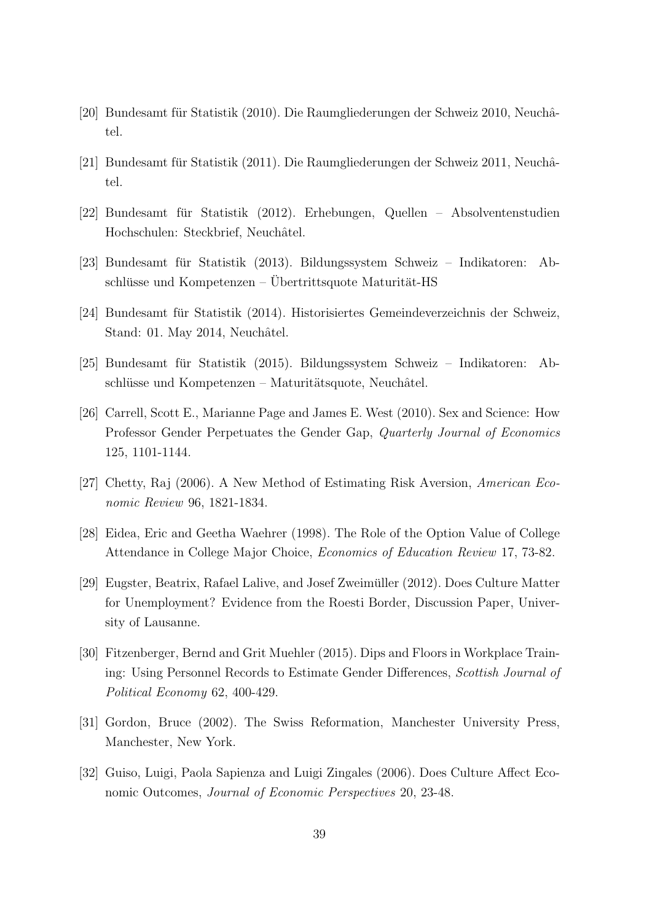- [20] Bundesamt für Statistik (2010). Die Raumgliederungen der Schweiz 2010, Neuchâtel.
- [21] Bundesamt für Statistik (2011). Die Raumgliederungen der Schweiz 2011, Neuchâtel.
- [22] Bundesamt für Statistik (2012). Erhebungen, Quellen Absolventenstudien Hochschulen: Steckbrief, Neuchâtel.
- [23] Bundesamt für Statistik (2013). Bildungssystem Schweiz Indikatoren: Ab $s$ chlüsse und Kompetenzen – Übertrittsquote Maturität-HS
- [24] Bundesamt für Statistik (2014). Historisiertes Gemeindeverzeichnis der Schweiz, Stand: 01. May 2014, Neuchâtel.
- [25] Bundesamt fur Statistik (2015). Bildungssystem Schweiz Indikatoren: Ab- ¨  $s$ chlüsse und Kompetenzen – Maturitätsquote, Neuchâtel.
- [26] Carrell, Scott E., Marianne Page and James E. West (2010). Sex and Science: How Professor Gender Perpetuates the Gender Gap, Quarterly Journal of Economics 125, 1101-1144.
- [27] Chetty, Raj (2006). A New Method of Estimating Risk Aversion, American Economic Review 96, 1821-1834.
- [28] Eidea, Eric and Geetha Waehrer (1998). The Role of the Option Value of College Attendance in College Major Choice, Economics of Education Review 17, 73-82.
- [29] Eugster, Beatrix, Rafael Lalive, and Josef Zweimuller (2012). Does Culture Matter ¨ for Unemployment? Evidence from the Roesti Border, Discussion Paper, University of Lausanne.
- [30] Fitzenberger, Bernd and Grit Muehler (2015). Dips and Floors in Workplace Training: Using Personnel Records to Estimate Gender Differences, Scottish Journal of Political Economy 62, 400-429.
- [31] Gordon, Bruce (2002). The Swiss Reformation, Manchester University Press, Manchester, New York.
- [32] Guiso, Luigi, Paola Sapienza and Luigi Zingales (2006). Does Culture Affect Economic Outcomes, Journal of Economic Perspectives 20, 23-48.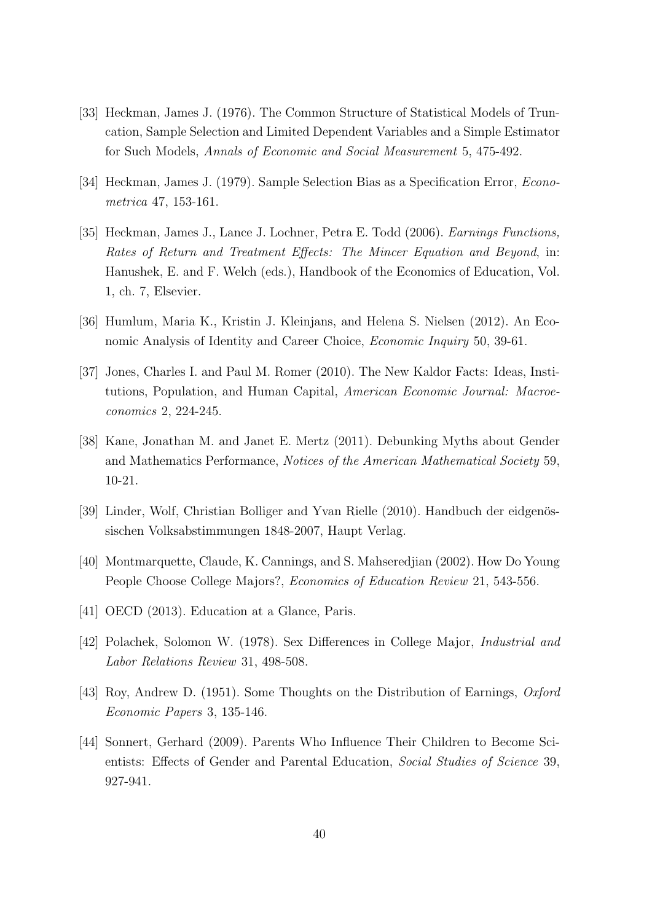- [33] Heckman, James J. (1976). The Common Structure of Statistical Models of Truncation, Sample Selection and Limited Dependent Variables and a Simple Estimator for Such Models, Annals of Economic and Social Measurement 5, 475-492.
- [34] Heckman, James J. (1979). Sample Selection Bias as a Specification Error, Econometrica 47, 153-161.
- [35] Heckman, James J., Lance J. Lochner, Petra E. Todd (2006). Earnings Functions, Rates of Return and Treatment Effects: The Mincer Equation and Beyond, in: Hanushek, E. and F. Welch (eds.), Handbook of the Economics of Education, Vol. 1, ch. 7, Elsevier.
- [36] Humlum, Maria K., Kristin J. Kleinjans, and Helena S. Nielsen (2012). An Economic Analysis of Identity and Career Choice, Economic Inquiry 50, 39-61.
- [37] Jones, Charles I. and Paul M. Romer (2010). The New Kaldor Facts: Ideas, Institutions, Population, and Human Capital, American Economic Journal: Macroeconomics 2, 224-245.
- [38] Kane, Jonathan M. and Janet E. Mertz (2011). Debunking Myths about Gender and Mathematics Performance, Notices of the American Mathematical Society 59, 10-21.
- [39] Linder, Wolf, Christian Bolliger and Yvan Rielle (2010). Handbuch der eidgenössischen Volksabstimmungen 1848-2007, Haupt Verlag.
- [40] Montmarquette, Claude, K. Cannings, and S. Mahseredjian (2002). How Do Young People Choose College Majors?, Economics of Education Review 21, 543-556.
- [41] OECD (2013). Education at a Glance, Paris.
- [42] Polachek, Solomon W. (1978). Sex Differences in College Major, Industrial and Labor Relations Review 31, 498-508.
- [43] Roy, Andrew D. (1951). Some Thoughts on the Distribution of Earnings, Oxford Economic Papers 3, 135-146.
- [44] Sonnert, Gerhard (2009). Parents Who Influence Their Children to Become Scientists: Effects of Gender and Parental Education, Social Studies of Science 39, 927-941.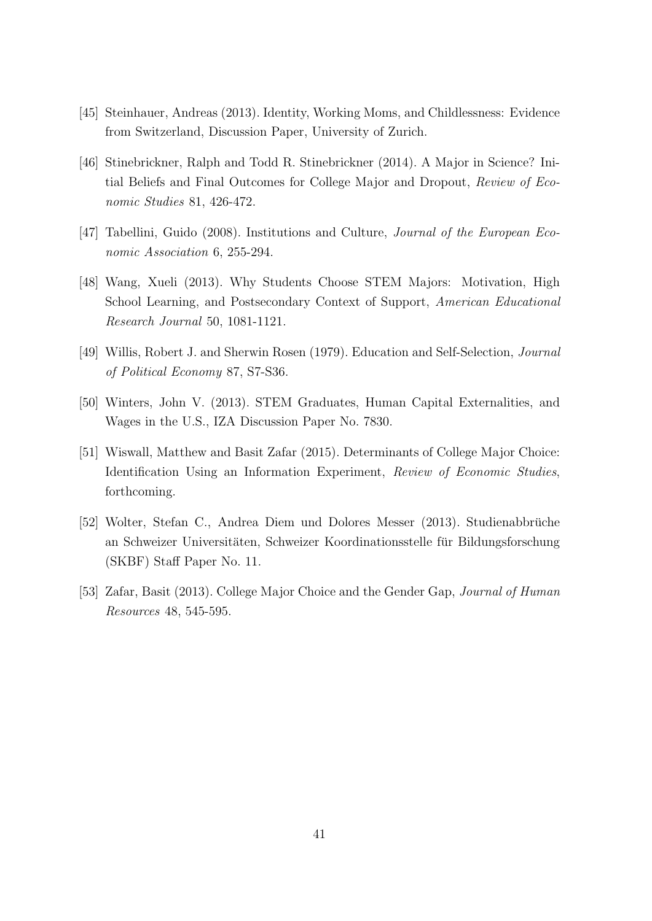- [45] Steinhauer, Andreas (2013). Identity, Working Moms, and Childlessness: Evidence from Switzerland, Discussion Paper, University of Zurich.
- [46] Stinebrickner, Ralph and Todd R. Stinebrickner (2014). A Major in Science? Initial Beliefs and Final Outcomes for College Major and Dropout, Review of Economic Studies 81, 426-472.
- [47] Tabellini, Guido (2008). Institutions and Culture, Journal of the European Economic Association 6, 255-294.
- [48] Wang, Xueli (2013). Why Students Choose STEM Majors: Motivation, High School Learning, and Postsecondary Context of Support, American Educational Research Journal 50, 1081-1121.
- [49] Willis, Robert J. and Sherwin Rosen (1979). Education and Self-Selection, Journal of Political Economy 87, S7-S36.
- [50] Winters, John V. (2013). STEM Graduates, Human Capital Externalities, and Wages in the U.S., IZA Discussion Paper No. 7830.
- [51] Wiswall, Matthew and Basit Zafar (2015). Determinants of College Major Choice: Identification Using an Information Experiment, Review of Economic Studies, forthcoming.
- [52] Wolter, Stefan C., Andrea Diem und Dolores Messer (2013). Studienabbruche ¨ an Schweizer Universitäten, Schweizer Koordinationsstelle für Bildungsforschung (SKBF) Staff Paper No. 11.
- [53] Zafar, Basit (2013). College Major Choice and the Gender Gap, Journal of Human Resources 48, 545-595.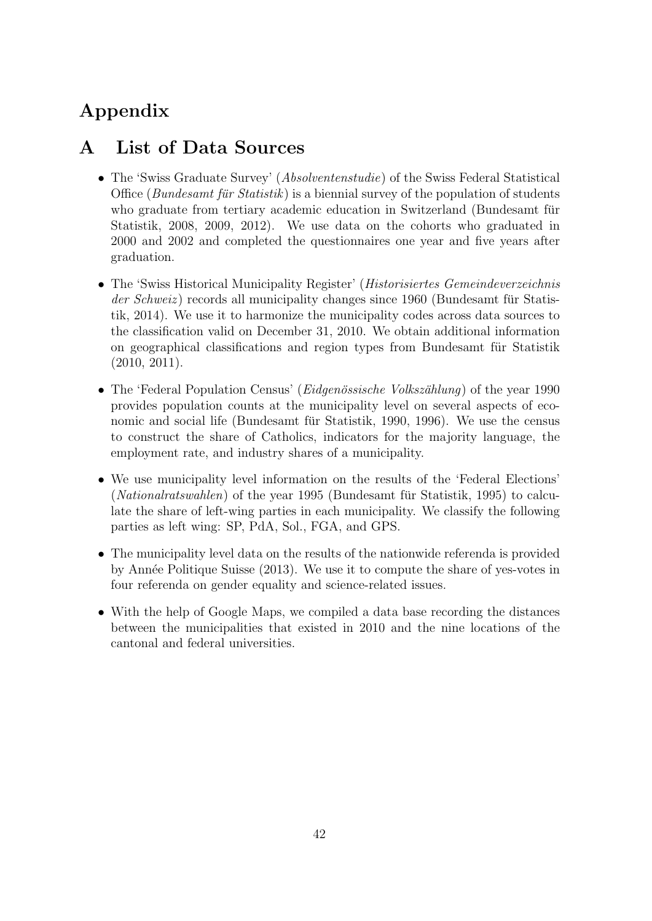# Appendix

# A List of Data Sources

- The 'Swiss Graduate Survey' (*Absolventenstudie*) of the Swiss Federal Statistical Office (Bundesamt für Statistik) is a biennial survey of the population of students who graduate from tertiary academic education in Switzerland (Bundesamt für Statistik, 2008, 2009, 2012). We use data on the cohorts who graduated in 2000 and 2002 and completed the questionnaires one year and five years after graduation.
- The 'Swiss Historical Municipality Register' (*Historisiertes Gemeindeverzeichnis* der Schweiz) records all municipality changes since 1960 (Bundesamt für Statistik, 2014). We use it to harmonize the municipality codes across data sources to the classification valid on December 31, 2010. We obtain additional information on geographical classifications and region types from Bundesamt fur Statistik ¨ (2010, 2011).
- The 'Federal Population Census' (*Eidgenössische Volkszählung*) of the year 1990 provides population counts at the municipality level on several aspects of economic and social life (Bundesamt für Statistik, 1990, 1996). We use the census to construct the share of Catholics, indicators for the majority language, the employment rate, and industry shares of a municipality.
- We use municipality level information on the results of the 'Federal Elections'  $(National rats wahlen)$  of the year 1995 (Bundesamt für Statistik, 1995) to calculate the share of left-wing parties in each municipality. We classify the following parties as left wing: SP, PdA, Sol., FGA, and GPS.
- The municipality level data on the results of the nationwide referenda is provided by Ann´ee Politique Suisse (2013). We use it to compute the share of yes-votes in four referenda on gender equality and science-related issues.
- With the help of Google Maps, we compiled a data base recording the distances between the municipalities that existed in 2010 and the nine locations of the cantonal and federal universities.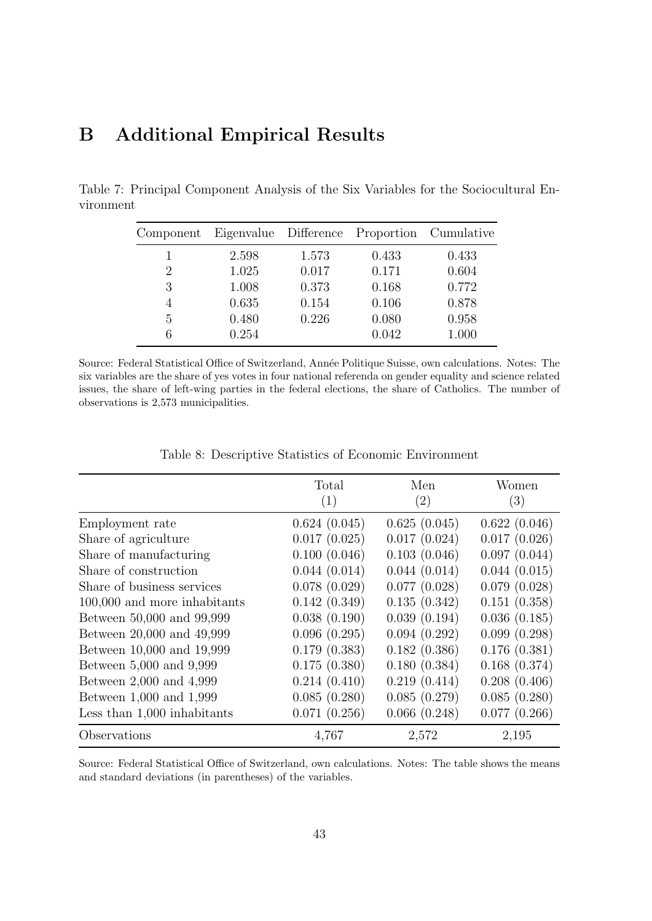# B Additional Empirical Results

Table 7: Principal Component Analysis of the Six Variables for the Sociocultural Environment

<span id="page-45-0"></span>

| Component | Eigenvalue Difference |       | Proportion Cumulative |       |
|-----------|-----------------------|-------|-----------------------|-------|
|           | 2.598                 | 1.573 | 0.433                 | 0.433 |
| 2         | 1.025                 | 0.017 | 0.171                 | 0.604 |
| 3         | 1.008                 | 0.373 | 0.168                 | 0.772 |
| 4         | 0.635                 | 0.154 | 0.106                 | 0.878 |
| 5         | 0.480                 | 0.226 | 0.080                 | 0.958 |
| 6         | 0.254                 |       | 0.042                 | 1.000 |

Source: Federal Statistical Office of Switzerland, Année Politique Suisse, own calculations. Notes: The six variables are the share of yes votes in four national referenda on gender equality and science related issues, the share of left-wing parties in the federal elections, the share of Catholics. The number of observations is 2,573 municipalities.

|                               | Total        | Men               | Women             |
|-------------------------------|--------------|-------------------|-------------------|
|                               | (1)          | $\left( 2\right)$ | $\left( 3\right)$ |
| Employment rate               | 0.624(0.045) | 0.625(0.045)      | 0.622(0.046)      |
| Share of agriculture          | 0.017(0.025) | 0.017(0.024)      | 0.017(0.026)      |
| Share of manufacturing        | 0.100(0.046) | 0.103(0.046)      | 0.097(0.044)      |
| Share of construction         | 0.044(0.014) | 0.044(0.014)      | 0.044(0.015)      |
| Share of business services    | 0.078(0.029) | 0.077(0.028)      | 0.079(0.028)      |
| 100,000 and more inhabitants  | 0.142(0.349) | 0.135(0.342)      | 0.151(0.358)      |
| Between 50,000 and 99,999     | 0.038(0.190) | 0.039(0.194)      | 0.036(0.185)      |
| Between 20,000 and 49,999     | 0.096(0.295) | 0.094(0.292)      | 0.099(0.298)      |
| Between 10,000 and 19,999     | 0.179(0.383) | 0.182(0.386)      | 0.176(0.381)      |
| Between 5,000 and 9,999       | 0.175(0.380) | 0.180(0.384)      | 0.168(0.374)      |
| Between 2,000 and 4,999       | 0.214(0.410) | 0.219(0.414)      | 0.208(0.406)      |
| Between 1,000 and 1,999       | 0.085(0.280) | 0.085(0.279)      | 0.085(0.280)      |
| Less than $1,000$ inhabitants | 0.071(0.256) | 0.066(0.248)      | 0.077(0.266)      |
| Observations                  | 4,767        | 2,572             | 2,195             |

<span id="page-45-1"></span>Table 8: Descriptive Statistics of Economic Environment

Source: Federal Statistical Office of Switzerland, own calculations. Notes: The table shows the means and standard deviations (in parentheses) of the variables.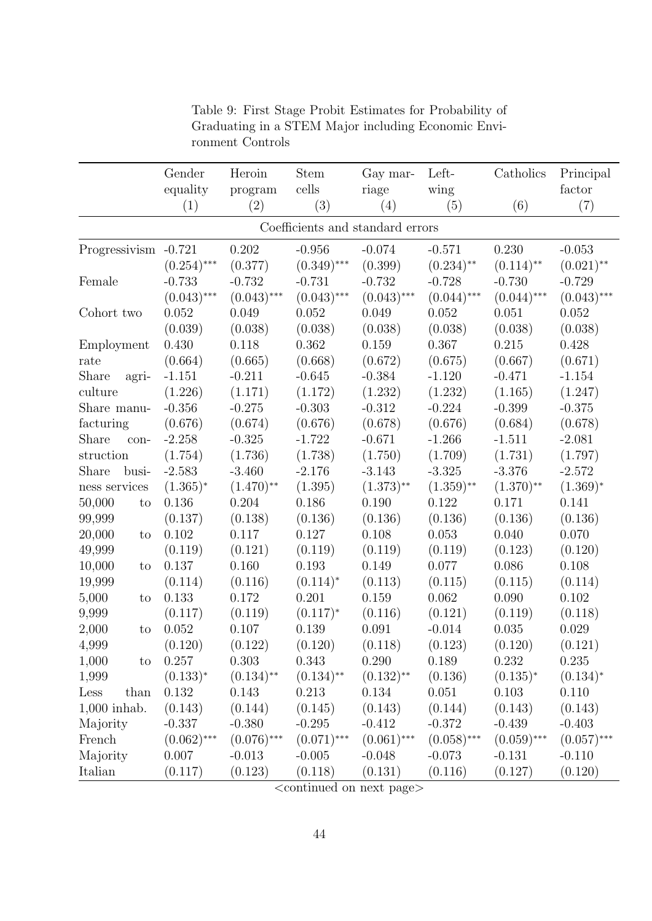<span id="page-46-0"></span>

|                      | Gender<br>equality | Heroin<br>program | <b>Stem</b><br>cells             | Gay mar-<br>riage | Left-<br>wing | Catholics     | Principal<br>factor |
|----------------------|--------------------|-------------------|----------------------------------|-------------------|---------------|---------------|---------------------|
|                      | (1)                | (2)               | (3)                              | (4)               | (5)           | (6)           | (7)                 |
|                      |                    |                   | Coefficients and standard errors |                   |               |               |                     |
| Progressivism -0.721 |                    | 0.202             | $-0.956$                         | $-0.074$          | $-0.571$      | 0.230         | $-0.053$            |
|                      | $(0.254)$ ***      | (0.377)           | $(0.349)$ ***                    | (0.399)           | $(0.234)$ **  | $(0.114)$ **  | $(0.021)$ **        |
| Female               | $-0.733$           | $-0.732$          | $-0.731$                         | $-0.732$          | $-0.728$      | $-0.730$      | $-0.729$            |
|                      | $(0.043)$ ***      | $(0.043)$ ***     | $(0.043)$ ***                    | $(0.043)$ ***     | $(0.044)$ *** | $(0.044)$ *** | $(0.043)$ ***       |
| Cohort two           | 0.052              | 0.049             | 0.052                            | 0.049             | 0.052         | 0.051         | 0.052               |
|                      | (0.039)            | (0.038)           | (0.038)                          | (0.038)           | (0.038)       | (0.038)       | (0.038)             |
| Employment           | 0.430              | 0.118             | 0.362                            | 0.159             | 0.367         | 0.215         | 0.428               |
| rate                 | (0.664)            | (0.665)           | (0.668)                          | (0.672)           | (0.675)       | (0.667)       | (0.671)             |
| Share<br>agri-       | $-1.151$           | $-0.211$          | $-0.645$                         | $-0.384$          | $-1.120$      | $-0.471$      | $-1.154$            |
| culture              | (1.226)            | (1.171)           | (1.172)                          | (1.232)           | (1.232)       | (1.165)       | (1.247)             |
| Share manu-          | $-0.356$           | $-0.275$          | $-0.303$                         | $-0.312$          | $-0.224$      | $-0.399$      | $-0.375$            |
| facturing            | (0.676)            | (0.674)           | (0.676)                          | (0.678)           | (0.676)       | (0.684)       | (0.678)             |
| Share<br>con-        | $-2.258$           | $-0.325$          | $-1.722$                         | $-0.671$          | $-1.266$      | $-1.511$      | $-2.081$            |
| struction            | (1.754)            | (1.736)           | (1.738)                          | (1.750)           | (1.709)       | (1.731)       | (1.797)             |
| Share<br>busi-       | $-2.583$           | $-3.460$          | $-2.176$                         | $-3.143$          | $-3.325$      | $-3.376$      | $-2.572$            |
| ness services        | $(1.365)^*$        | $(1.470)$ **      | (1.395)                          | $(1.373)$ **      | $(1.359)$ **  | $(1.370)$ **  | $(1.369)^*$         |
| 50,000<br>to         | 0.136              | 0.204             | 0.186                            | 0.190             | 0.122         | 0.171         | 0.141               |
| 99,999               | (0.137)            | (0.138)           | (0.136)                          | (0.136)           | (0.136)       | (0.136)       | (0.136)             |
| 20,000<br>to         | 0.102              | 0.117             | 0.127                            | 0.108             | 0.053         | 0.040         | 0.070               |
| 49,999               | (0.119)            | (0.121)           | (0.119)                          | (0.119)           | (0.119)       | (0.123)       | (0.120)             |
| 10,000<br>to         | 0.137              | 0.160             | 0.193                            | 0.149             | 0.077         | 0.086         | 0.108               |
| 19,999               | (0.114)            | (0.116)           | $(0.114)^*$                      | (0.113)           | (0.115)       | (0.115)       | (0.114)             |
| 5,000<br>to          | 0.133              | 0.172             | 0.201                            | 0.159             | 0.062         | 0.090         | 0.102               |
| 9,999                | (0.117)            | (0.119)           | $(0.117)^*$                      | (0.116)           | (0.121)       | (0.119)       | (0.118)             |
| 2,000<br>to          | 0.052              | 0.107             | 0.139                            | 0.091             | $-0.014$      | 0.035         | 0.029               |
| 4,999                | (0.120)            | (0.122)           | (0.120)                          | (0.118)           | (0.123)       | (0.120)       | (0.121)             |
| 1,000<br>to          | 0.257              | 0.303             | 0.343                            | 0.290             | 0.189         | 0.232         | 0.235               |
| 1,999                | $(0.133)^*$        | $(0.134)$ **      | $(0.134)$ **                     | $(0.132)$ **      | (0.136)       | $(0.135)^{*}$ | $(0.134)^*$         |
| than<br>Less         | 0.132              | 0.143             | 0.213                            | 0.134             | 0.051         | 0.103         | 0.110               |
| $1,000$ inhab.       | (0.143)            | (0.144)           | (0.145)                          | (0.143)           | (0.144)       | (0.143)       | (0.143)             |
| Majority             | $-0.337$           | $-0.380$          | $-0.295$                         | $-0.412$          | $-0.372$      | $-0.439$      | $-0.403$            |
| French               | $(0.062)$ ***      | $(0.076)$ ***     | $(0.071)$ ***                    | $(0.061)$ ***     | $(0.058)$ *** | $(0.059)$ *** | $(0.057)$ ***       |
| Majority             | 0.007              | $-0.013$          | $-0.005$                         | $-0.048$          | $-0.073$      | $-0.131$      | $-0.110$            |
| Italian              | (0.117)            | (0.123)           | (0.118)                          | (0.131)           | (0.116)       | (0.127)       | (0.120)             |

Table 9: First Stage Probit Estimates for Probability of Graduating in a STEM Major including Economic Environment Controls

 $<$ continued on next page $>$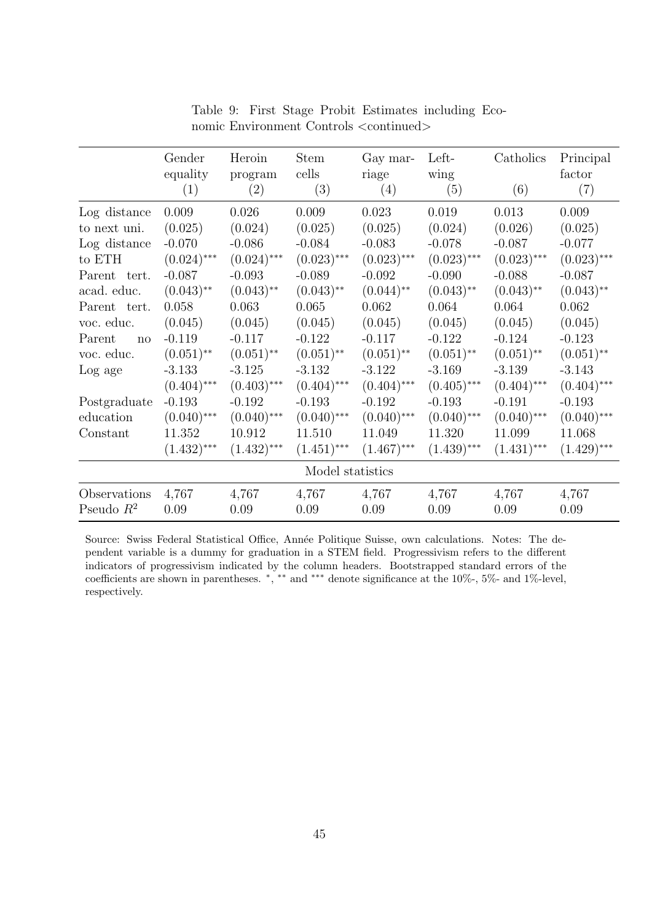|              | Gender<br>equality<br>(1) | Heroin<br>program<br>(2) | <b>Stem</b><br>cells<br>(3) | Gay mar-<br>riage<br>(4) | Left-<br>wing<br>(5) | Catholics<br>(6)        | Principal<br>factor<br>(7) |
|--------------|---------------------------|--------------------------|-----------------------------|--------------------------|----------------------|-------------------------|----------------------------|
| Log distance | 0.009                     | 0.026                    | 0.009                       | 0.023                    | 0.019                | 0.013                   | 0.009                      |
| to next uni. | (0.025)                   | (0.024)                  | (0.025)                     | (0.025)                  | (0.024)              | (0.026)                 | (0.025)                    |
| Log distance | $-0.070$                  | $-0.086$                 | $-0.084$                    | $-0.083$                 | $-0.078$             | $-0.087$                | $-0.077$                   |
| to ETH       | $(0.024)$ ***             | $(0.024)$ ***            | $(0.023)$ ***               | $(0.023)$ ***            | $(0.023)$ ***        | $(0.023)$ ***           | $(0.023)$ ***              |
| Parent tert. | $-0.087$                  | $-0.093$                 | $-0.089$                    | $-0.092$                 | $-0.090$             | $-0.088$                | $-0.087$                   |
| acad. educ.  | $(0.043)$ **              | $(0.043)$ **             | $(0.043)$ **                | $(0.044)$ **             | $(0.043)$ **         | $(0.043)$ **            | $(0.043)$ **               |
| Parent tert. | 0.058                     | 0.063                    | 0.065                       | 0.062                    | 0.064                | 0.064                   | 0.062                      |
| voc. educ.   | (0.045)                   | (0.045)                  | (0.045)                     | (0.045)                  | (0.045)              | (0.045)                 | (0.045)                    |
| Parent<br>no | $-0.119$                  | $-0.117$                 | $-0.122$                    | $-0.117$                 | $-0.122$             | $-0.124$                | $-0.123$                   |
| voc. educ.   | $(0.051)$ **              | $(0.051)$ **             | $(0.051)$ **                | $(0.051)$ **             | $(0.051)$ **         | $(0.051)$ <sup>**</sup> | $(0.051)$ **               |
| Log age      | $-3.133$                  | $-3.125$                 | $-3.132$                    | $-3.122$                 | $-3.169$             | $-3.139$                | $-3.143$                   |
|              | $(0.404)$ ***             | $(0.403)$ ***            | $(0.404)$ ***               | $(0.404)$ ***            | $(0.405)$ ***        | $(0.404)$ ***           | $(0.404)$ ***              |
| Postgraduate | $-0.193$                  | $-0.192$                 | $-0.193$                    | $-0.192$                 | $-0.193$             | $-0.191$                | $-0.193$                   |
| education    | $(0.040)$ ***             | $(0.040)$ ***            | $(0.040)$ ***               | $(0.040)$ ***            | $(0.040)$ ***        | $(0.040)$ ***           | $(0.040)$ ***              |
| Constant     | 11.352                    | 10.912                   | 11.510                      | 11.049                   | 11.320               | 11.099                  | 11.068                     |
|              | $(1.432)$ ***             | $(1.432)$ ***            | $(1.451)$ ***               | $(1.467)$ ***            | $(1.439)$ ***        | $(1.431)$ ***           | $(1.429)$ ***              |
|              |                           |                          | Model statistics            |                          |                      |                         |                            |
| Observations | 4,767                     | 4,767                    | 4,767                       | 4,767                    | 4,767                | 4,767                   | 4,767                      |
| Pseudo $R^2$ | 0.09                      | 0.09                     | 0.09                        | 0.09                     | 0.09                 | 0.09                    | 0.09                       |

Table 9: First Stage Probit Estimates including Economic Environment Controls <continued>

Source: Swiss Federal Statistical Office, Année Politique Suisse, own calculations. Notes: The dependent variable is a dummy for graduation in a STEM field. Progressivism refers to the different indicators of progressivism indicated by the column headers. Bootstrapped standard errors of the coefficients are shown in parentheses. \*, \*\* and \*\*\* denote significance at the 10%-, 5%- and 1%-level, respectively.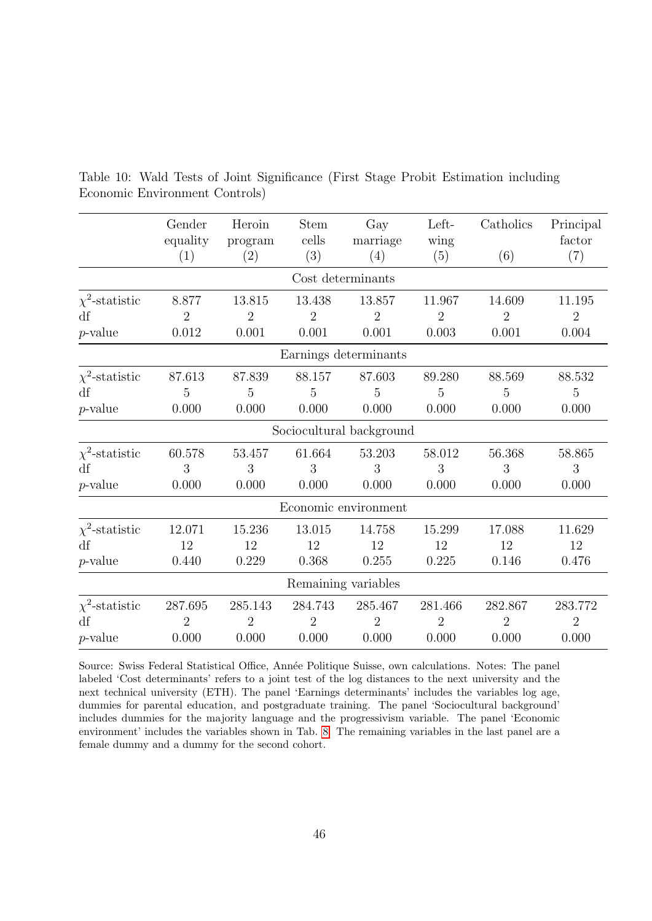|                     | Gender<br>equality<br>(1) | Heroin<br>program<br>(2) | <b>Stem</b><br>cells<br>(3) | Gay<br>marriage<br>(4)   | Left-<br>wing<br>(5) | Catholics<br>(6) | Principal<br>factor<br>(7) |
|---------------------|---------------------------|--------------------------|-----------------------------|--------------------------|----------------------|------------------|----------------------------|
|                     |                           |                          | Cost determinants           |                          |                      |                  |                            |
|                     |                           |                          |                             |                          |                      |                  |                            |
| $\chi^2$ -statistic | 8.877                     | 13.815                   | 13.438                      | 13.857                   | 11.967               | 14.609           | 11.195                     |
| df                  | $\overline{2}$            | $\overline{2}$           | $\overline{2}$              | $\overline{2}$           | $\overline{2}$       | $\overline{2}$   | $\overline{2}$             |
| $p$ -value          | 0.012                     | 0.001                    | 0.001                       | 0.001                    | 0.003                | 0.001            | 0.004                      |
|                     |                           |                          |                             | Earnings determinants    |                      |                  |                            |
| $\chi^2$ -statistic | 87.613                    | 87.839                   | 88.157                      | 87.603                   | 89.280               | 88.569           | 88.532                     |
| df                  | $\overline{5}$            | $\overline{5}$           | $\overline{5}$              | 5                        | $\overline{5}$       | $\overline{5}$   | $\overline{5}$             |
| $p$ -value          | 0.000                     | 0.000                    | 0.000                       | 0.000                    | 0.000                | 0.000            | 0.000                      |
|                     |                           |                          |                             | Sociocultural background |                      |                  |                            |
| $\chi^2$ -statistic | 60.578                    | 53.457                   | 61.664                      | 53.203                   | 58.012               | 56.368           | 58.865                     |
| df                  | 3                         | 3                        | 3                           | 3                        | 3                    | 3                | 3                          |
| $p$ -value          | 0.000                     | 0.000                    | 0.000                       | 0.000                    | 0.000                | 0.000            | 0.000                      |
|                     |                           |                          |                             | Economic environment     |                      |                  |                            |
| $\chi^2$ -statistic | 12.071                    | 15.236                   | 13.015                      | 14.758                   | 15.299               | 17.088           | 11.629                     |
| df                  | 12                        | 12                       | 12                          | 12                       | 12                   | 12               | 12                         |
| $p$ -value          | 0.440                     | 0.229                    | 0.368                       | 0.255                    | 0.225                | 0.146            | 0.476                      |
|                     |                           |                          |                             | Remaining variables      |                      |                  |                            |
| $\chi^2$ -statistic | 287.695                   | 285.143                  | 284.743                     | 285.467                  | 281.466              | 282.867          | 283.772                    |
| df                  | $\overline{2}$            | $\overline{2}$           | $\overline{2}$              | $\overline{2}$           | $\overline{2}$       | $\overline{2}$   | $\overline{2}$             |
| $p$ -value          | 0.000                     | 0.000                    | 0.000                       | 0.000                    | 0.000                | 0.000            | 0.000                      |

<span id="page-48-0"></span>Table 10: Wald Tests of Joint Significance (First Stage Probit Estimation including Economic Environment Controls)

Source: Swiss Federal Statistical Office, Année Politique Suisse, own calculations. Notes: The panel labeled 'Cost determinants' refers to a joint test of the log distances to the next university and the next technical university (ETH). The panel 'Earnings determinants' includes the variables log age, dummies for parental education, and postgraduate training. The panel 'Sociocultural background' includes dummies for the majority language and the progressivism variable. The panel 'Economic environment' includes the variables shown in Tab. [8.](#page-45-1) The remaining variables in the last panel are a female dummy and a dummy for the second cohort.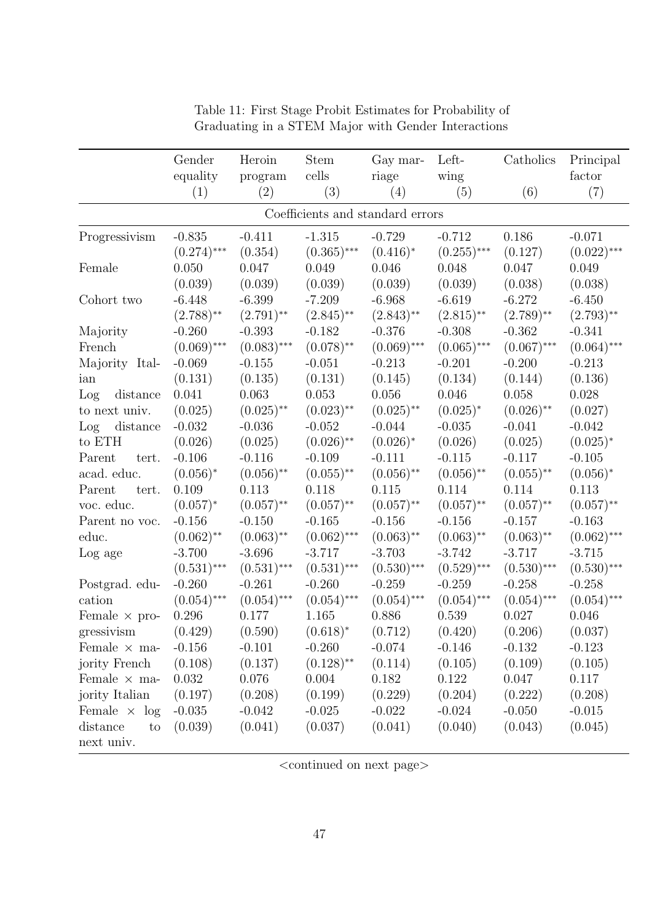|                         | Gender        | Heroin        | <b>Stem</b>                      | Gay mar-      | Left-         | Catholics     | Principal     |
|-------------------------|---------------|---------------|----------------------------------|---------------|---------------|---------------|---------------|
|                         | equality      | program       | cells                            | riage         | wing          |               | factor        |
|                         | (1)           | (2)           | (3)                              | (4)           | (5)           | (6)           | (7)           |
|                         |               |               | Coefficients and standard errors |               |               |               |               |
| Progressivism           | $-0.835$      | $-0.411$      | $-1.315$                         | $-0.729$      | $-0.712$      | 0.186         | $-0.071$      |
|                         | $(0.274)$ *** | (0.354)       | $(0.365)$ ***                    | $(0.416)^*$   | $(0.255)$ *** | (0.127)       | $(0.022)$ *** |
| Female                  | 0.050         | 0.047         | 0.049                            | 0.046         | 0.048         | 0.047         | 0.049         |
|                         | (0.039)       | (0.039)       | (0.039)                          | (0.039)       | (0.039)       | (0.038)       | (0.038)       |
| Cohort two              | $-6.448$      | $-6.399$      | $-7.209$                         | $-6.968$      | $-6.619$      | $-6.272$      | $-6.450$      |
|                         | $(2.788)$ **  | $(2.791)$ **  | $(2.845)$ **                     | $(2.843)$ **  | $(2.815)$ **  | $(2.789)$ **  | $(2.793)$ **  |
| Majority                | $-0.260$      | $-0.393$      | $-0.182$                         | $-0.376$      | $-0.308$      | $-0.362$      | $-0.341$      |
| French                  | $(0.069)$ *** | $(0.083)$ *** | $(0.078)$ **                     | $(0.069)$ *** | $(0.065)$ *** | $(0.067)$ *** | $(0.064)$ *** |
| Majority Ital-          | $-0.069$      | $-0.155$      | $-0.051$                         | $-0.213$      | $-0.201$      | $-0.200$      | $-0.213$      |
| ian                     | (0.131)       | (0.135)       | (0.131)                          | (0.145)       | (0.134)       | (0.144)       | (0.136)       |
| Log<br>distance         | 0.041         | 0.063         | 0.053                            | 0.056         | $0.046\,$     | 0.058         | 0.028         |
| to next univ.           | (0.025)       | $(0.025)$ **  | $(0.023)$ **                     | $(0.025)$ **  | $(0.025)^*$   | $(0.026)$ **  | (0.027)       |
| distance<br>Log         | $-0.032$      | $-0.036$      | $-0.052$                         | $-0.044$      | $-0.035$      | $-0.041$      | $-0.042$      |
| to $\operatorname{ETH}$ | (0.026)       | (0.025)       | $(0.026)$ **                     | $(0.026)^*$   | (0.026)       | (0.025)       | $(0.025)^*$   |
| tert.<br>Parent         | $-0.106$      | $-0.116$      | $-0.109$                         | $-0.111$      | $-0.115$      | $-0.117$      | $-0.105$      |
| acad. educ.             | $(0.056)^*$   | $(0.056)$ **  | $(0.055)$ **                     | $(0.056)$ **  | $(0.056)$ **  | $(0.055)$ **  | $(0.056)^*$   |
| Parent<br>tert.         | 0.109         | 0.113         | 0.118                            | 0.115         | 0.114         | 0.114         | 0.113         |
| voc. educ.              | $(0.057)^*$   | $(0.057)$ **  | $(0.057)$ **                     | $(0.057)$ **  | $(0.057)$ **  | $(0.057)$ **  | $(0.057)$ **  |
| Parent no voc.          | $-0.156$      | $-0.150$      | $-0.165$                         | $-0.156$      | $-0.156$      | $-0.157$      | $-0.163$      |
| educ.                   | $(0.062)$ **  | $(0.063)$ **  | $(0.062)$ ***                    | $(0.063)$ **  | $(0.063)$ **  | $(0.063)$ **  | $(0.062)$ *** |
| Log age                 | $-3.700$      | $-3.696$      | $-3.717$                         | $-3.703$      | $-3.742$      | $-3.717$      | $-3.715$      |
|                         | $(0.531)$ *** | $(0.531)$ *** | $(0.531)$ ***                    | $(0.530)$ *** | $(0.529)$ *** | $(0.530)$ *** | $(0.530)$ *** |
| Postgrad. edu-          | $-0.260$      | $-0.261$      | $-0.260$                         | $-0.259$      | $-0.259$      | $-0.258$      | $-0.258$      |
| cation                  | $(0.054)$ *** | $(0.054)$ *** | $(0.054)$ ***                    | $(0.054)$ *** | $(0.054)$ *** | $(0.054)$ *** | $(0.054)$ *** |
| Female $\times$ pro-    | 0.296         | 0.177         | 1.165                            | 0.886         | 0.539         | 0.027         | 0.046         |
| gressivism              | (0.429)       | (0.590)       | $(0.618)^*$                      | (0.712)       | (0.420)       | (0.206)       | (0.037)       |
| Female $\times$ ma-     | $-0.156$      | $-0.101$      | $-0.260$                         | $-0.074$      | $-0.146$      | $-0.132$      | $-0.123$      |
| jority French           | (0.108)       | (0.137)       | $(0.128)$ <sup>**</sup>          | (0.114)       | (0.105)       | (0.109)       | (0.105)       |
| Female $\times$ ma-     | 0.032         | 0.076         | 0.004                            | 0.182         | 0.122         | 0.047         | 0.117         |
| jority Italian          | (0.197)       | (0.208)       | (0.199)                          | (0.229)       | (0.204)       | (0.222)       | (0.208)       |
| Female $\times$ log     | $-0.035$      | $-0.042$      | $-0.025$                         | $-0.022$      | $-0.024$      | $-0.050$      | $-0.015$      |
| distance<br>to          | (0.039)       | (0.041)       | (0.037)                          | (0.041)       | (0.040)       | (0.043)       | (0.045)       |
| next univ.              |               |               |                                  |               |               |               |               |

Table 11: First Stage Probit Estimates for Probability of Graduating in a STEM Major with Gender Interactions

 $<$ continued on next page $>$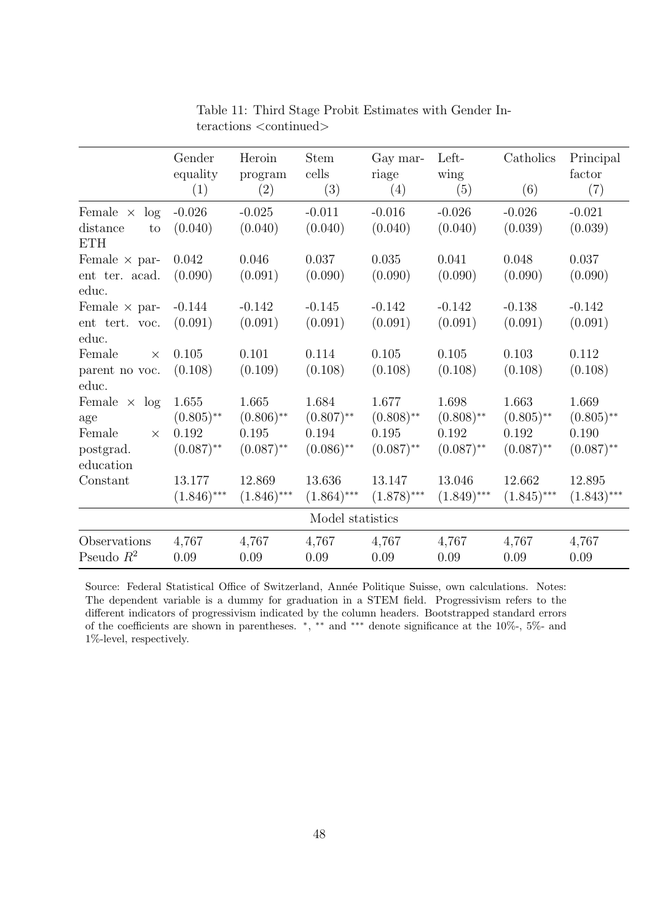|                                                               | Gender<br>equality                             | Heroin<br>program                              | <b>Stem</b><br>cells                           | Gay mar-<br>riage                              | Left-<br>wing                                  | Catholics                                      | Principal<br>factor                            |
|---------------------------------------------------------------|------------------------------------------------|------------------------------------------------|------------------------------------------------|------------------------------------------------|------------------------------------------------|------------------------------------------------|------------------------------------------------|
|                                                               | (1)                                            | (2)                                            | (3)                                            | (4)                                            | (5)                                            | (6)                                            | (7)                                            |
| log<br>Female $\times$<br>distance<br>to<br><b>ETH</b>        | $-0.026$<br>(0.040)                            | $-0.025$<br>(0.040)                            | $-0.011$<br>(0.040)                            | $-0.016$<br>(0.040)                            | $-0.026$<br>(0.040)                            | $-0.026$<br>(0.039)                            | $-0.021$<br>(0.039)                            |
| Female $\times$ par-<br>ent ter. acad.<br>educ.               | 0.042<br>(0.090)                               | 0.046<br>(0.091)                               | 0.037<br>(0.090)                               | 0.035<br>(0.090)                               | 0.041<br>(0.090)                               | 0.048<br>(0.090)                               | 0.037<br>(0.090)                               |
| Female $\times$ par-<br>ent tert. voc.<br>educ.               | $-0.144$<br>(0.091)                            | $-0.142$<br>(0.091)                            | $-0.145$<br>(0.091)                            | $-0.142$<br>(0.091)                            | $-0.142$<br>(0.091)                            | $-0.138$<br>(0.091)                            | $-0.142$<br>(0.091)                            |
| Female<br>$\times$<br>parent no voc.<br>educ.                 | 0.105<br>(0.108)                               | 0.101<br>(0.109)                               | 0.114<br>(0.108)                               | 0.105<br>(0.108)                               | 0.105<br>(0.108)                               | 0.103<br>(0.108)                               | 0.112<br>(0.108)                               |
| Female $\times$ log<br>age<br>Female<br>$\times$<br>postgrad. | 1.655<br>$(0.805)$ **<br>0.192<br>$(0.087)$ ** | 1.665<br>$(0.806)$ **<br>0.195<br>$(0.087)$ ** | 1.684<br>$(0.807)$ **<br>0.194<br>$(0.086)$ ** | 1.677<br>$(0.808)$ **<br>0.195<br>$(0.087)$ ** | 1.698<br>$(0.808)$ **<br>0.192<br>$(0.087)$ ** | 1.663<br>$(0.805)$ **<br>0.192<br>$(0.087)$ ** | 1.669<br>$(0.805)$ **<br>0.190<br>$(0.087)$ ** |
| education<br>Constant                                         | 13.177<br>$(1.846)$ ***                        | 12.869<br>$(1.846)$ ***                        | 13.636<br>$(1.864)$ ***                        | 13.147<br>$(1.878)$ ***                        | 13.046<br>$(1.849)$ ***                        | 12.662<br>$(1.845)$ ***                        | 12.895<br>$(1.843)$ ***                        |
|                                                               |                                                |                                                | Model statistics                               |                                                |                                                |                                                |                                                |
| Observations<br>Pseudo $R^2$                                  | 4,767<br>0.09                                  | 4,767<br>0.09                                  | 4,767<br>0.09                                  | 4,767<br>0.09                                  | 4,767<br>0.09                                  | 4,767<br>0.09                                  | 4,767<br>0.09                                  |

Table 11: Third Stage Probit Estimates with Gender Interactions <continued>

Source: Federal Statistical Office of Switzerland, Année Politique Suisse, own calculations. Notes: The dependent variable is a dummy for graduation in a STEM field. Progressivism refers to the different indicators of progressivism indicated by the column headers. Bootstrapped standard errors of the coefficients are shown in parentheses. \*, \*\* and \*\*\* denote significance at the 10%-, 5%- and 1%-level, respectively.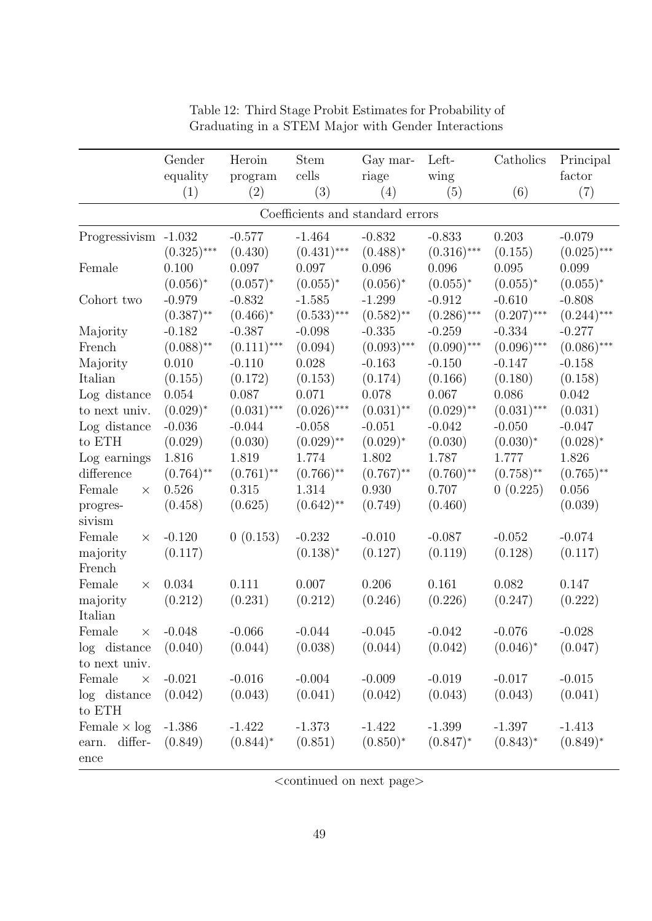|                                  | Gender<br>equality | Heroin<br>program | <b>Stem</b><br>cells | Gay mar-<br>riage | Left-<br>wing | Catholics     | Principal<br>factor |  |  |  |
|----------------------------------|--------------------|-------------------|----------------------|-------------------|---------------|---------------|---------------------|--|--|--|
|                                  | (1)                | (2)               | (3)                  | (4)               | (5)           | (6)           | (7)                 |  |  |  |
| Coefficients and standard errors |                    |                   |                      |                   |               |               |                     |  |  |  |
| Progressivism -1.032             |                    | $-0.577$          | $-1.464$             | $-0.832$          | $-0.833$      | 0.203         | $-0.079$            |  |  |  |
|                                  | $(0.325)$ ***      | (0.430)           | $(0.431)$ ***        | $(0.488)^*$       | $(0.316)$ *** | (0.155)       | $(0.025)$ ***       |  |  |  |
| Female                           | 0.100              | 0.097             | 0.097                | 0.096             | 0.096         | 0.095         | 0.099               |  |  |  |
|                                  | $(0.056)^*$        | $(0.057)^*$       | $(0.055)^*$          | $(0.056)^*$       | $(0.055)^*$   | $(0.055)^*$   | $(0.055)^*$         |  |  |  |
| Cohort two                       | $-0.979$           | $-0.832$          | $-1.585$             | $-1.299$          | $-0.912$      | $-0.610$      | $-0.808$            |  |  |  |
|                                  | $(0.387)$ **       | $(0.466)*$        | $(0.533)$ ***        | $(0.582)$ **      | $(0.286)$ *** | $(0.207)$ *** | $(0.244)$ ***       |  |  |  |
| Majority                         | $-0.182$           | $-0.387$          | $-0.098$             | $-0.335$          | $-0.259$      | $-0.334$      | $-0.277$            |  |  |  |
| French                           | $(0.088)$ **       | $(0.111)$ ***     | (0.094)              | $(0.093)$ ***     | $(0.090)$ *** | $(0.096)$ *** | $(0.086)$ ***       |  |  |  |
| Majority                         | 0.010              | $-0.110$          | 0.028                | $-0.163$          | $-0.150$      | $-0.147$      | $-0.158$            |  |  |  |
| Italian                          | (0.155)            | (0.172)           | (0.153)              | (0.174)           | (0.166)       | (0.180)       | (0.158)             |  |  |  |
| Log distance                     | 0.054              | 0.087             | 0.071                | 0.078             | 0.067         | 0.086         | 0.042               |  |  |  |
| to next univ.                    | $(0.029)^*$        | $(0.031)$ ***     | $(0.026)$ ***        | $(0.031)$ **      | $(0.029)$ **  | $(0.031)$ *** | (0.031)             |  |  |  |
| Log distance                     | $-0.036$           | $-0.044$          | $-0.058$             | $-0.051$          | $-0.042$      | $-0.050$      | $-0.047$            |  |  |  |
| to ETH                           | (0.029)            | (0.030)           | $(0.029)$ **         | $(0.029)^*$       | (0.030)       | $(0.030)^*$   | $(0.028)^*$         |  |  |  |
| Log earnings                     | 1.816              | 1.819             | 1.774                | 1.802             | 1.787         | 1.777         | 1.826               |  |  |  |
| difference                       | $(0.764)$ **       | $(0.761)$ **      | $(0.766)$ **         | $(0.767)$ **      | $(0.760)$ **  | $(0.758)$ **  | $(0.765)$ **        |  |  |  |
| Female<br>$\times$               | 0.526              | 0.315             | 1.314                | 0.930             | 0.707         | 0(0.225)      | 0.056               |  |  |  |
| progres-                         | (0.458)            | (0.625)           | $(0.642)$ **         | (0.749)           | (0.460)       |               | (0.039)             |  |  |  |
| sivism                           |                    |                   |                      |                   |               |               |                     |  |  |  |
| Female<br>$\times$               | $-0.120$           | 0(0.153)          | $-0.232$             | $-0.010$          | $-0.087$      | $-0.052$      | $-0.074$            |  |  |  |
| majority                         | (0.117)            |                   | $(0.138)^*$          | (0.127)           | (0.119)       | (0.128)       | (0.117)             |  |  |  |
| French                           |                    |                   |                      |                   |               |               |                     |  |  |  |
| Female<br>$\times$               | 0.034              | 0.111             | 0.007                | 0.206             | 0.161         | 0.082         | 0.147               |  |  |  |
| majority                         | (0.212)            | (0.231)           | (0.212)              | (0.246)           | (0.226)       | (0.247)       | (0.222)             |  |  |  |
| Italian                          |                    |                   |                      |                   |               |               |                     |  |  |  |
| Female<br>$\times$               | $-0.048$           | $-0.066$          | $-0.044$             | $-0.045$          | $-0.042$      | $-0.076$      | $-0.028$            |  |  |  |
| log distance                     | (0.040)            | (0.044)           | (0.038)              | (0.044)           | (0.042)       | $(0.046)^*$   | (0.047)             |  |  |  |
| to next univ.                    |                    |                   |                      |                   |               |               |                     |  |  |  |
| Female<br>$\times$               | $-0.021$           | $-0.016$          | $-0.004$             | $-0.009$          | $-0.019$      | $-0.017$      | $-0.015$            |  |  |  |
| log distance                     | (0.042)            | (0.043)           | (0.041)              | (0.042)           | (0.043)       | (0.043)       | (0.041)             |  |  |  |
| to ETH                           |                    |                   |                      |                   |               |               |                     |  |  |  |
| Female $\times$ log              | $-1.386$           | $-1.422$          | $-1.373$             | $-1.422$          | $-1.399$      | $-1.397$      | $-1.413$            |  |  |  |
| differ-<br>earn.                 | (0.849)            | $(0.844)^*$       | (0.851)              | $(0.850)^*$       | $(0.847)^*$   | $(0.843)^*$   | $(0.849)^*$         |  |  |  |
| $_{\rm ence}$                    |                    |                   |                      |                   |               |               |                     |  |  |  |

Table 12: Third Stage Probit Estimates for Probability of Graduating in a STEM Major with Gender Interactions

 $<$ continued on next page $>$